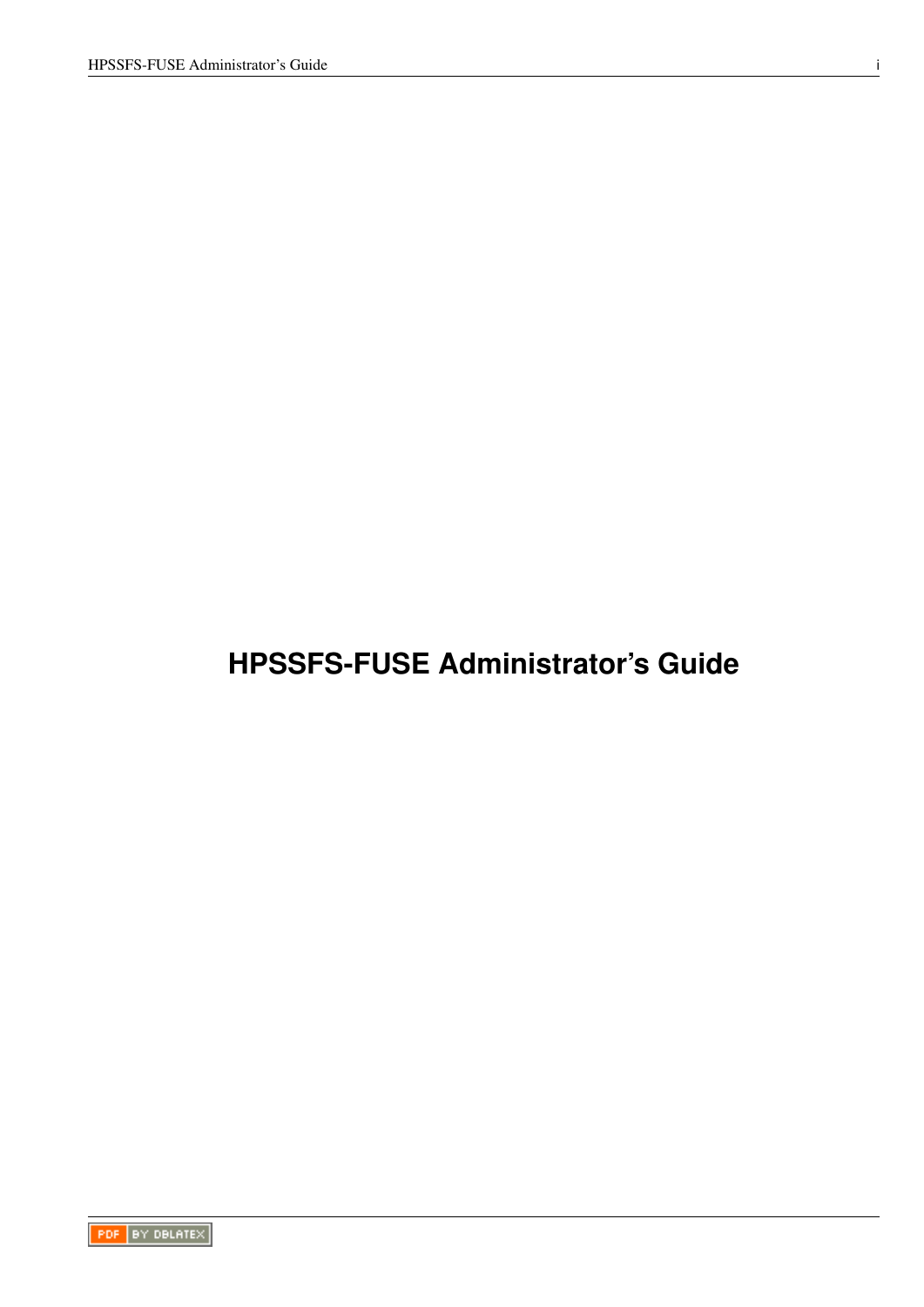# <span id="page-0-0"></span>**HPSSFS-FUSE Administrator's Guide**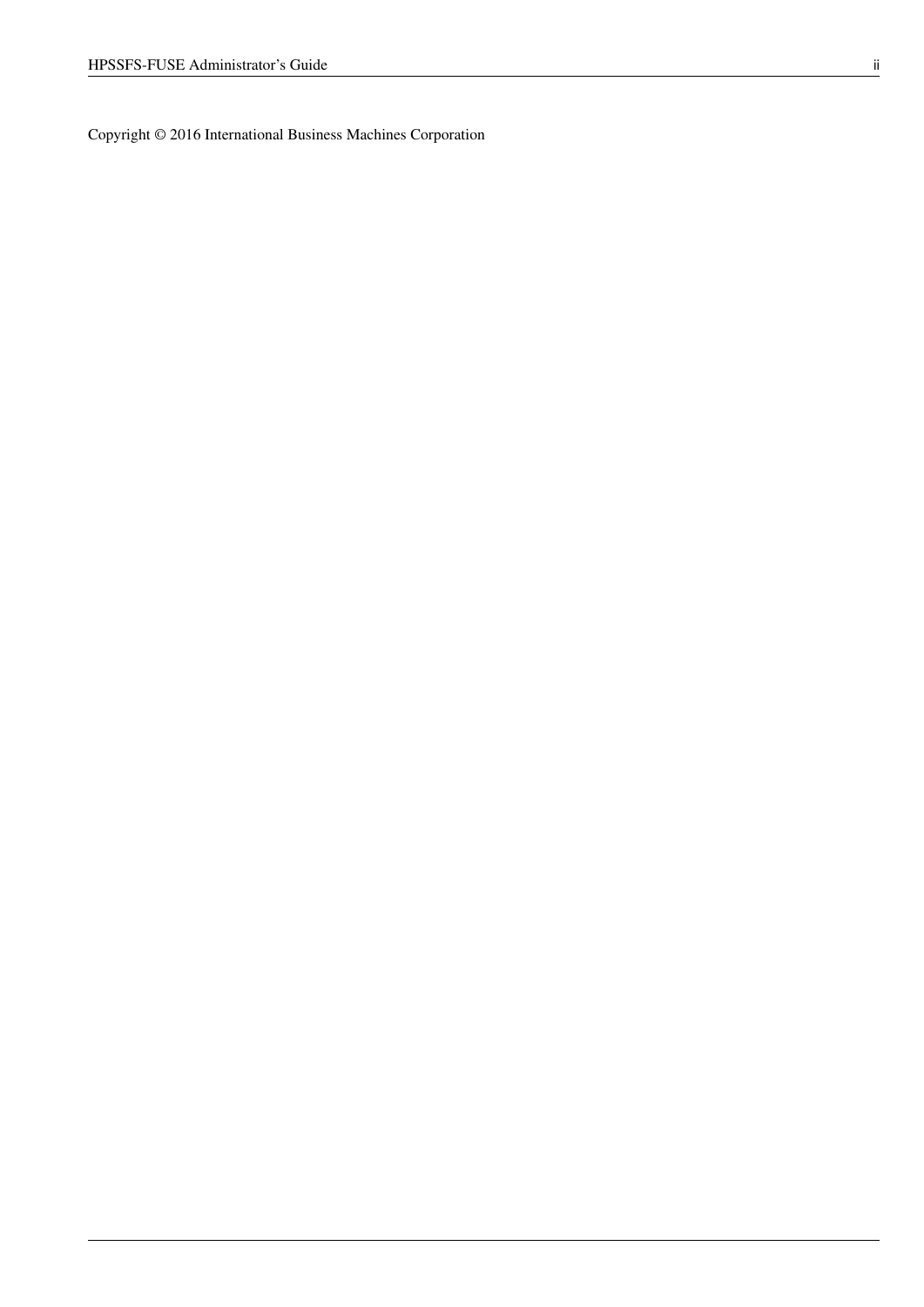Copyright © 2016 International Business Machines Corporation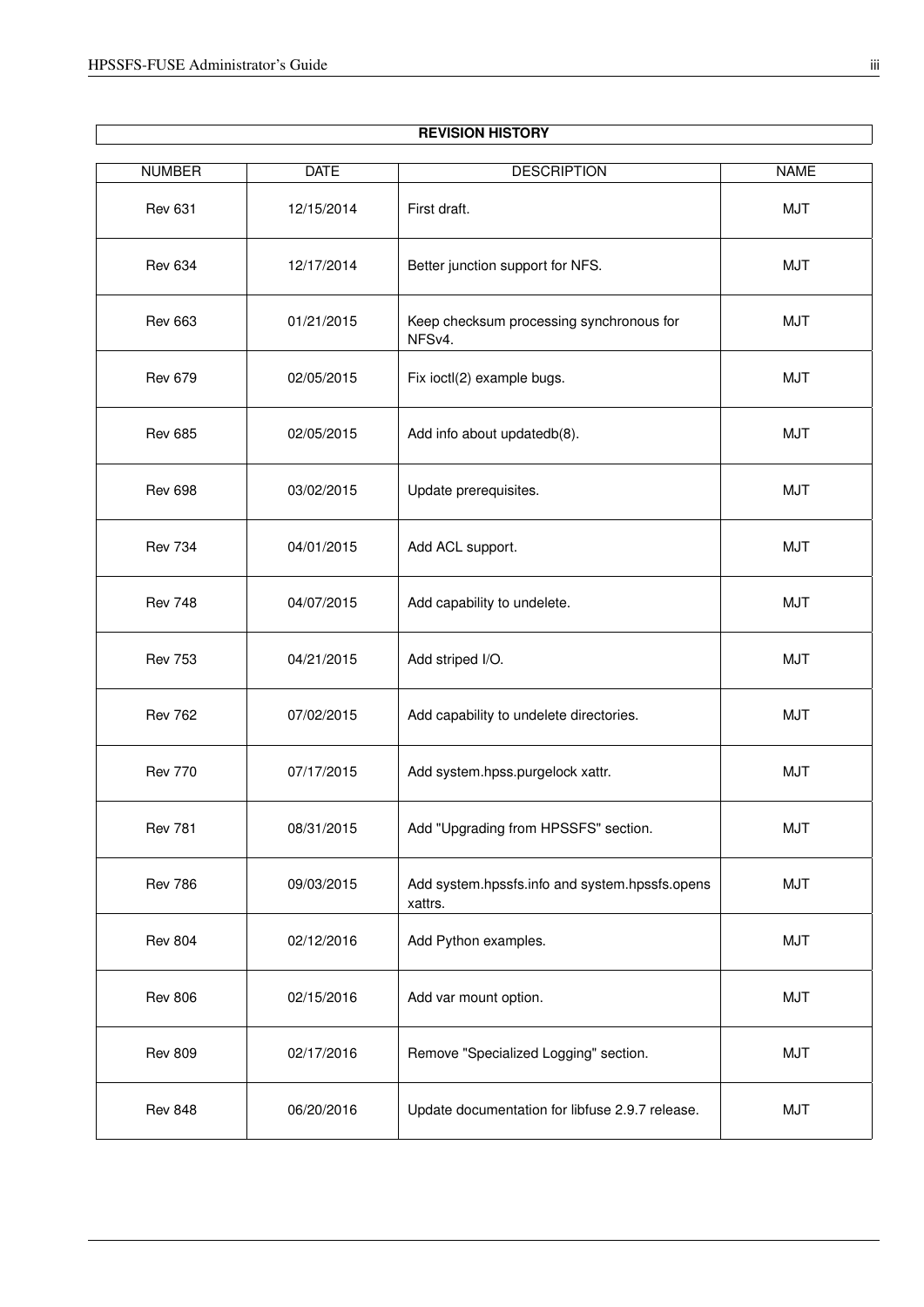$\overline{\phantom{a}}$ 

| <b>NUMBER</b>  | <b>DATE</b> | <b>DESCRIPTION</b>                                        | <b>NAME</b> |
|----------------|-------------|-----------------------------------------------------------|-------------|
|                |             |                                                           |             |
| <b>Rev 631</b> | 12/15/2014  | First draft.                                              | <b>MJT</b>  |
| <b>Rev 634</b> | 12/17/2014  | Better junction support for NFS.                          | <b>MJT</b>  |
| <b>Rev 663</b> | 01/21/2015  | Keep checksum processing synchronous for<br>NFSv4.        | <b>MJT</b>  |
| <b>Rev 679</b> | 02/05/2015  | Fix ioctl(2) example bugs.                                | <b>MJT</b>  |
| <b>Rev 685</b> | 02/05/2015  | Add info about updatedb(8).                               | <b>MJT</b>  |
| <b>Rev 698</b> | 03/02/2015  | Update prerequisites.                                     | <b>MJT</b>  |
| <b>Rev 734</b> | 04/01/2015  | Add ACL support.                                          | <b>MJT</b>  |
| <b>Rev 748</b> | 04/07/2015  | Add capability to undelete.                               | <b>MJT</b>  |
| <b>Rev 753</b> | 04/21/2015  | Add striped I/O.                                          | <b>MJT</b>  |
| <b>Rev 762</b> | 07/02/2015  | Add capability to undelete directories.                   | <b>MJT</b>  |
| <b>Rev 770</b> | 07/17/2015  | Add system.hpss.purgelock xattr.                          | <b>MJT</b>  |
| <b>Rev 781</b> | 08/31/2015  | Add "Upgrading from HPSSFS" section.                      | <b>MJT</b>  |
| <b>Rev 786</b> | 09/03/2015  | Add system.hpssfs.info and system.hpssfs.opens<br>xattrs. | <b>MJT</b>  |
| <b>Rev 804</b> | 02/12/2016  | Add Python examples.                                      | <b>MJT</b>  |
| <b>Rev 806</b> | 02/15/2016  | Add var mount option.                                     | <b>MJT</b>  |
| <b>Rev 809</b> | 02/17/2016  | Remove "Specialized Logging" section.                     | <b>MJT</b>  |
| <b>Rev 848</b> | 06/20/2016  | Update documentation for libfuse 2.9.7 release.           | <b>MJT</b>  |

### **REVISION HISTORY**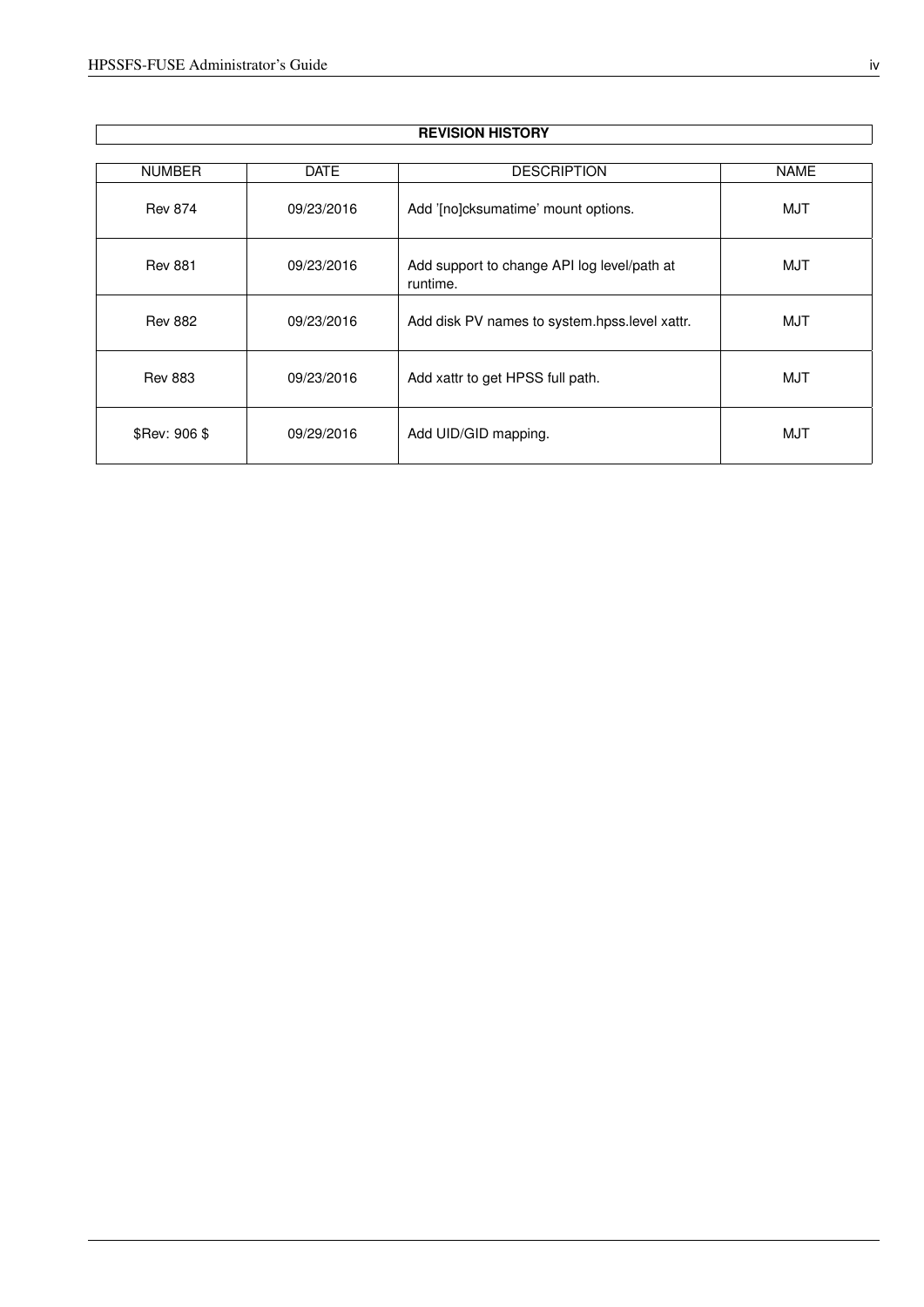$\overline{\phantom{a}}$ 

| <b>NUMBER</b>  | <b>DATE</b> | <b>DESCRIPTION</b>                                      | <b>NAME</b> |
|----------------|-------------|---------------------------------------------------------|-------------|
| <b>Rev 874</b> | 09/23/2016  | Add '[no]cksumatime' mount options.                     | <b>MJT</b>  |
| <b>Rev 881</b> | 09/23/2016  | Add support to change API log level/path at<br>runtime. | MJT         |
| <b>Rev 882</b> | 09/23/2016  | Add disk PV names to system.hpss.level xattr.           | <b>MJT</b>  |
| <b>Rev 883</b> | 09/23/2016  | Add xattr to get HPSS full path.                        | MJT         |
| \$Rev: 906 \$  | 09/29/2016  | Add UID/GID mapping.                                    | <b>MJT</b>  |

### **REVISION HISTORY**

 $\overline{\phantom{a}}$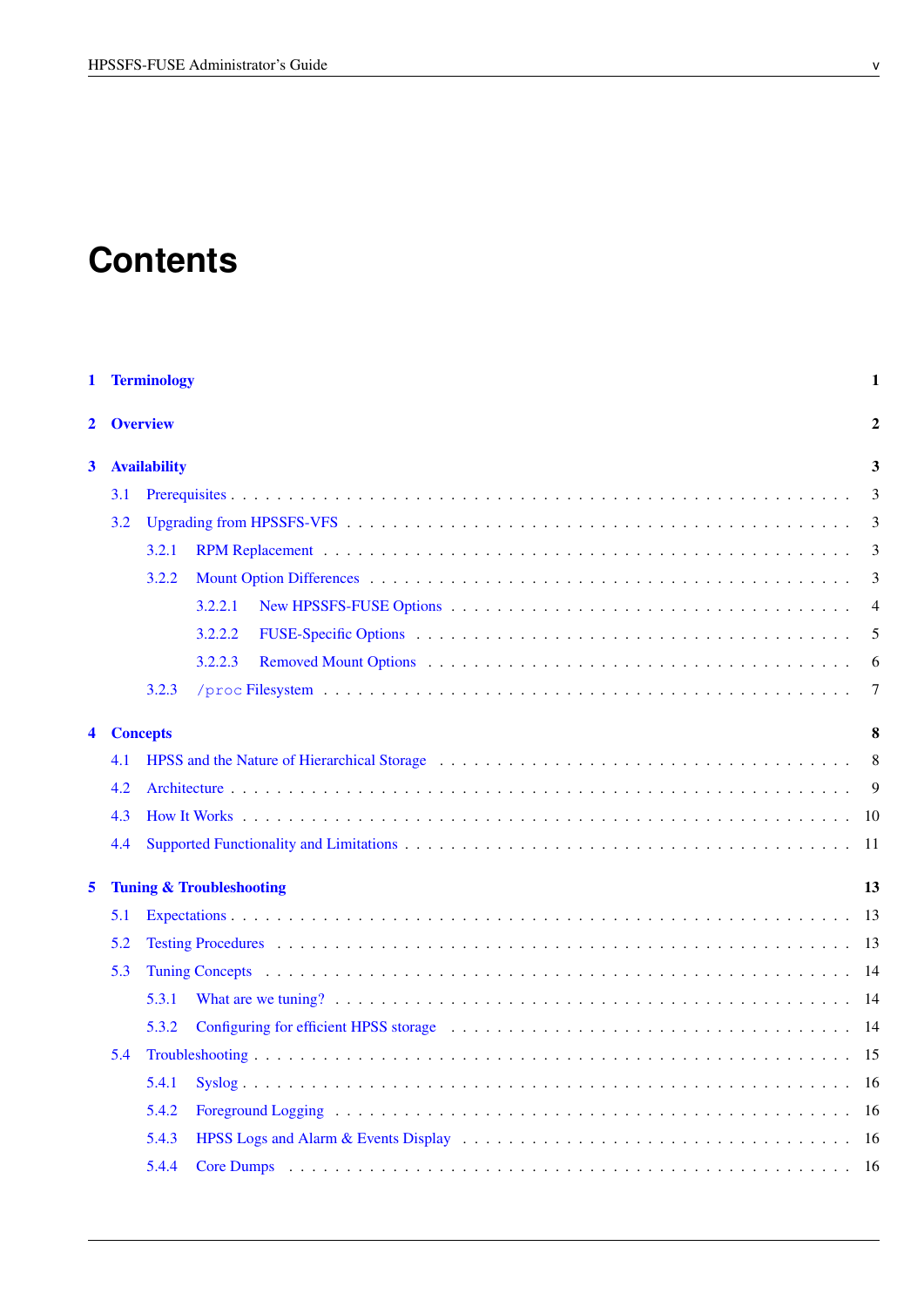# **Contents**

| 1            |     | <b>Terminology</b>  |                                                                                                                                                                                                                                | 1              |
|--------------|-----|---------------------|--------------------------------------------------------------------------------------------------------------------------------------------------------------------------------------------------------------------------------|----------------|
| 2            |     | <b>Overview</b>     |                                                                                                                                                                                                                                | $\overline{2}$ |
| $\mathbf{3}$ |     | <b>Availability</b> |                                                                                                                                                                                                                                | 3              |
|              | 3.1 |                     |                                                                                                                                                                                                                                | 3              |
|              | 3.2 |                     |                                                                                                                                                                                                                                | 3              |
|              |     | 3.2.1               |                                                                                                                                                                                                                                | 3              |
|              |     | 3.2.2               |                                                                                                                                                                                                                                | 3              |
|              |     |                     | 3.2.2.1                                                                                                                                                                                                                        | $\overline{4}$ |
|              |     |                     | 3.2.2.2                                                                                                                                                                                                                        | 5              |
|              |     |                     | 3.2.2.3                                                                                                                                                                                                                        | 6              |
|              |     | 3.2.3               |                                                                                                                                                                                                                                | 7              |
| 4            |     | <b>Concepts</b>     |                                                                                                                                                                                                                                | 8              |
|              | 4.1 |                     |                                                                                                                                                                                                                                | 8              |
|              | 4.2 |                     |                                                                                                                                                                                                                                | 9              |
|              | 4.3 |                     |                                                                                                                                                                                                                                |                |
|              | 4.4 |                     |                                                                                                                                                                                                                                | - 11           |
| 5            |     |                     | <b>Tuning &amp; Troubleshooting</b>                                                                                                                                                                                            | 13             |
|              | 5.1 |                     |                                                                                                                                                                                                                                |                |
|              | 5.2 |                     |                                                                                                                                                                                                                                |                |
|              | 5.3 |                     |                                                                                                                                                                                                                                |                |
|              |     | 5.3.1               |                                                                                                                                                                                                                                |                |
|              |     | 5.3.2               | Configuring for efficient HPSS storage enterprise in the set of the storage of the storage of the storage of the storage of the storage of the storage of the storage of the storage of the storage of the storage of the stor |                |
|              | 5.4 |                     |                                                                                                                                                                                                                                |                |
|              |     | 5.4.1               |                                                                                                                                                                                                                                |                |
|              |     | 5.4.2               |                                                                                                                                                                                                                                |                |
|              |     | 5.4.3               |                                                                                                                                                                                                                                |                |
|              |     | 5.4.4               |                                                                                                                                                                                                                                |                |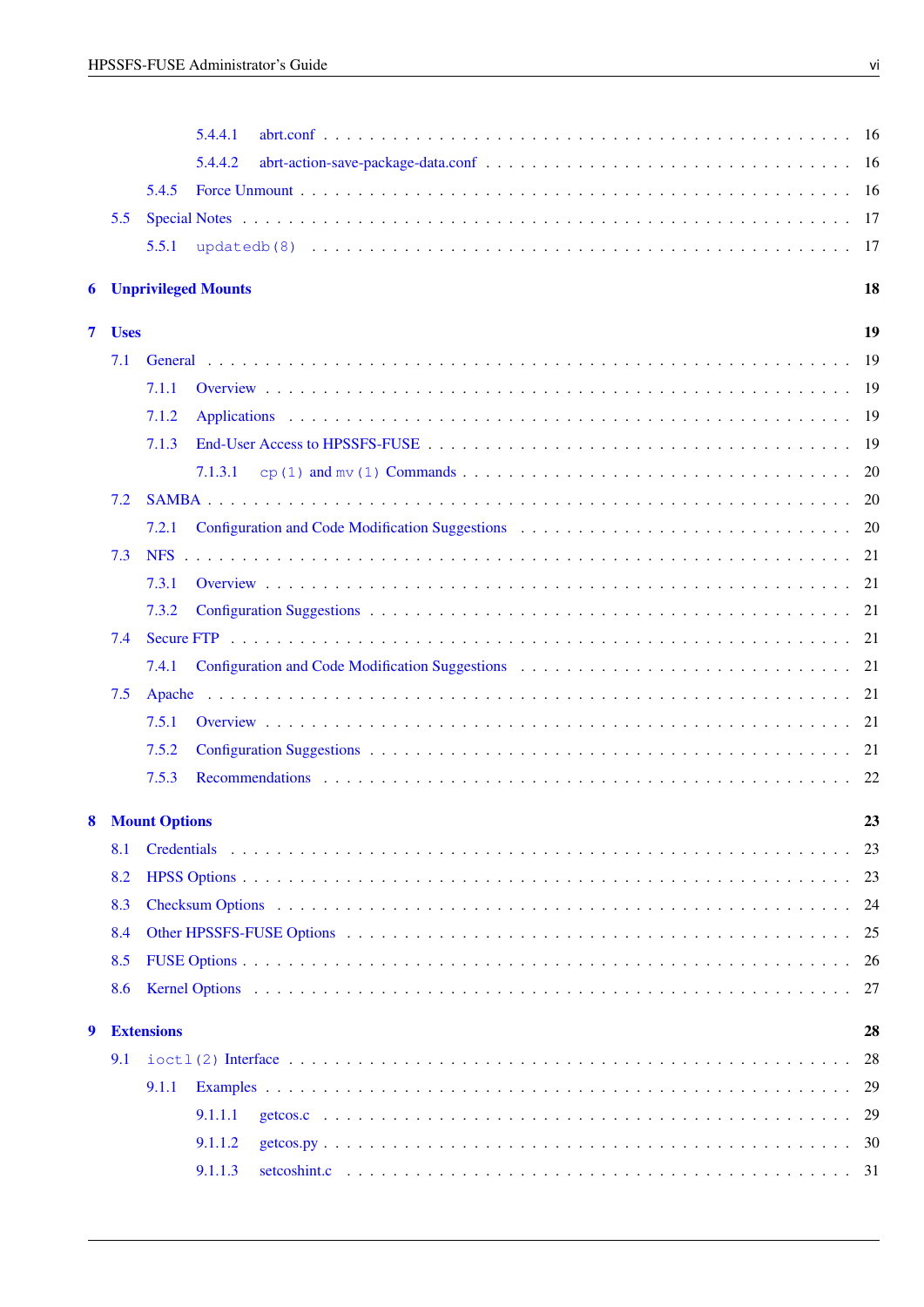|                |             |                   | 5.4.4.1                                                                                                                                                                                                                        | - 16 |
|----------------|-------------|-------------------|--------------------------------------------------------------------------------------------------------------------------------------------------------------------------------------------------------------------------------|------|
|                |             |                   | 5.4.4.2                                                                                                                                                                                                                        |      |
|                |             | 5.4.5             |                                                                                                                                                                                                                                | - 16 |
|                | 5.5         |                   |                                                                                                                                                                                                                                |      |
|                |             | 5.5.1             |                                                                                                                                                                                                                                | 17   |
|                |             |                   | <b>6</b> Unprivileged Mounts                                                                                                                                                                                                   | 18   |
|                |             |                   |                                                                                                                                                                                                                                |      |
| $\overline{7}$ | <b>Uses</b> |                   |                                                                                                                                                                                                                                | 19   |
|                | 7.1         |                   |                                                                                                                                                                                                                                |      |
|                |             | 7.1.1             |                                                                                                                                                                                                                                |      |
|                |             | 7.1.2             |                                                                                                                                                                                                                                |      |
|                |             | 7.1.3             |                                                                                                                                                                                                                                |      |
|                |             |                   | 7.1.3.1                                                                                                                                                                                                                        | 20   |
|                | 7.2         |                   |                                                                                                                                                                                                                                |      |
|                |             | 7.2.1             |                                                                                                                                                                                                                                |      |
|                | 7.3         |                   |                                                                                                                                                                                                                                |      |
|                |             | 7.3.1             |                                                                                                                                                                                                                                |      |
|                |             | 7.3.2             |                                                                                                                                                                                                                                |      |
|                | 7.4         |                   |                                                                                                                                                                                                                                |      |
|                |             | 7.4.1             |                                                                                                                                                                                                                                |      |
|                | 7.5         |                   |                                                                                                                                                                                                                                |      |
|                |             | 7.5.1             |                                                                                                                                                                                                                                |      |
|                |             | 7.5.2             |                                                                                                                                                                                                                                |      |
|                |             | 7.5.3             |                                                                                                                                                                                                                                |      |
|                |             | 8 Mount Options   |                                                                                                                                                                                                                                | 23   |
|                | 8.1         |                   |                                                                                                                                                                                                                                | 23   |
|                | 8.2         |                   |                                                                                                                                                                                                                                | 23   |
|                | 8.3         |                   | Checksum Options (a) and a contract the contract of the contract of the contract of the contract of the contract of the contract of the contract of the contract of the contract of the contract of the contract of the contra | 24   |
|                | 8.4         |                   |                                                                                                                                                                                                                                | 25   |
|                | 8.5         |                   |                                                                                                                                                                                                                                | 26   |
|                | 8.6         |                   |                                                                                                                                                                                                                                | 27   |
| 9              |             | <b>Extensions</b> |                                                                                                                                                                                                                                | 28   |
|                | 9.1         |                   |                                                                                                                                                                                                                                | 28   |
|                |             | 9.1.1             |                                                                                                                                                                                                                                | 29   |
|                |             |                   | 9.1.1.1                                                                                                                                                                                                                        | 29   |
|                |             |                   | 9.1.1.2                                                                                                                                                                                                                        | 30   |
|                |             |                   | 9.1.1.3                                                                                                                                                                                                                        | 31   |
|                |             |                   |                                                                                                                                                                                                                                |      |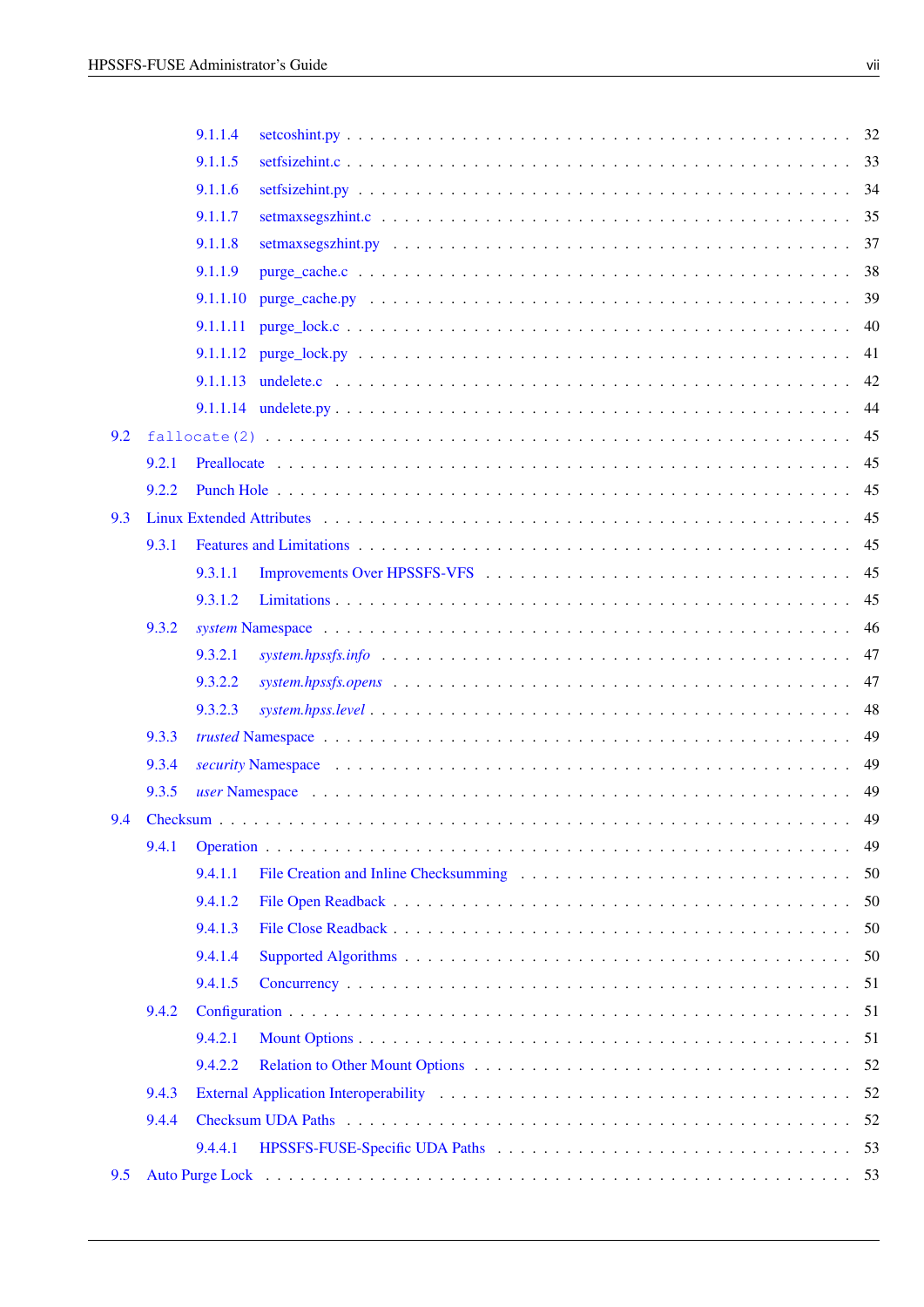|     |       | 9.1.1.4  |                                                                                                                              |     |
|-----|-------|----------|------------------------------------------------------------------------------------------------------------------------------|-----|
|     |       | 9.1.1.5  |                                                                                                                              |     |
|     |       | 9.1.1.6  |                                                                                                                              |     |
|     |       | 9.1.1.7  |                                                                                                                              |     |
|     |       | 9.1.1.8  |                                                                                                                              |     |
|     |       | 9.1.1.9  |                                                                                                                              |     |
|     |       | 9.1.1.10 |                                                                                                                              |     |
|     |       | 9.1.1.11 |                                                                                                                              | 40  |
|     |       |          |                                                                                                                              |     |
|     |       |          |                                                                                                                              | 42  |
|     |       |          |                                                                                                                              | 44  |
| 9.2 |       |          |                                                                                                                              |     |
|     | 9.2.1 |          |                                                                                                                              | 45  |
|     | 9.2.2 |          |                                                                                                                              | 45  |
| 9.3 |       |          |                                                                                                                              | 45  |
|     | 9.3.1 |          |                                                                                                                              |     |
|     |       | 9.3.1.1  |                                                                                                                              |     |
|     |       | 9.3.1.2  |                                                                                                                              |     |
|     | 9.3.2 |          |                                                                                                                              | 46  |
|     |       | 9.3.2.1  |                                                                                                                              | 47  |
|     |       | 9.3.2.2  | $system.hpssfs. opens \dots \dots \dots \dots \dots \dots \dots \dots \dots \dots \dots \dots \dots \dots \dots \dots \dots$ | 47  |
|     |       | 9.3.2.3  | $system.hpss. level \ldots \ldots \ldots \ldots \ldots \ldots \ldots \ldots \ldots \ldots \ldots \ldots \ldots$              | 48  |
|     | 9.3.3 |          |                                                                                                                              | 49  |
|     | 9.3.4 |          |                                                                                                                              |     |
|     | 9.3.5 |          |                                                                                                                              | 49  |
|     |       |          |                                                                                                                              | 49  |
|     | 9.4.1 |          |                                                                                                                              | 49  |
|     |       | 9.4.1.1  |                                                                                                                              | 50  |
|     |       | 9.4.1.2  |                                                                                                                              | 50  |
|     |       | 9.4.1.3  |                                                                                                                              | 50  |
|     |       | 9.4.1.4  |                                                                                                                              | -50 |
|     |       | 9.4.1.5  |                                                                                                                              |     |
|     | 9.4.2 |          |                                                                                                                              |     |
|     |       | 9.4.2.1  |                                                                                                                              |     |
|     |       | 9.4.2.2  |                                                                                                                              |     |
|     | 9.4.3 |          |                                                                                                                              |     |
|     | 9.4.4 |          |                                                                                                                              |     |
|     |       | 9.4.4.1  |                                                                                                                              |     |
| 9.5 |       |          |                                                                                                                              |     |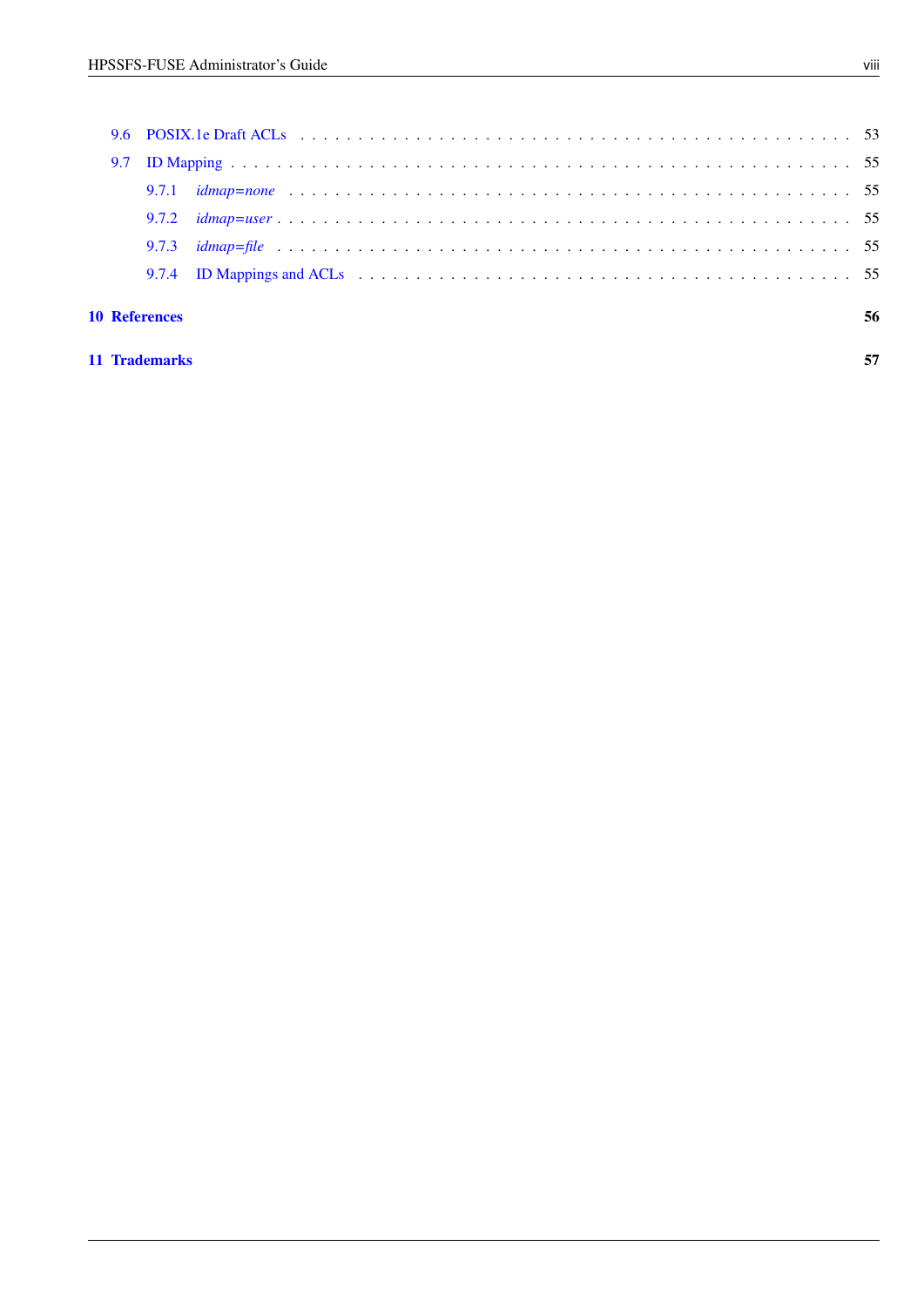| <b>10 References</b> | 56 |
|----------------------|----|
|                      |    |
|                      |    |
|                      |    |
|                      |    |
|                      |    |
|                      |    |

### [11 Trademarks](#page-64-0) 57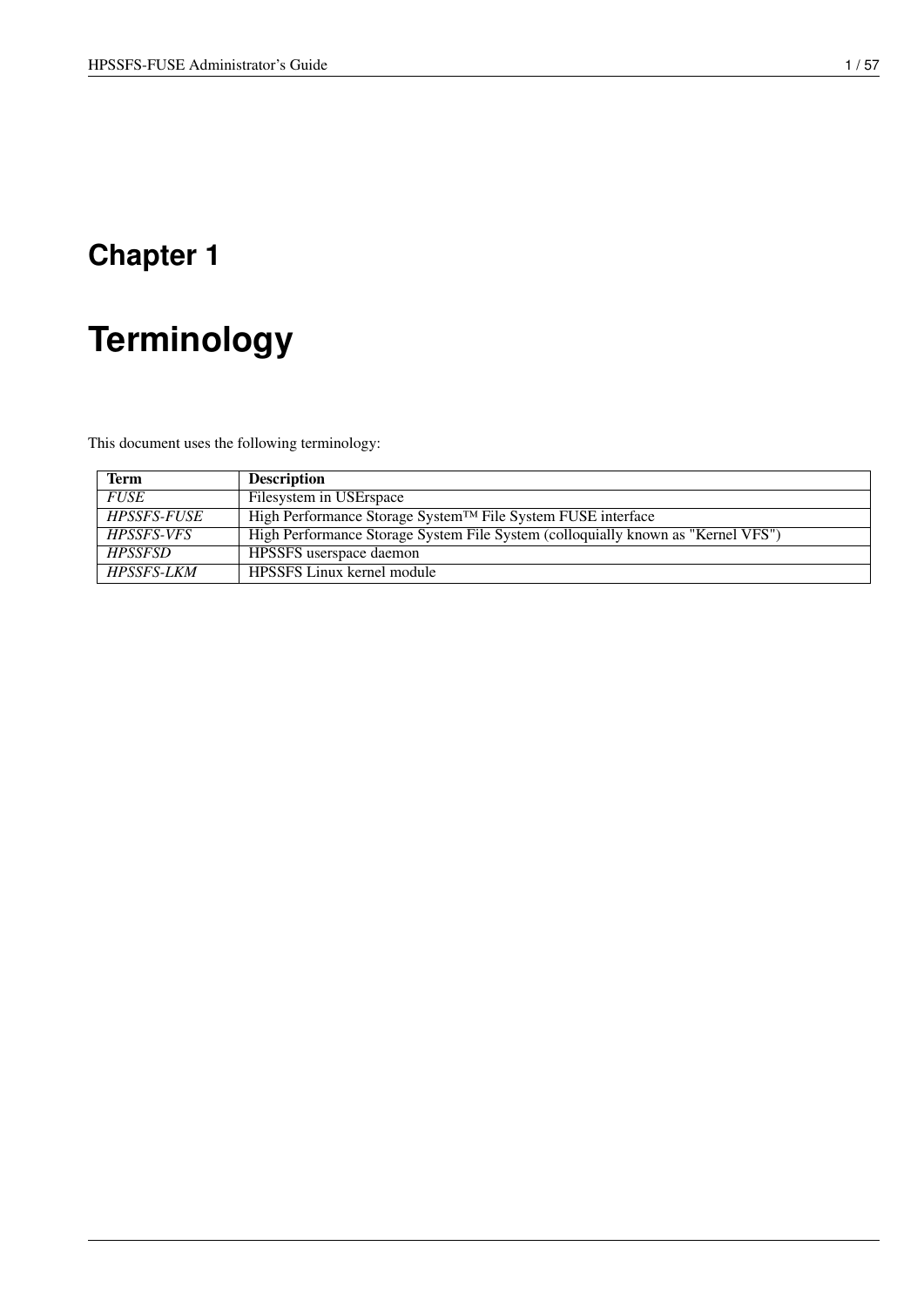# <span id="page-8-0"></span>**Terminology**

This document uses the following terminology:

| Term                      | <b>Description</b>                                                               |
|---------------------------|----------------------------------------------------------------------------------|
| <b>FUSE</b>               | Filesystem in USErspace                                                          |
| <i><b>HPSSFS-FUSE</b></i> | High Performance Storage System™ File System FUSE interface                      |
| HPSSFS-VFS                | High Performance Storage System File System (colloquially known as "Kernel VFS") |
| <b>HPSSESD</b>            | HPSSFS userspace daemon                                                          |
| <i>HPSSFS-LKM</i>         | <b>HPSSFS</b> Linux kernel module                                                |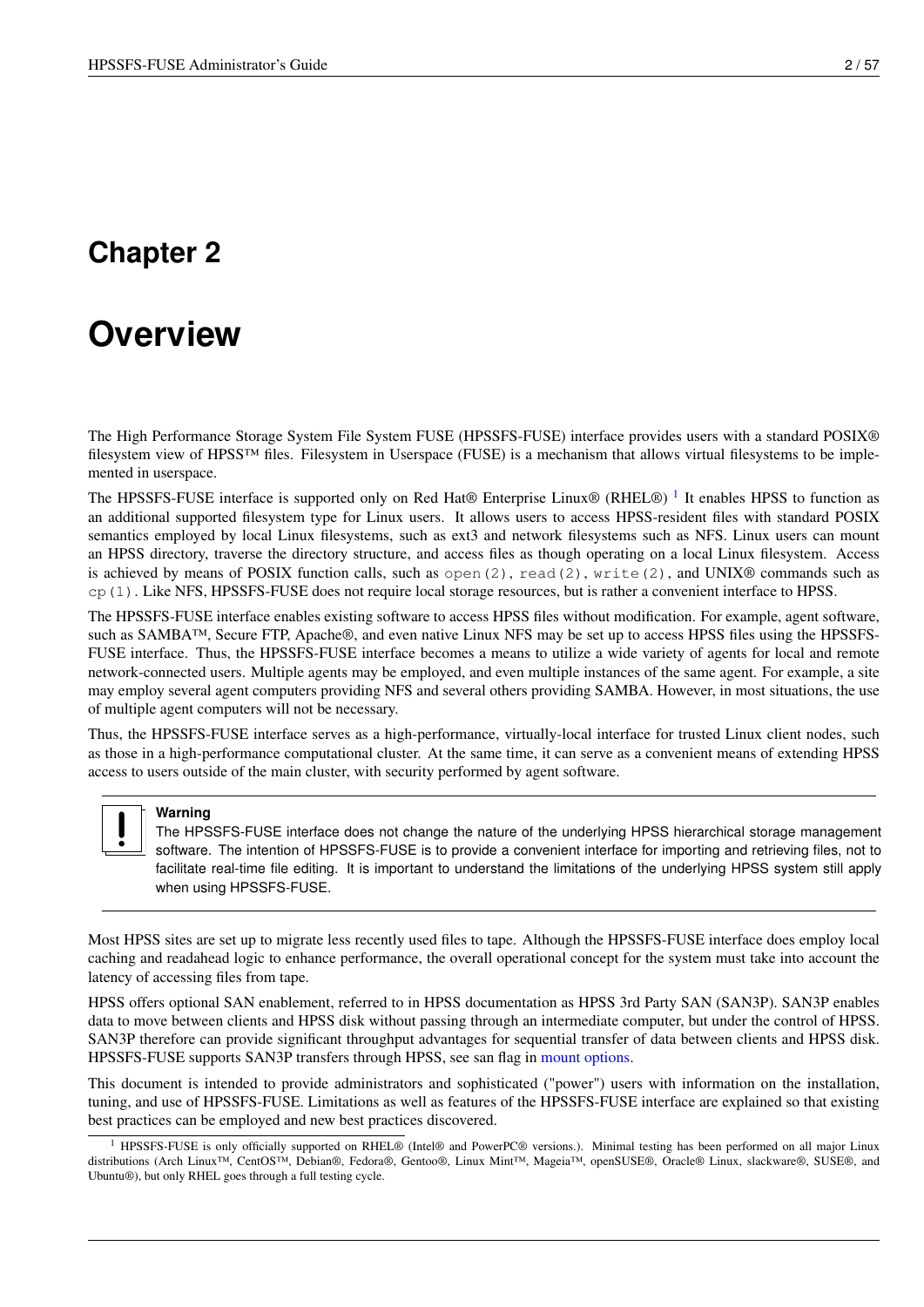# <span id="page-9-0"></span>**Overview**

The High Performance Storage System File System FUSE (HPSSFS-FUSE) interface provides users with a standard POSIX® filesystem view of HPSS™ files. Filesystem in Userspace (FUSE) is a mechanism that allows virtual filesystems to be implemented in userspace.

The HPSSFS-FUSE interface is supported only on Red Hat® Enterprise Linux® (RHEL®)<sup>[1](#page-9-1)</sup> It enables HPSS to function as an additional supported filesystem type for Linux users. It allows users to access HPSS-resident files with standard POSIX semantics employed by local Linux filesystems, such as ext3 and network filesystems such as NFS. Linux users can mount an HPSS directory, traverse the directory structure, and access files as though operating on a local Linux filesystem. Access is achieved by means of POSIX function calls, such as open(2), read(2), write(2), and UNIX® commands such as cp(1). Like NFS, HPSSFS-FUSE does not require local storage resources, but is rather a convenient interface to HPSS.

The HPSSFS-FUSE interface enables existing software to access HPSS files without modification. For example, agent software, such as SAMBA™, Secure FTP, Apache®, and even native Linux NFS may be set up to access HPSS files using the HPSSFS-FUSE interface. Thus, the HPSSFS-FUSE interface becomes a means to utilize a wide variety of agents for local and remote network-connected users. Multiple agents may be employed, and even multiple instances of the same agent. For example, a site may employ several agent computers providing NFS and several others providing SAMBA. However, in most situations, the use of multiple agent computers will not be necessary.

Thus, the HPSSFS-FUSE interface serves as a high-performance, virtually-local interface for trusted Linux client nodes, such as those in a high-performance computational cluster. At the same time, it can serve as a convenient means of extending HPSS access to users outside of the main cluster, with security performed by agent software.



#### **Warning**

The HPSSFS-FUSE interface does not change the nature of the underlying HPSS hierarchical storage management software. The intention of HPSSFS-FUSE is to provide a convenient interface for importing and retrieving files, not to facilitate real-time file editing. It is important to understand the limitations of the underlying HPSS system still apply when using HPSSFS-FUSE.

Most HPSS sites are set up to migrate less recently used files to tape. Although the HPSSFS-FUSE interface does employ local caching and readahead logic to enhance performance, the overall operational concept for the system must take into account the latency of accessing files from tape.

HPSS offers optional SAN enablement, referred to in HPSS documentation as HPSS 3rd Party SAN (SAN3P). SAN3P enables data to move between clients and HPSS disk without passing through an intermediate computer, but under the control of HPSS. SAN3P therefore can provide significant throughput advantages for sequential transfer of data between clients and HPSS disk. HPSSFS-FUSE supports SAN3P transfers through HPSS, see san flag in [mount options.](#page-30-3)

This document is intended to provide administrators and sophisticated ("power") users with information on the installation, tuning, and use of HPSSFS-FUSE. Limitations as well as features of the HPSSFS-FUSE interface are explained so that existing best practices can be employed and new best practices discovered.

<span id="page-9-1"></span><sup>&</sup>lt;sup>1</sup> HPSSFS-FUSE is only officially supported on RHEL® (Intel® and PowerPC® versions.). Minimal testing has been performed on all major Linux distributions (Arch Linux™, CentOS™, Debian®, Fedora®, Gentoo®, Linux Mint™, Mageia™, openSUSE®, Oracle® Linux, slackware®, SUSE®, and Ubuntu®), but only RHEL goes through a full testing cycle.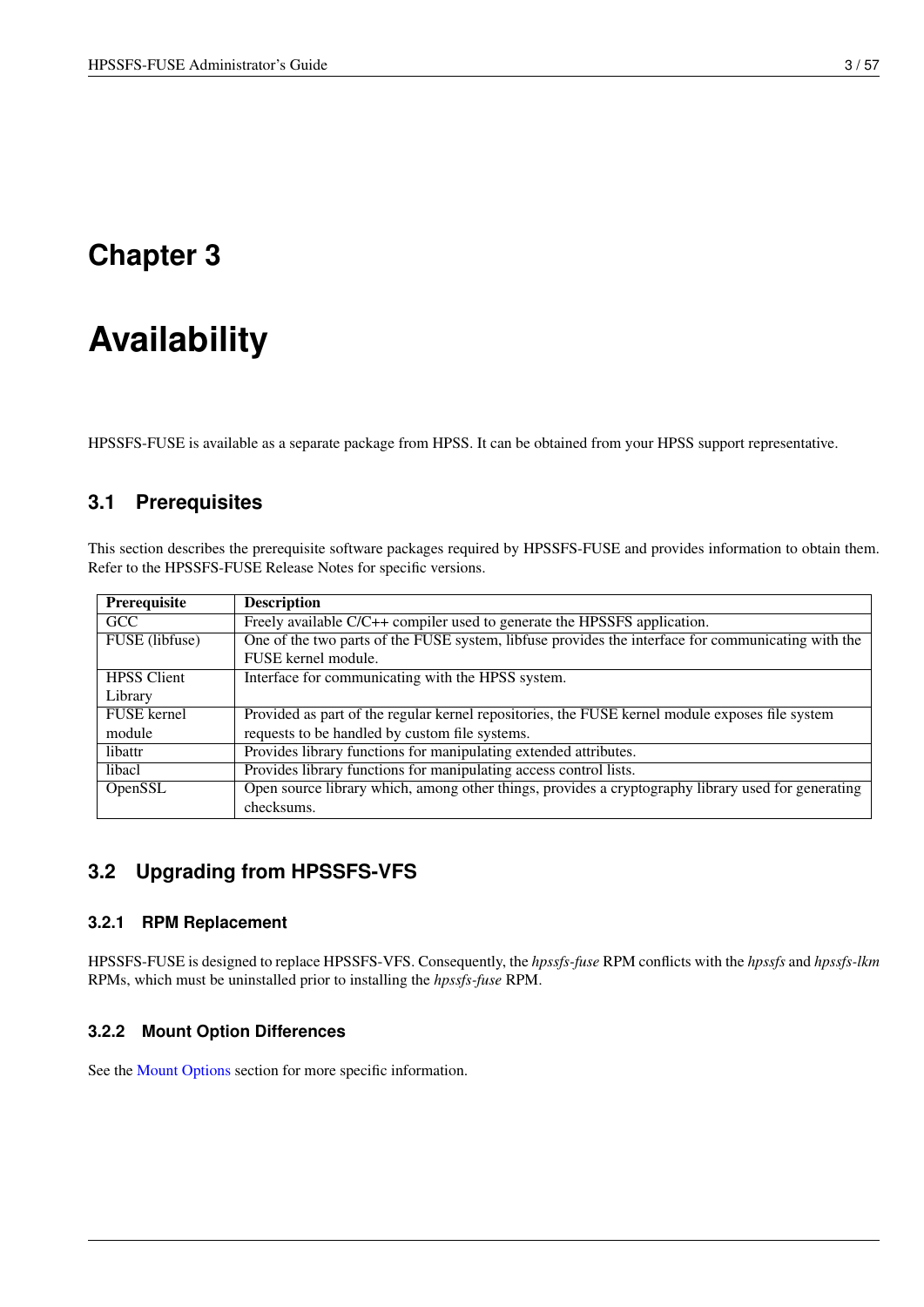# <span id="page-10-0"></span>**Availability**

HPSSFS-FUSE is available as a separate package from HPSS. It can be obtained from your HPSS support representative.

# <span id="page-10-1"></span>**3.1 Prerequisites**

This section describes the prerequisite software packages required by HPSSFS-FUSE and provides information to obtain them. Refer to the HPSSFS-FUSE Release Notes for specific versions.

| Prerequisite       | <b>Description</b>                                                                                 |
|--------------------|----------------------------------------------------------------------------------------------------|
| <b>GCC</b>         | Freely available C/C++ compiler used to generate the HPSSFS application.                           |
| FUSE (libfuse)     | One of the two parts of the FUSE system, libfuse provides the interface for communicating with the |
|                    | FUSE kernel module.                                                                                |
| <b>HPSS</b> Client | Interface for communicating with the HPSS system.                                                  |
| Library            |                                                                                                    |
| <b>FUSE</b> kernel | Provided as part of the regular kernel repositories, the FUSE kernel module exposes file system    |
| module             | requests to be handled by custom file systems.                                                     |
| libattr            | Provides library functions for manipulating extended attributes.                                   |
| libacl             | Provides library functions for manipulating access control lists.                                  |
| OpenSSL            | Open source library which, among other things, provides a cryptography library used for generating |
|                    | checksums.                                                                                         |

# <span id="page-10-2"></span>**3.2 Upgrading from HPSSFS-VFS**

### <span id="page-10-3"></span>**3.2.1 RPM Replacement**

HPSSFS-FUSE is designed to replace HPSSFS-VFS. Consequently, the *hpssfs-fuse* RPM conflicts with the *hpssfs* and *hpssfs-lkm* RPMs, which must be uninstalled prior to installing the *hpssfs-fuse* RPM.

### <span id="page-10-4"></span>**3.2.2 Mount Option Differences**

See the [Mount Options](#page-30-3) section for more specific information.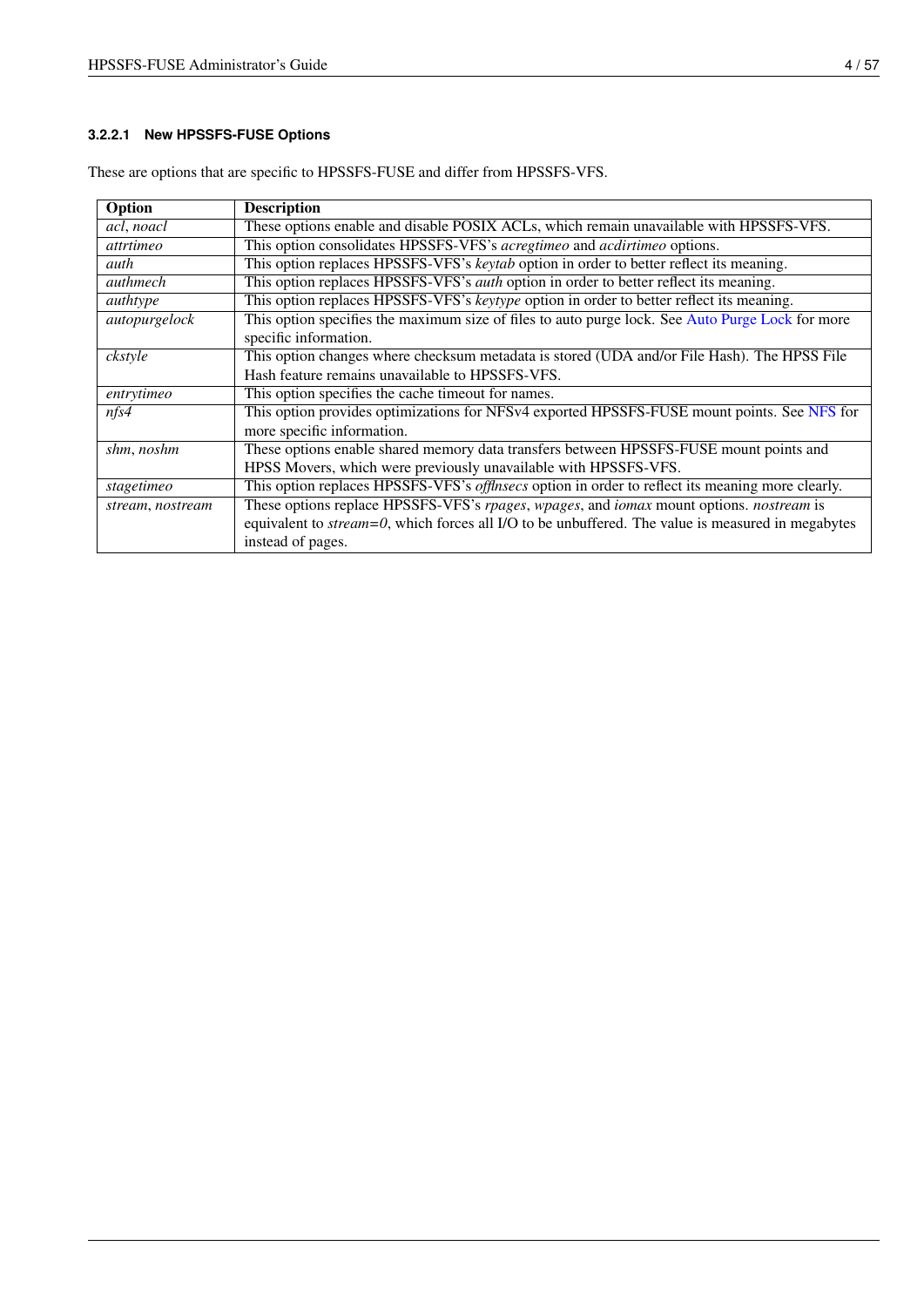## <span id="page-11-0"></span>**3.2.2.1 New HPSSFS-FUSE Options**

| Option              | <b>Description</b>                                                                                    |
|---------------------|-------------------------------------------------------------------------------------------------------|
| acl, noacl          | These options enable and disable POSIX ACLs, which remain unavailable with HPSSFS-VFS.                |
| attrtimeo           | This option consolidates HPSSFS-VFS's acregtimeo and acdirtimeo options.                              |
| auth                | This option replaces HPSSFS-VFS's keytab option in order to better reflect its meaning.               |
| authmech            | This option replaces HPSSFS-VFS's <i>auth</i> option in order to better reflect its meaning.          |
| $\overline{author}$ | This option replaces HPSSFS-VFS's keytype option in order to better reflect its meaning.              |
| autopurgelock       | This option specifies the maximum size of files to auto purge lock. See Auto Purge Lock for more      |
|                     | specific information.                                                                                 |
| ckstyle             | This option changes where checksum metadata is stored (UDA and/or File Hash). The HPSS File           |
|                     | Hash feature remains unavailable to HPSSFS-VFS.                                                       |
| entrytimeo          | This option specifies the cache timeout for names.                                                    |
| nfs4                | This option provides optimizations for NFSv4 exported HPSSFS-FUSE mount points. See NFS for           |
|                     | more specific information.                                                                            |
| shm, noshm          | These options enable shared memory data transfers between HPSSFS-FUSE mount points and                |
|                     | HPSS Movers, which were previously unavailable with HPSSFS-VFS.                                       |
| stagetimeo          | This option replaces HPSSFS-VFS's offlnsecs option in order to reflect its meaning more clearly.      |
| stream, nostream    | These options replace HPSSFS-VFS's rpages, wpages, and <i>iomax</i> mount options. <i>nostream</i> is |
|                     | equivalent to $stream=0$ , which forces all I/O to be unbuffered. The value is measured in megabytes  |
|                     | instead of pages.                                                                                     |

These are options that are specific to HPSSFS-FUSE and differ from HPSSFS-VFS.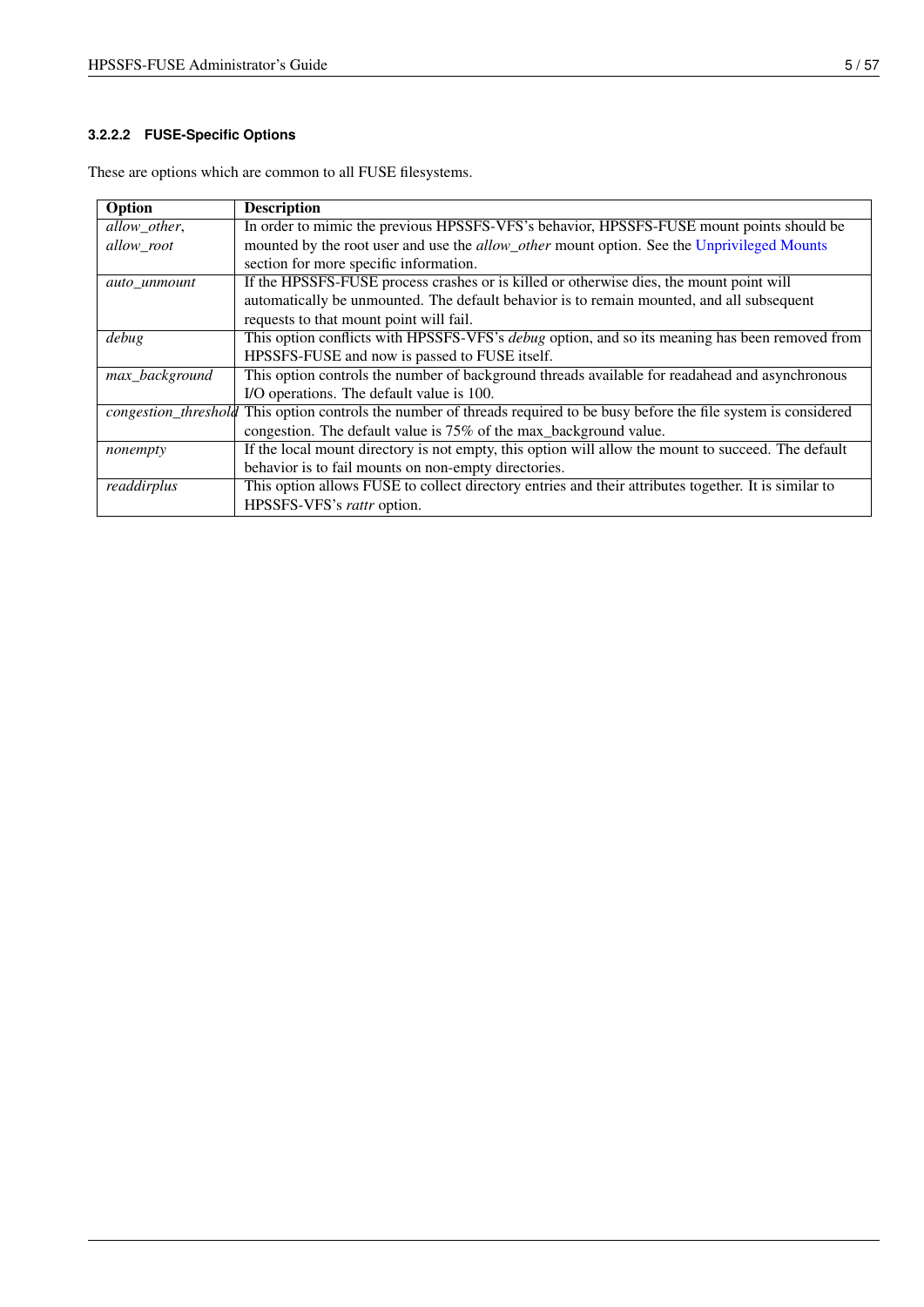### <span id="page-12-0"></span>**3.2.2.2 FUSE-Specific Options**

| Option               | <b>Description</b>                                                                                   |
|----------------------|------------------------------------------------------------------------------------------------------|
| allow_other,         | In order to mimic the previous HPSSFS-VFS's behavior, HPSSFS-FUSE mount points should be             |
| allow_root           | mounted by the root user and use the allow_other mount option. See the Unprivileged Mounts           |
|                      | section for more specific information.                                                               |
| auto unmount         | If the HPSSFS-FUSE process crashes or is killed or otherwise dies, the mount point will              |
|                      | automatically be unmounted. The default behavior is to remain mounted, and all subsequent            |
|                      | requests to that mount point will fail.                                                              |
| debug                | This option conflicts with HPSSFS-VFS's debug option, and so its meaning has been removed from       |
|                      | HPSSFS-FUSE and now is passed to FUSE itself.                                                        |
| max_background       | This option controls the number of background threads available for readahead and asynchronous       |
|                      | I/O operations. The default value is 100.                                                            |
| congestion_threshold | This option controls the number of threads required to be busy before the file system is considered  |
|                      | congestion. The default value is 75% of the max_background value.                                    |
| nonempty             | If the local mount directory is not empty, this option will allow the mount to succeed. The default  |
|                      | behavior is to fail mounts on non-empty directories.                                                 |
| readdirplus          | This option allows FUSE to collect directory entries and their attributes together. It is similar to |
|                      | HPSSFS-VFS's rattr option.                                                                           |

These are options which are common to all FUSE filesystems.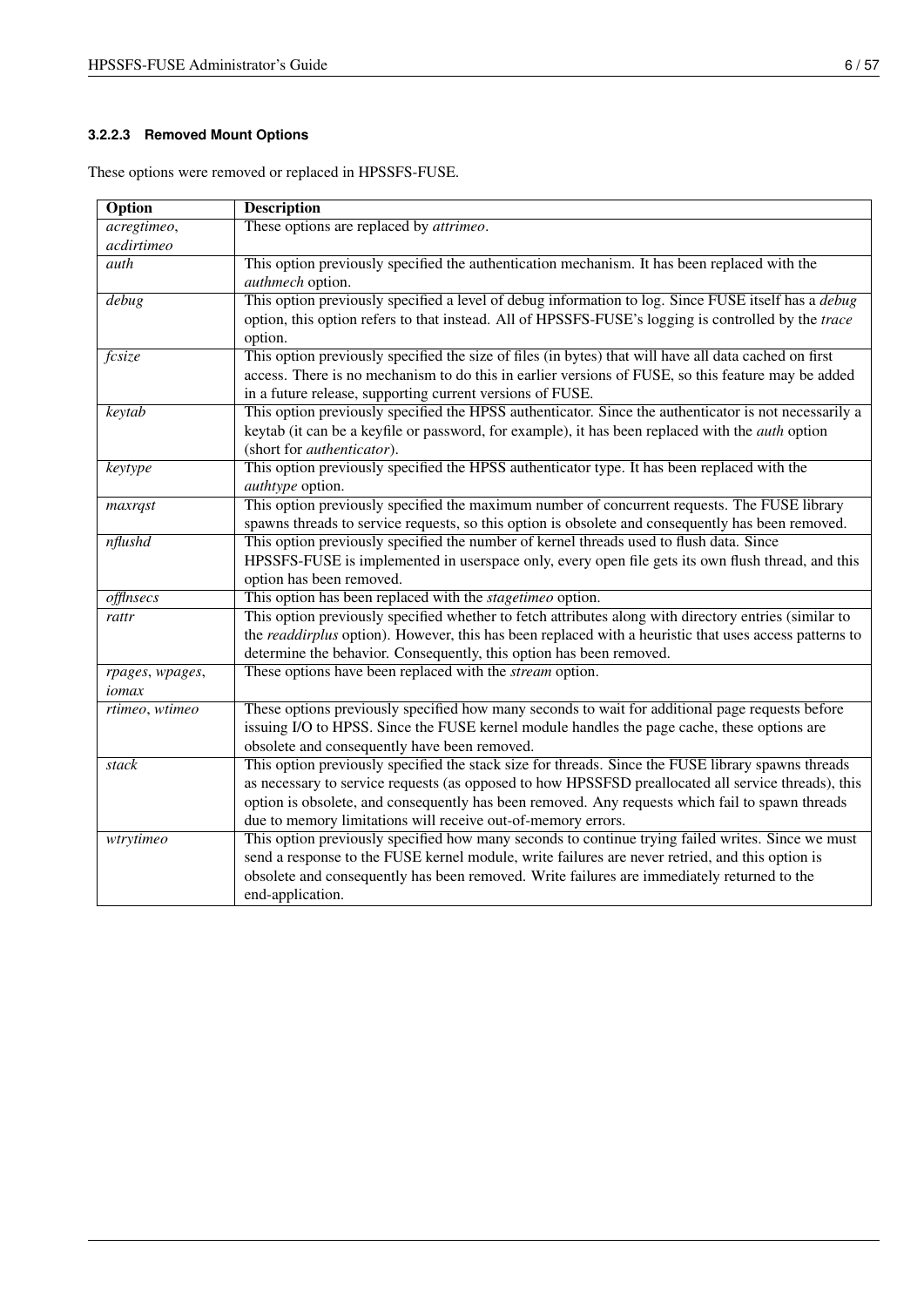## <span id="page-13-0"></span>**3.2.2.3 Removed Mount Options**

| Option             | <b>Description</b>                                                                                         |
|--------------------|------------------------------------------------------------------------------------------------------------|
| acregtimeo,        | These options are replaced by <i>attrimeo</i> .                                                            |
| acdirtimeo         |                                                                                                            |
| auth               | This option previously specified the authentication mechanism. It has been replaced with the               |
|                    | authmech option.                                                                                           |
| $\overline{debug}$ | This option previously specified a level of debug information to log. Since FUSE itself has a <i>debug</i> |
|                    | option, this option refers to that instead. All of HPSSFS-FUSE's logging is controlled by the trace        |
|                    | option.                                                                                                    |
| fcsize             | This option previously specified the size of files (in bytes) that will have all data cached on first      |
|                    | access. There is no mechanism to do this in earlier versions of FUSE, so this feature may be added         |
|                    | in a future release, supporting current versions of FUSE.                                                  |
| keytab             | This option previously specified the HPSS authenticator. Since the authenticator is not necessarily a      |
|                    | keytab (it can be a keyfile or password, for example), it has been replaced with the <i>auth</i> option    |
|                    | (short for <i>authenticator</i> ).                                                                         |
| keytype            | This option previously specified the HPSS authenticator type. It has been replaced with the                |
|                    | authtype option.                                                                                           |
| maxrqst            | This option previously specified the maximum number of concurrent requests. The FUSE library               |
|                    | spawns threads to service requests, so this option is obsolete and consequently has been removed.          |
| $n$ flushd         | This option previously specified the number of kernel threads used to flush data. Since                    |
|                    | HPSSFS-FUSE is implemented in userspace only, every open file gets its own flush thread, and this          |
|                    | option has been removed.                                                                                   |
| offlnsecs          | This option has been replaced with the <i>stagetimeo</i> option.                                           |
| rattr              | This option previously specified whether to fetch attributes along with directory entries (similar to      |
|                    | the readdirplus option). However, this has been replaced with a heuristic that uses access patterns to     |
|                    | determine the behavior. Consequently, this option has been removed.                                        |
| rpages, wpages,    | These options have been replaced with the <i>stream</i> option.                                            |
| iomax              |                                                                                                            |
| rtimeo, wtimeo     | These options previously specified how many seconds to wait for additional page requests before            |
|                    | issuing I/O to HPSS. Since the FUSE kernel module handles the page cache, these options are                |
|                    | obsolete and consequently have been removed.                                                               |
| stack              | This option previously specified the stack size for threads. Since the FUSE library spawns threads         |
|                    | as necessary to service requests (as opposed to how HPSSFSD preallocated all service threads), this        |
|                    | option is obsolete, and consequently has been removed. Any requests which fail to spawn threads            |
|                    | due to memory limitations will receive out-of-memory errors.                                               |
| wtrytimeo          | This option previously specified how many seconds to continue trying failed writes. Since we must          |
|                    | send a response to the FUSE kernel module, write failures are never retried, and this option is            |
|                    | obsolete and consequently has been removed. Write failures are immediately returned to the                 |
|                    | end-application.                                                                                           |

These options were removed or replaced in HPSSFS-FUSE.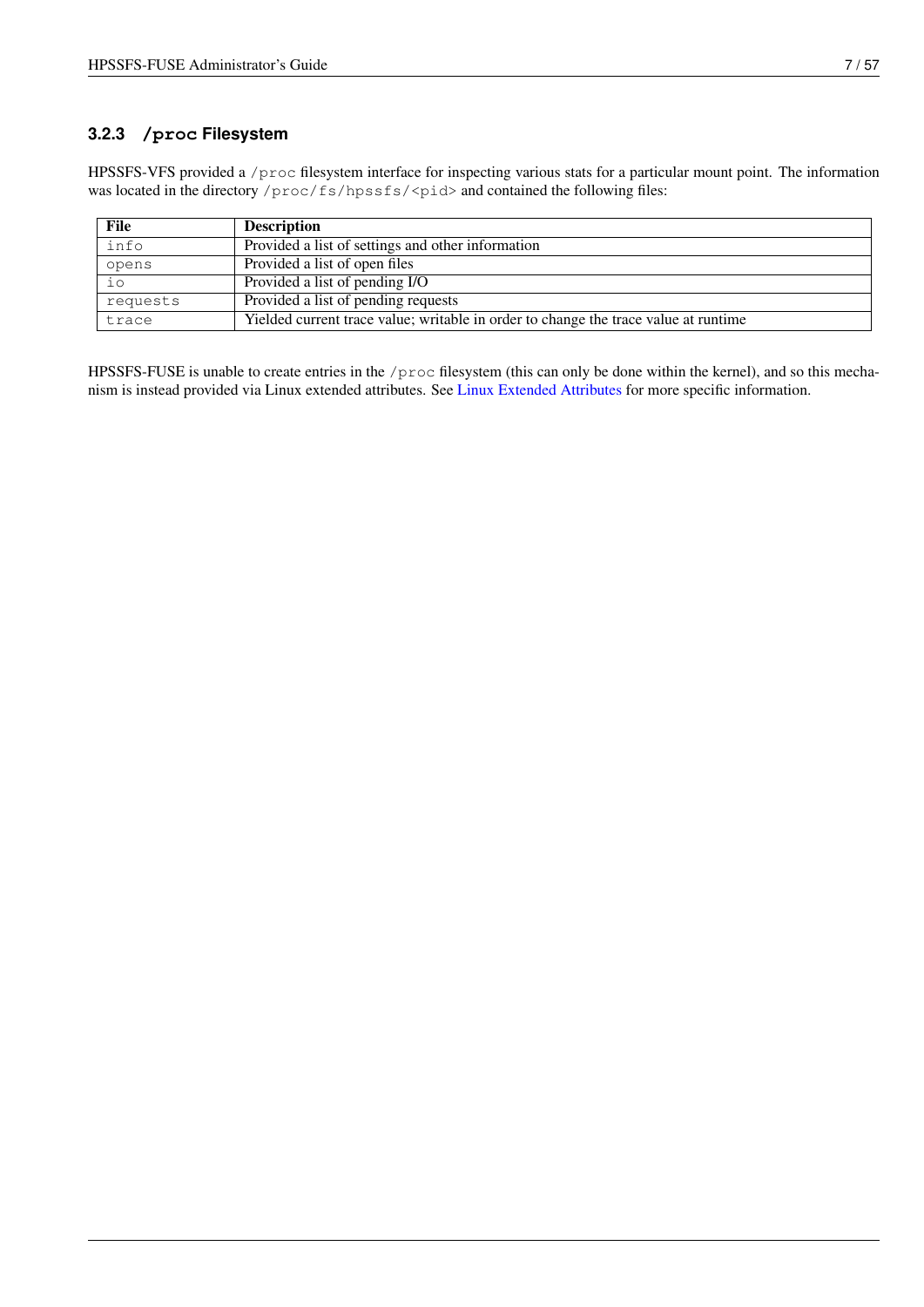## <span id="page-14-0"></span>**3.2.3 /proc Filesystem**

HPSSFS-VFS provided a /proc filesystem interface for inspecting various stats for a particular mount point. The information was located in the directory /proc/fs/hpssfs/<pid> and contained the following files:

| File     | <b>Description</b>                                                                  |
|----------|-------------------------------------------------------------------------------------|
| info     | Provided a list of settings and other information                                   |
| opens    | Provided a list of open files                                                       |
| iο       | Provided a list of pending I/O                                                      |
| requests | Provided a list of pending requests                                                 |
| trace    | Yielded current trace value; writable in order to change the trace value at runtime |

HPSSFS-FUSE is unable to create entries in the /proc filesystem (this can only be done within the kernel), and so this mechanism is instead provided via Linux extended attributes. See [Linux Extended Attributes](#page-52-7) for more specific information.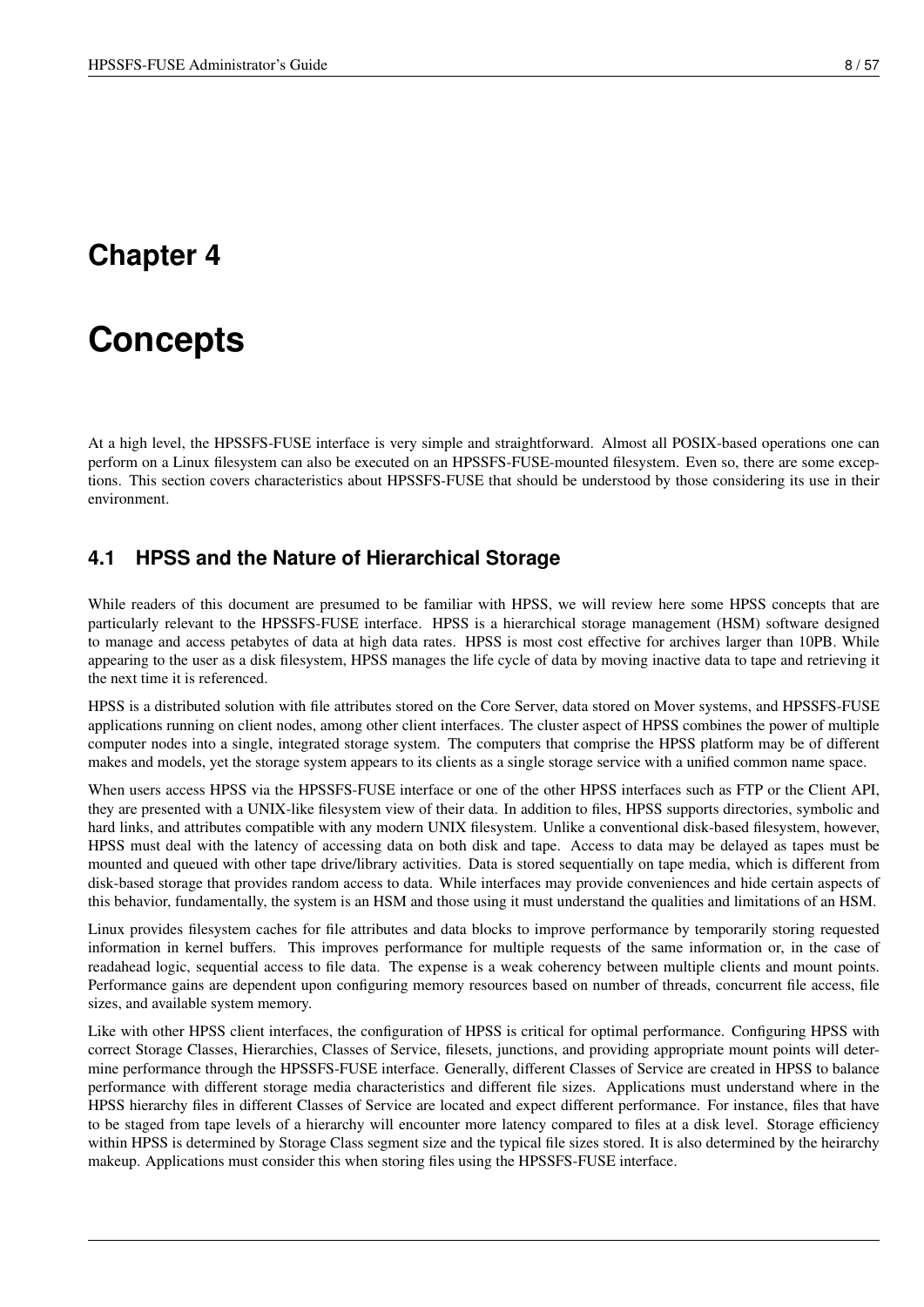# <span id="page-15-0"></span>**Concepts**

<span id="page-15-2"></span>At a high level, the HPSSFS-FUSE interface is very simple and straightforward. Almost all POSIX-based operations one can perform on a Linux filesystem can also be executed on an HPSSFS-FUSE-mounted filesystem. Even so, there are some exceptions. This section covers characteristics about HPSSFS-FUSE that should be understood by those considering its use in their environment.

## <span id="page-15-1"></span>**4.1 HPSS and the Nature of Hierarchical Storage**

While readers of this document are presumed to be familiar with HPSS, we will review here some HPSS concepts that are particularly relevant to the HPSSFS-FUSE interface. HPSS is a hierarchical storage management (HSM) software designed to manage and access petabytes of data at high data rates. HPSS is most cost effective for archives larger than 10PB. While appearing to the user as a disk filesystem, HPSS manages the life cycle of data by moving inactive data to tape and retrieving it the next time it is referenced.

HPSS is a distributed solution with file attributes stored on the Core Server, data stored on Mover systems, and HPSSFS-FUSE applications running on client nodes, among other client interfaces. The cluster aspect of HPSS combines the power of multiple computer nodes into a single, integrated storage system. The computers that comprise the HPSS platform may be of different makes and models, yet the storage system appears to its clients as a single storage service with a unified common name space.

When users access HPSS via the HPSSFS-FUSE interface or one of the other HPSS interfaces such as FTP or the Client API, they are presented with a UNIX-like filesystem view of their data. In addition to files, HPSS supports directories, symbolic and hard links, and attributes compatible with any modern UNIX filesystem. Unlike a conventional disk-based filesystem, however, HPSS must deal with the latency of accessing data on both disk and tape. Access to data may be delayed as tapes must be mounted and queued with other tape drive/library activities. Data is stored sequentially on tape media, which is different from disk-based storage that provides random access to data. While interfaces may provide conveniences and hide certain aspects of this behavior, fundamentally, the system is an HSM and those using it must understand the qualities and limitations of an HSM.

Linux provides filesystem caches for file attributes and data blocks to improve performance by temporarily storing requested information in kernel buffers. This improves performance for multiple requests of the same information or, in the case of readahead logic, sequential access to file data. The expense is a weak coherency between multiple clients and mount points. Performance gains are dependent upon configuring memory resources based on number of threads, concurrent file access, file sizes, and available system memory.

Like with other HPSS client interfaces, the configuration of HPSS is critical for optimal performance. Configuring HPSS with correct Storage Classes, Hierarchies, Classes of Service, filesets, junctions, and providing appropriate mount points will determine performance through the HPSSFS-FUSE interface. Generally, different Classes of Service are created in HPSS to balance performance with different storage media characteristics and different file sizes. Applications must understand where in the HPSS hierarchy files in different Classes of Service are located and expect different performance. For instance, files that have to be staged from tape levels of a hierarchy will encounter more latency compared to files at a disk level. Storage efficiency within HPSS is determined by Storage Class segment size and the typical file sizes stored. It is also determined by the heirarchy makeup. Applications must consider this when storing files using the HPSSFS-FUSE interface.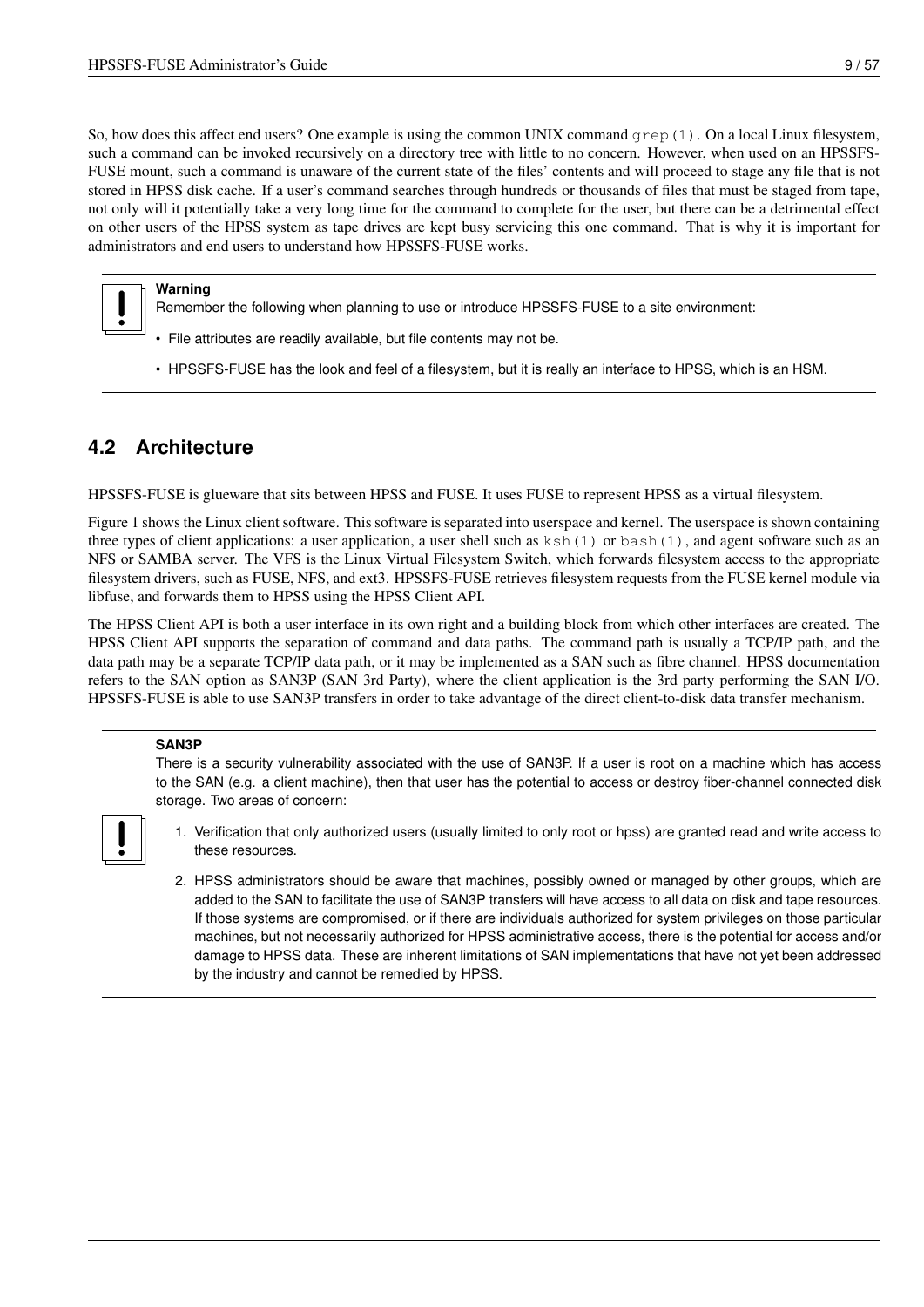So, how does this affect end users? One example is using the common UNIX command  $q_{\text{rep}}(1)$ . On a local Linux filesystem, such a command can be invoked recursively on a directory tree with little to no concern. However, when used on an HPSSFS-FUSE mount, such a command is unaware of the current state of the files' contents and will proceed to stage any file that is not stored in HPSS disk cache. If a user's command searches through hundreds or thousands of files that must be staged from tape, not only will it potentially take a very long time for the command to complete for the user, but there can be a detrimental effect on other users of the HPSS system as tape drives are kept busy servicing this one command. That is why it is important for administrators and end users to understand how HPSSFS-FUSE works.

#### **Warning**

- Remember the following when planning to use or introduce HPSSFS-FUSE to a site environment:
- File attributes are readily available, but file contents may not be.
- HPSSFS-FUSE has the look and feel of a filesystem, but it is really an interface to HPSS, which is an HSM.

## <span id="page-16-0"></span>**4.2 Architecture**

HPSSFS-FUSE is glueware that sits between HPSS and FUSE. It uses FUSE to represent HPSS as a virtual filesystem.

Figure 1 shows the Linux client software. This software is separated into userspace and kernel. The userspace is shown containing three types of client applications: a user application, a user shell such as  $k \text{ sh}(1)$  or  $b \text{ as } (1)$ , and agent software such as an NFS or SAMBA server. The VFS is the Linux Virtual Filesystem Switch, which forwards filesystem access to the appropriate filesystem drivers, such as FUSE, NFS, and ext3. HPSSFS-FUSE retrieves filesystem requests from the FUSE kernel module via libfuse, and forwards them to HPSS using the HPSS Client API.

The HPSS Client API is both a user interface in its own right and a building block from which other interfaces are created. The HPSS Client API supports the separation of command and data paths. The command path is usually a TCP/IP path, and the data path may be a separate TCP/IP data path, or it may be implemented as a SAN such as fibre channel. HPSS documentation refers to the SAN option as SAN3P (SAN 3rd Party), where the client application is the 3rd party performing the SAN I/O. HPSSFS-FUSE is able to use SAN3P transfers in order to take advantage of the direct client-to-disk data transfer mechanism.

#### **SAN3P**

There is a security vulnerability associated with the use of SAN3P. If a user is root on a machine which has access to the SAN (e.g. a client machine), then that user has the potential to access or destroy fiber-channel connected disk storage. Two areas of concern:



- 1. Verification that only authorized users (usually limited to only root or hpss) are granted read and write access to these resources.
- 2. HPSS administrators should be aware that machines, possibly owned or managed by other groups, which are added to the SAN to facilitate the use of SAN3P transfers will have access to all data on disk and tape resources. If those systems are compromised, or if there are individuals authorized for system privileges on those particular machines, but not necessarily authorized for HPSS administrative access, there is the potential for access and/or damage to HPSS data. These are inherent limitations of SAN implementations that have not yet been addressed by the industry and cannot be remedied by HPSS.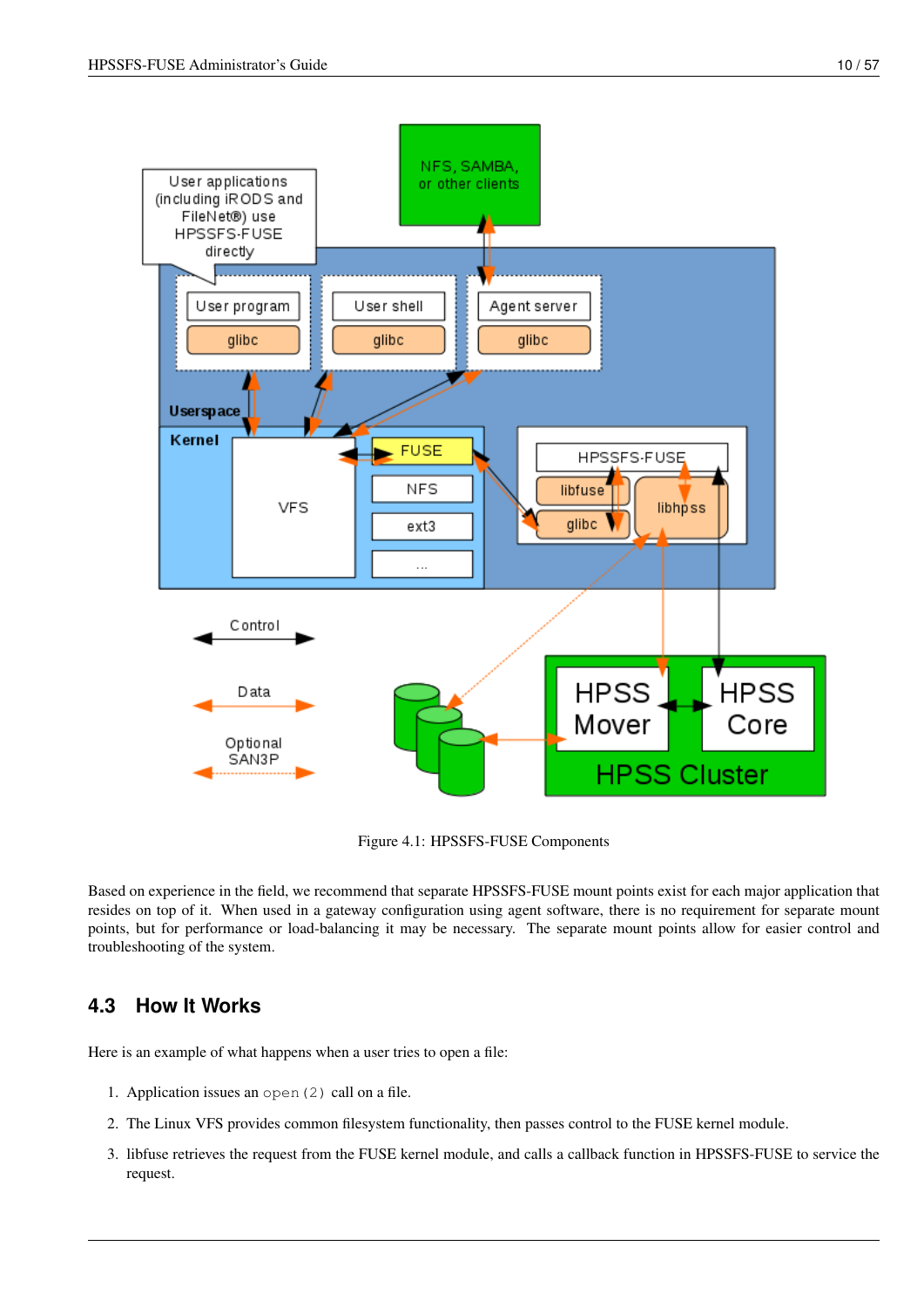User applications

(including iRODS and FileNet®) use HPSSFS-FUSE directly

User program





User shell

Figure 4.1: HPSSFS-FUSE Components

Based on experience in the field, we recommend that separate HPSSFS-FUSE mount points exist for each major application that resides on top of it. When used in a gateway configuration using agent software, there is no requirement for separate mount points, but for performance or load-balancing it may be necessary. The separate mount points allow for easier control and troubleshooting of the system.

## <span id="page-17-0"></span>**4.3 How It Works**

Here is an example of what happens when a user tries to open a file:

- 1. Application issues an open(2) call on a file.
- 2. The Linux VFS provides common filesystem functionality, then passes control to the FUSE kernel module.
- 3. libfuse retrieves the request from the FUSE kernel module, and calls a callback function in HPSSFS-FUSE to service the request.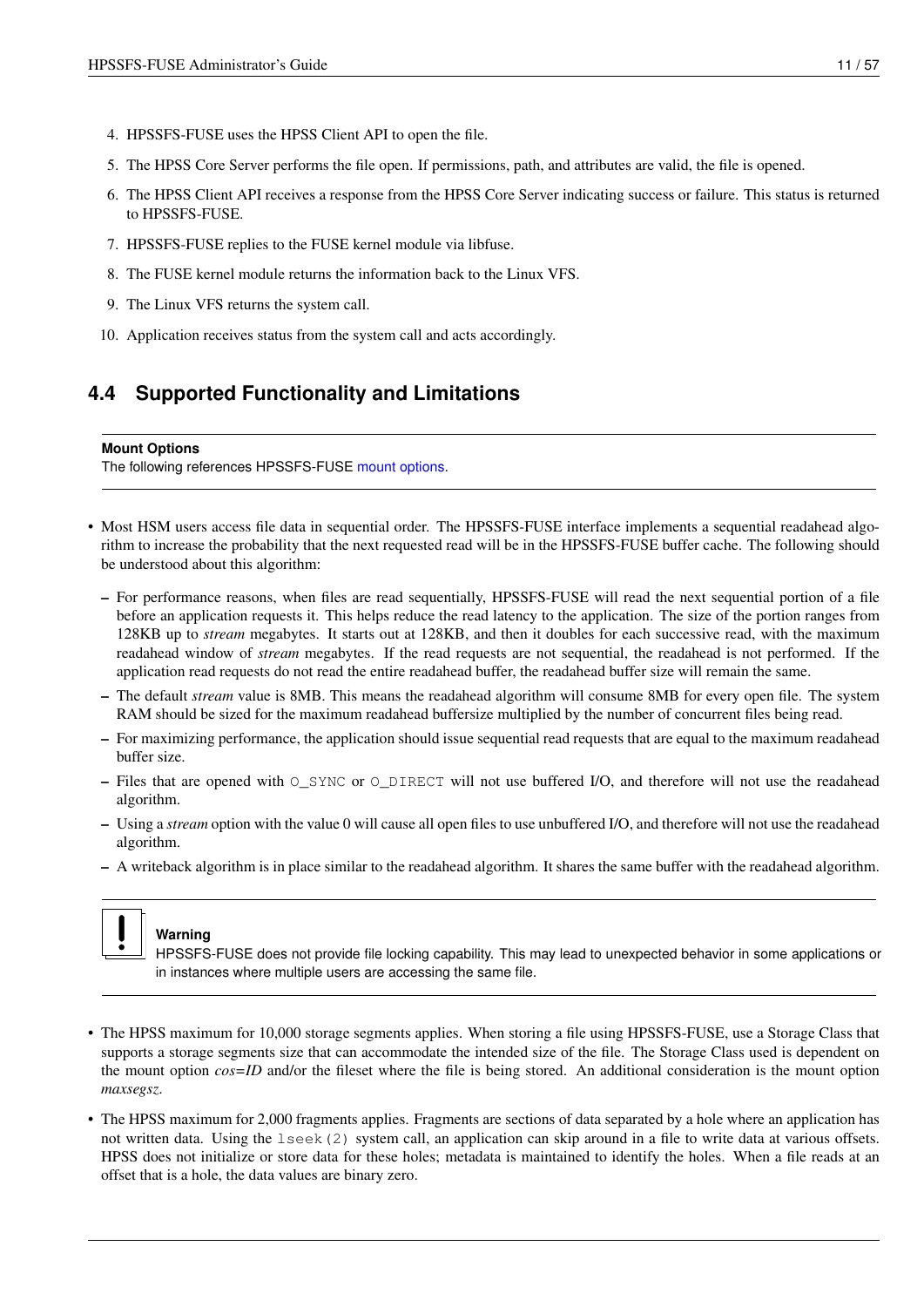- 4. HPSSFS-FUSE uses the HPSS Client API to open the file.
- 5. The HPSS Core Server performs the file open. If permissions, path, and attributes are valid, the file is opened.
- 6. The HPSS Client API receives a response from the HPSS Core Server indicating success or failure. This status is returned to HPSSFS-FUSE.
- 7. HPSSFS-FUSE replies to the FUSE kernel module via libfuse.
- 8. The FUSE kernel module returns the information back to the Linux VFS.
- 9. The Linux VFS returns the system call.
- 10. Application receives status from the system call and acts accordingly.

## <span id="page-18-0"></span>**4.4 Supported Functionality and Limitations**

#### **Mount Options**

The following references HPSSFS-FUSE [mount options.](#page-30-3)

- Most HSM users access file data in sequential order. The HPSSFS-FUSE interface implements a sequential readahead algorithm to increase the probability that the next requested read will be in the HPSSFS-FUSE buffer cache. The following should be understood about this algorithm:
	- For performance reasons, when files are read sequentially, HPSSFS-FUSE will read the next sequential portion of a file before an application requests it. This helps reduce the read latency to the application. The size of the portion ranges from 128KB up to *stream* megabytes. It starts out at 128KB, and then it doubles for each successive read, with the maximum readahead window of *stream* megabytes. If the read requests are not sequential, the readahead is not performed. If the application read requests do not read the entire readahead buffer, the readahead buffer size will remain the same.
	- The default *stream* value is 8MB. This means the readahead algorithm will consume 8MB for every open file. The system RAM should be sized for the maximum readahead buffersize multiplied by the number of concurrent files being read.
	- For maximizing performance, the application should issue sequential read requests that are equal to the maximum readahead buffer size.
	- Files that are opened with  $\circ$  SYNC or  $\circ$  DIRECT will not use buffered I/O, and therefore will not use the readahead algorithm.
	- Using a *stream* option with the value 0 will cause all open files to use unbuffered I/O, and therefore will not use the readahead algorithm.
	- A writeback algorithm is in place similar to the readahead algorithm. It shares the same buffer with the readahead algorithm.



## **Warning**

HPSSFS-FUSE does not provide file locking capability. This may lead to unexpected behavior in some applications or in instances where multiple users are accessing the same file.

- The HPSS maximum for 10,000 storage segments applies. When storing a file using HPSSFS-FUSE, use a Storage Class that supports a storage segments size that can accommodate the intended size of the file. The Storage Class used is dependent on the mount option *cos=ID* and/or the fileset where the file is being stored. An additional consideration is the mount option *maxsegsz*.
- The HPSS maximum for 2,000 fragments applies. Fragments are sections of data separated by a hole where an application has not written data. Using the lseek(2) system call, an application can skip around in a file to write data at various offsets. HPSS does not initialize or store data for these holes; metadata is maintained to identify the holes. When a file reads at an offset that is a hole, the data values are binary zero.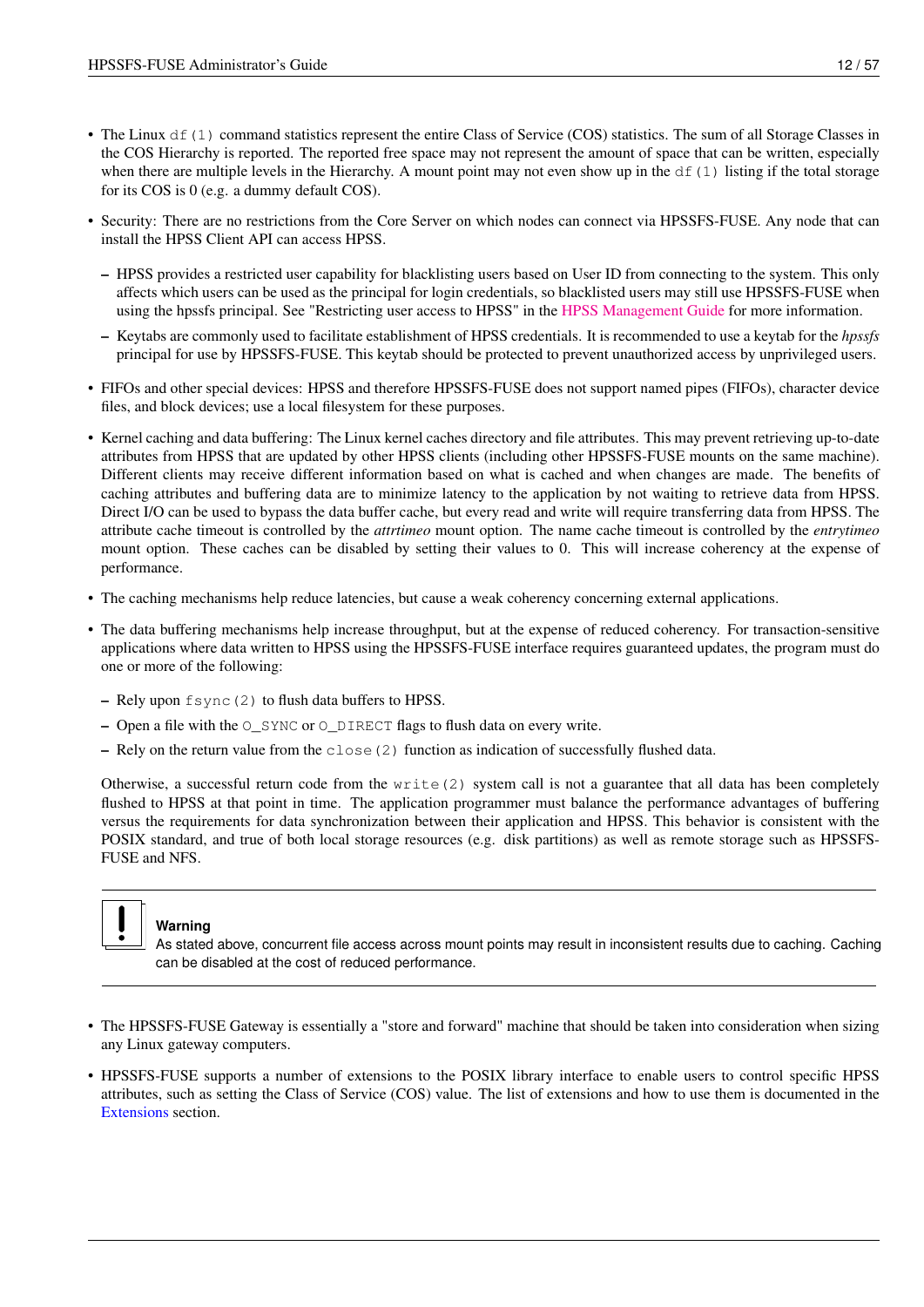- The Linux  $df(1)$  command statistics represent the entire Class of Service (COS) statistics. The sum of all Storage Classes in the COS Hierarchy is reported. The reported free space may not represent the amount of space that can be written, especially when there are multiple levels in the Hierarchy. A mount point may not even show up in the  $df(1)$  listing if the total storage for its COS is 0 (e.g. a dummy default COS).
- Security: There are no restrictions from the Core Server on which nodes can connect via HPSSFS-FUSE. Any node that can install the HPSS Client API can access HPSS.
	- HPSS provides a restricted user capability for blacklisting users based on User ID from connecting to the system. This only affects which users can be used as the principal for login credentials, so blacklisted users may still use HPSSFS-FUSE when using the hpssfs principal. See "Restricting user access to HPSS" in the [HPSS Management Guide](http://www.hpss-collaboration.org/online_doc.shtml) for more information.
	- Keytabs are commonly used to facilitate establishment of HPSS credentials. It is recommended to use a keytab for the *hpssfs* principal for use by HPSSFS-FUSE. This keytab should be protected to prevent unauthorized access by unprivileged users.
- FIFOs and other special devices: HPSS and therefore HPSSFS-FUSE does not support named pipes (FIFOs), character device files, and block devices; use a local filesystem for these purposes.
- Kernel caching and data buffering: The Linux kernel caches directory and file attributes. This may prevent retrieving up-to-date attributes from HPSS that are updated by other HPSS clients (including other HPSSFS-FUSE mounts on the same machine). Different clients may receive different information based on what is cached and when changes are made. The benefits of caching attributes and buffering data are to minimize latency to the application by not waiting to retrieve data from HPSS. Direct I/O can be used to bypass the data buffer cache, but every read and write will require transferring data from HPSS. The attribute cache timeout is controlled by the *attrtimeo* mount option. The name cache timeout is controlled by the *entrytimeo* mount option. These caches can be disabled by setting their values to 0. This will increase coherency at the expense of performance.
- The caching mechanisms help reduce latencies, but cause a weak coherency concerning external applications.
- The data buffering mechanisms help increase throughput, but at the expense of reduced coherency. For transaction-sensitive applications where data written to HPSS using the HPSSFS-FUSE interface requires guaranteed updates, the program must do one or more of the following:
	- Rely upon fsync(2) to flush data buffers to HPSS.
	- Open a file with the O\_SYNC or O\_DIRECT flags to flush data on every write.
	- Rely on the return value from the  $\text{close}(2)$  function as indication of successfully flushed data.

Otherwise, a successful return code from the write (2) system call is not a guarantee that all data has been completely flushed to HPSS at that point in time. The application programmer must balance the performance advantages of buffering versus the requirements for data synchronization between their application and HPSS. This behavior is consistent with the POSIX standard, and true of both local storage resources (e.g. disk partitions) as well as remote storage such as HPSSFS-FUSE and NFS.



### **Warning**

As stated above, concurrent file access across mount points may result in inconsistent results due to caching. Caching can be disabled at the cost of reduced performance.

- The HPSSFS-FUSE Gateway is essentially a "store and forward" machine that should be taken into consideration when sizing any Linux gateway computers.
- HPSSFS-FUSE supports a number of extensions to the POSIX library interface to enable users to control specific HPSS attributes, such as setting the Class of Service (COS) value. The list of extensions and how to use them is documented in the [Extensions](#page-35-2) section.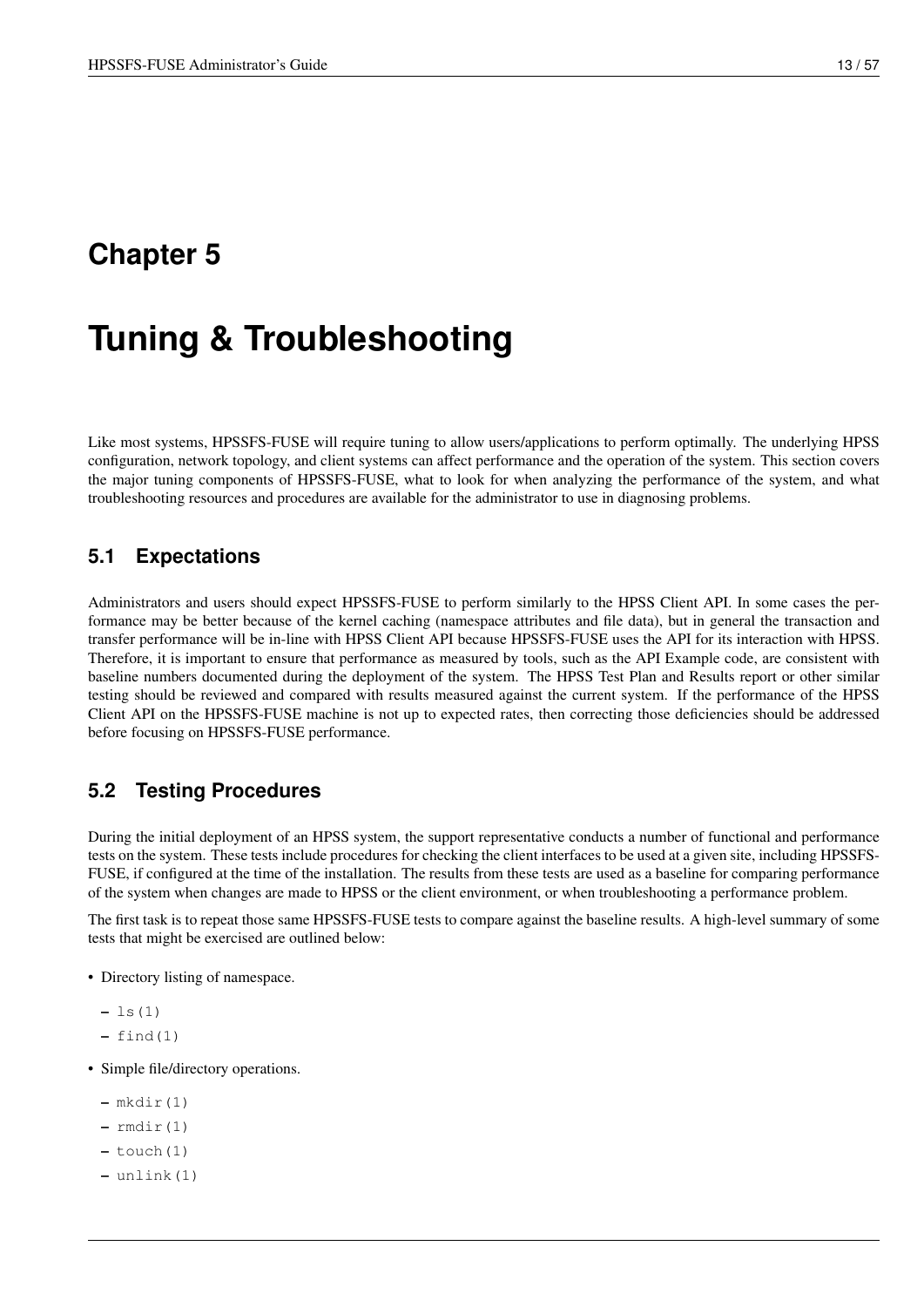# <span id="page-20-0"></span>**Tuning & Troubleshooting**

Like most systems, HPSSFS-FUSE will require tuning to allow users/applications to perform optimally. The underlying HPSS configuration, network topology, and client systems can affect performance and the operation of the system. This section covers the major tuning components of HPSSFS-FUSE, what to look for when analyzing the performance of the system, and what troubleshooting resources and procedures are available for the administrator to use in diagnosing problems.

### <span id="page-20-1"></span>**5.1 Expectations**

Administrators and users should expect HPSSFS-FUSE to perform similarly to the HPSS Client API. In some cases the performance may be better because of the kernel caching (namespace attributes and file data), but in general the transaction and transfer performance will be in-line with HPSS Client API because HPSSFS-FUSE uses the API for its interaction with HPSS. Therefore, it is important to ensure that performance as measured by tools, such as the API Example code, are consistent with baseline numbers documented during the deployment of the system. The HPSS Test Plan and Results report or other similar testing should be reviewed and compared with results measured against the current system. If the performance of the HPSS Client API on the HPSSFS-FUSE machine is not up to expected rates, then correcting those deficiencies should be addressed before focusing on HPSSFS-FUSE performance.

## <span id="page-20-2"></span>**5.2 Testing Procedures**

During the initial deployment of an HPSS system, the support representative conducts a number of functional and performance tests on the system. These tests include procedures for checking the client interfaces to be used at a given site, including HPSSFS-FUSE, if configured at the time of the installation. The results from these tests are used as a baseline for comparing performance of the system when changes are made to HPSS or the client environment, or when troubleshooting a performance problem.

The first task is to repeat those same HPSSFS-FUSE tests to compare against the baseline results. A high-level summary of some tests that might be exercised are outlined below:

- Directory listing of namespace.
	- $-$  ls(1)
	- $-$  find(1)
- Simple file/directory operations.
	- $-$  mkdir(1)
	- $-$  rmdir(1)
	- $-$  touch(1)
	- unlink(1)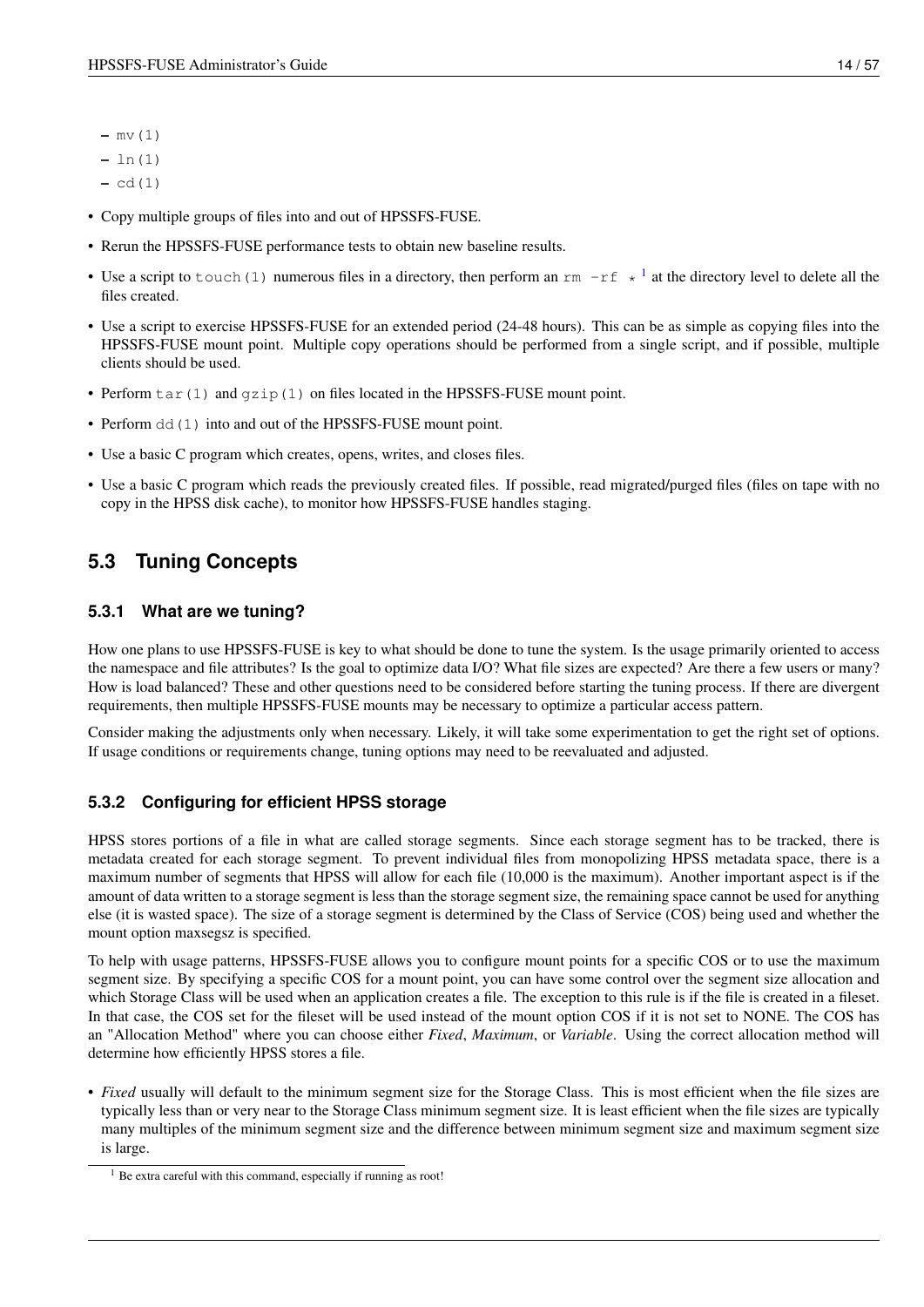- $-$  mv $(1)$
- ln(1)
- $-$  cd(1)
- Copy multiple groups of files into and out of HPSSFS-FUSE.
- Rerun the HPSSFS-FUSE performance tests to obtain new baseline results.
- Use a script to touch ([1](#page-21-3)) numerous files in a directory, then perform an  $rm -r f \star 1$  at the directory level to delete all the files created.
- Use a script to exercise HPSSFS-FUSE for an extended period (24-48 hours). This can be as simple as copying files into the HPSSFS-FUSE mount point. Multiple copy operations should be performed from a single script, and if possible, multiple clients should be used.
- Perform tar(1) and gzip(1) on files located in the HPSSFS-FUSE mount point.
- Perform dd(1) into and out of the HPSSFS-FUSE mount point.
- Use a basic C program which creates, opens, writes, and closes files.
- Use a basic C program which reads the previously created files. If possible, read migrated/purged files (files on tape with no copy in the HPSS disk cache), to monitor how HPSSFS-FUSE handles staging.

# <span id="page-21-0"></span>**5.3 Tuning Concepts**

### <span id="page-21-1"></span>**5.3.1 What are we tuning?**

How one plans to use HPSSFS-FUSE is key to what should be done to tune the system. Is the usage primarily oriented to access the namespace and file attributes? Is the goal to optimize data I/O? What file sizes are expected? Are there a few users or many? How is load balanced? These and other questions need to be considered before starting the tuning process. If there are divergent requirements, then multiple HPSSFS-FUSE mounts may be necessary to optimize a particular access pattern.

Consider making the adjustments only when necessary. Likely, it will take some experimentation to get the right set of options. If usage conditions or requirements change, tuning options may need to be reevaluated and adjusted.

### <span id="page-21-2"></span>**5.3.2 Configuring for efficient HPSS storage**

HPSS stores portions of a file in what are called storage segments. Since each storage segment has to be tracked, there is metadata created for each storage segment. To prevent individual files from monopolizing HPSS metadata space, there is a maximum number of segments that HPSS will allow for each file (10,000 is the maximum). Another important aspect is if the amount of data written to a storage segment is less than the storage segment size, the remaining space cannot be used for anything else (it is wasted space). The size of a storage segment is determined by the Class of Service (COS) being used and whether the mount option maxsegsz is specified.

To help with usage patterns, HPSSFS-FUSE allows you to configure mount points for a specific COS or to use the maximum segment size. By specifying a specific COS for a mount point, you can have some control over the segment size allocation and which Storage Class will be used when an application creates a file. The exception to this rule is if the file is created in a fileset. In that case, the COS set for the fileset will be used instead of the mount option COS if it is not set to NONE. The COS has an "Allocation Method" where you can choose either *Fixed*, *Maximum*, or *Variable*. Using the correct allocation method will determine how efficiently HPSS stores a file.

• *Fixed* usually will default to the minimum segment size for the Storage Class. This is most efficient when the file sizes are typically less than or very near to the Storage Class minimum segment size. It is least efficient when the file sizes are typically many multiples of the minimum segment size and the difference between minimum segment size and maximum segment size is large.

<span id="page-21-3"></span><sup>&</sup>lt;sup>1</sup> Be extra careful with this command, especially if running as root!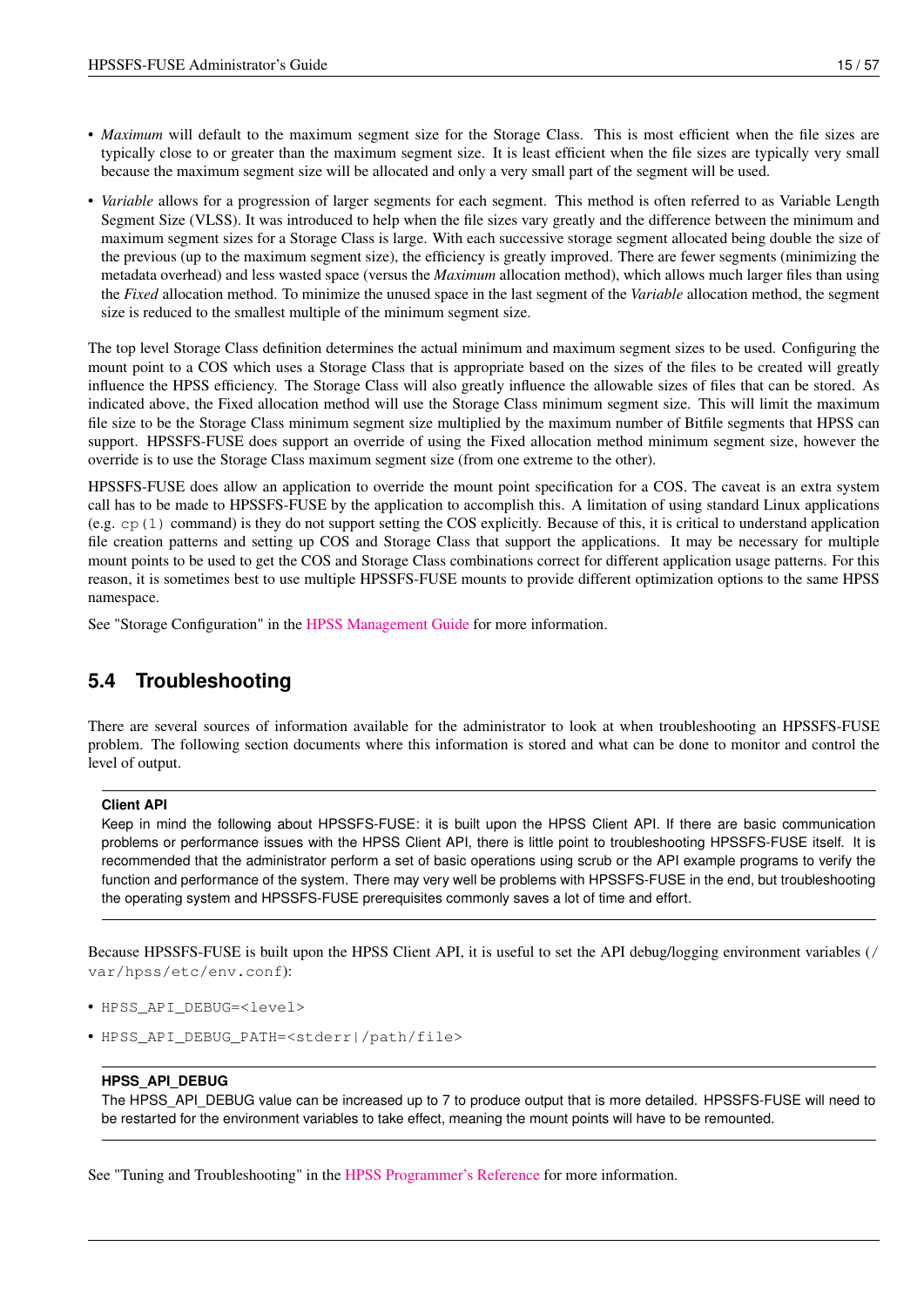- *Maximum* will default to the maximum segment size for the Storage Class. This is most efficient when the file sizes are typically close to or greater than the maximum segment size. It is least efficient when the file sizes are typically very small because the maximum segment size will be allocated and only a very small part of the segment will be used.
- *Variable* allows for a progression of larger segments for each segment. This method is often referred to as Variable Length Segment Size (VLSS). It was introduced to help when the file sizes vary greatly and the difference between the minimum and maximum segment sizes for a Storage Class is large. With each successive storage segment allocated being double the size of the previous (up to the maximum segment size), the efficiency is greatly improved. There are fewer segments (minimizing the metadata overhead) and less wasted space (versus the *Maximum* allocation method), which allows much larger files than using the *Fixed* allocation method. To minimize the unused space in the last segment of the *Variable* allocation method, the segment size is reduced to the smallest multiple of the minimum segment size.

The top level Storage Class definition determines the actual minimum and maximum segment sizes to be used. Configuring the mount point to a COS which uses a Storage Class that is appropriate based on the sizes of the files to be created will greatly influence the HPSS efficiency. The Storage Class will also greatly influence the allowable sizes of files that can be stored. As indicated above, the Fixed allocation method will use the Storage Class minimum segment size. This will limit the maximum file size to be the Storage Class minimum segment size multiplied by the maximum number of Bitfile segments that HPSS can support. HPSSFS-FUSE does support an override of using the Fixed allocation method minimum segment size, however the override is to use the Storage Class maximum segment size (from one extreme to the other).

HPSSFS-FUSE does allow an application to override the mount point specification for a COS. The caveat is an extra system call has to be made to HPSSFS-FUSE by the application to accomplish this. A limitation of using standard Linux applications (e.g.  $cp(1)$  command) is they do not support setting the COS explicitly. Because of this, it is critical to understand application file creation patterns and setting up COS and Storage Class that support the applications. It may be necessary for multiple mount points to be used to get the COS and Storage Class combinations correct for different application usage patterns. For this reason, it is sometimes best to use multiple HPSSFS-FUSE mounts to provide different optimization options to the same HPSS namespace.

See "Storage Configuration" in the [HPSS Management Guide](http://www.hpss-collaboration.org/online_doc.shtml) for more information.

## <span id="page-22-0"></span>**5.4 Troubleshooting**

There are several sources of information available for the administrator to look at when troubleshooting an HPSSFS-FUSE problem. The following section documents where this information is stored and what can be done to monitor and control the level of output.

#### **Client API**

Keep in mind the following about HPSSFS-FUSE: it is built upon the HPSS Client API. If there are basic communication problems or performance issues with the HPSS Client API, there is little point to troubleshooting HPSSFS-FUSE itself. It is recommended that the administrator perform a set of basic operations using scrub or the API example programs to verify the function and performance of the system. There may very well be problems with HPSSFS-FUSE in the end, but troubleshooting the operating system and HPSSFS-FUSE prerequisites commonly saves a lot of time and effort.

Because HPSSFS-FUSE is built upon the HPSS Client API, it is useful to set the API debug/logging environment variables (/ var/hpss/etc/env.conf):

- HPSS\_API\_DEBUG=<level>
- HPSS\_API\_DEBUG\_PATH=<stderr|/path/file>

#### **HPSS\_API\_DEBUG**

The HPSS\_API\_DEBUG value can be increased up to 7 to produce output that is more detailed. HPSSFS-FUSE will need to be restarted for the environment variables to take effect, meaning the mount points will have to be remounted.

See "Tuning and Troubleshooting" in the [HPSS Programmer's Reference](http://www.hpss-collaboration.org/user_doc.shtml) for more information.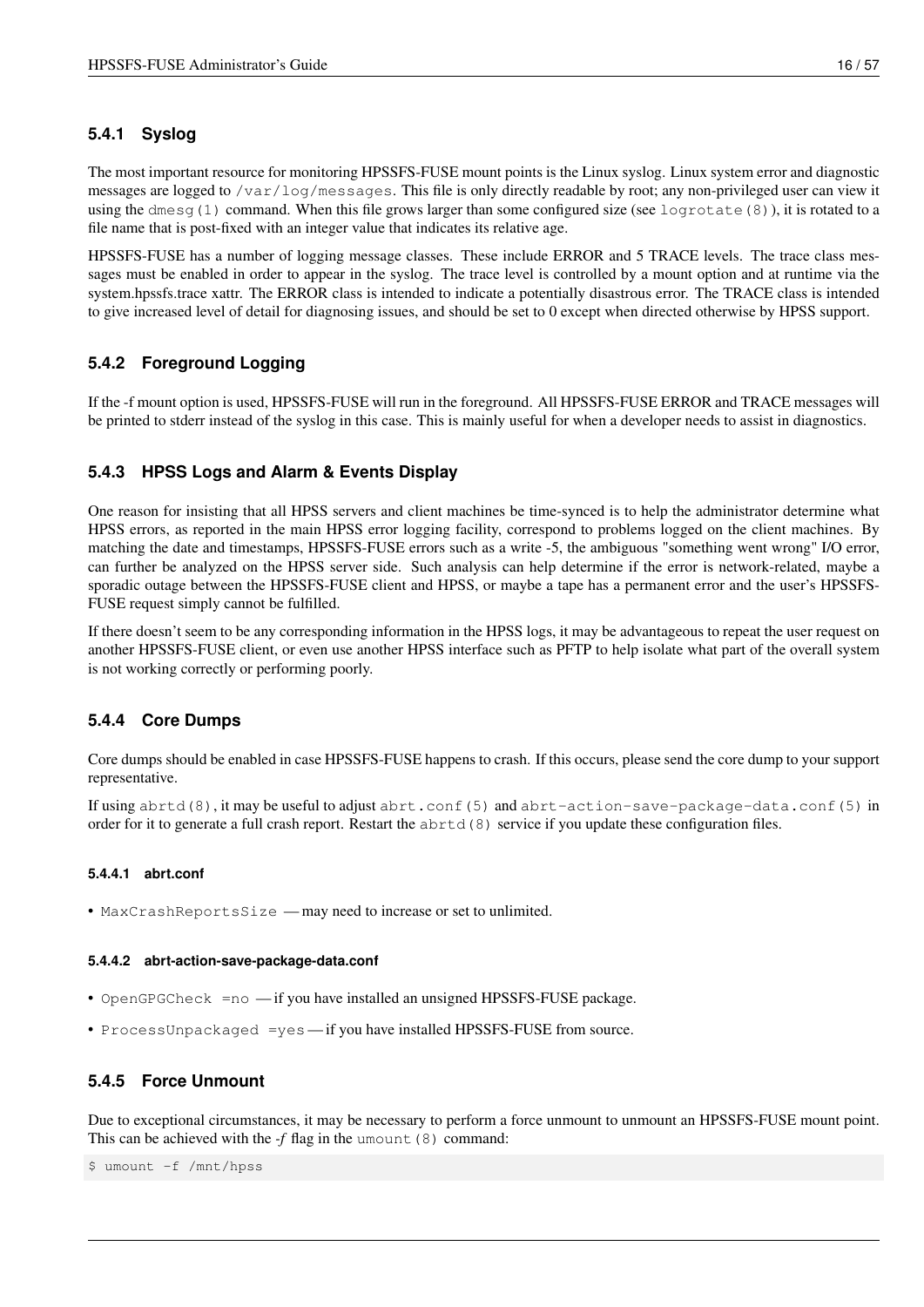### <span id="page-23-0"></span>**5.4.1 Syslog**

The most important resource for monitoring HPSSFS-FUSE mount points is the Linux syslog. Linux system error and diagnostic messages are logged to /var/log/messages. This file is only directly readable by root; any non-privileged user can view it using the dmesq(1) command. When this file grows larger than some configured size (see logrotate(8)), it is rotated to a file name that is post-fixed with an integer value that indicates its relative age.

HPSSFS-FUSE has a number of logging message classes. These include ERROR and 5 TRACE levels. The trace class messages must be enabled in order to appear in the syslog. The trace level is controlled by a mount option and at runtime via the system.hpssfs.trace xattr. The ERROR class is intended to indicate a potentially disastrous error. The TRACE class is intended to give increased level of detail for diagnosing issues, and should be set to 0 except when directed otherwise by HPSS support.

### <span id="page-23-1"></span>**5.4.2 Foreground Logging**

If the -f mount option is used, HPSSFS-FUSE will run in the foreground. All HPSSFS-FUSE ERROR and TRACE messages will be printed to stderr instead of the syslog in this case. This is mainly useful for when a developer needs to assist in diagnostics.

### <span id="page-23-2"></span>**5.4.3 HPSS Logs and Alarm & Events Display**

One reason for insisting that all HPSS servers and client machines be time-synced is to help the administrator determine what HPSS errors, as reported in the main HPSS error logging facility, correspond to problems logged on the client machines. By matching the date and timestamps, HPSSFS-FUSE errors such as a write -5, the ambiguous "something went wrong" I/O error, can further be analyzed on the HPSS server side. Such analysis can help determine if the error is network-related, maybe a sporadic outage between the HPSSFS-FUSE client and HPSS, or maybe a tape has a permanent error and the user's HPSSFS-FUSE request simply cannot be fulfilled.

If there doesn't seem to be any corresponding information in the HPSS logs, it may be advantageous to repeat the user request on another HPSSFS-FUSE client, or even use another HPSS interface such as PFTP to help isolate what part of the overall system is not working correctly or performing poorly.

### <span id="page-23-3"></span>**5.4.4 Core Dumps**

Core dumps should be enabled in case HPSSFS-FUSE happens to crash. If this occurs, please send the core dump to your support representative.

If using abrtd(8), it may be useful to adjust abrt.conf(5) and abrt-action-save-package-data.conf(5) in order for it to generate a full crash report. Restart the abrtd(8) service if you update these configuration files.

### <span id="page-23-4"></span>**5.4.4.1 abrt.conf**

• MaxCrashReportsSize — may need to increase or set to unlimited.

#### <span id="page-23-5"></span>**5.4.4.2 abrt-action-save-package-data.conf**

- OpenGPGCheck =no if you have installed an unsigned HPSSFS-FUSE package.
- ProcessUnpackaged =yes if you have installed HPSSFS-FUSE from source.

### <span id="page-23-6"></span>**5.4.5 Force Unmount**

Due to exceptional circumstances, it may be necessary to perform a force unmount to unmount an HPSSFS-FUSE mount point. This can be achieved with the *-f* flag in the umount (8) command:

\$ umount -f /mnt/hpss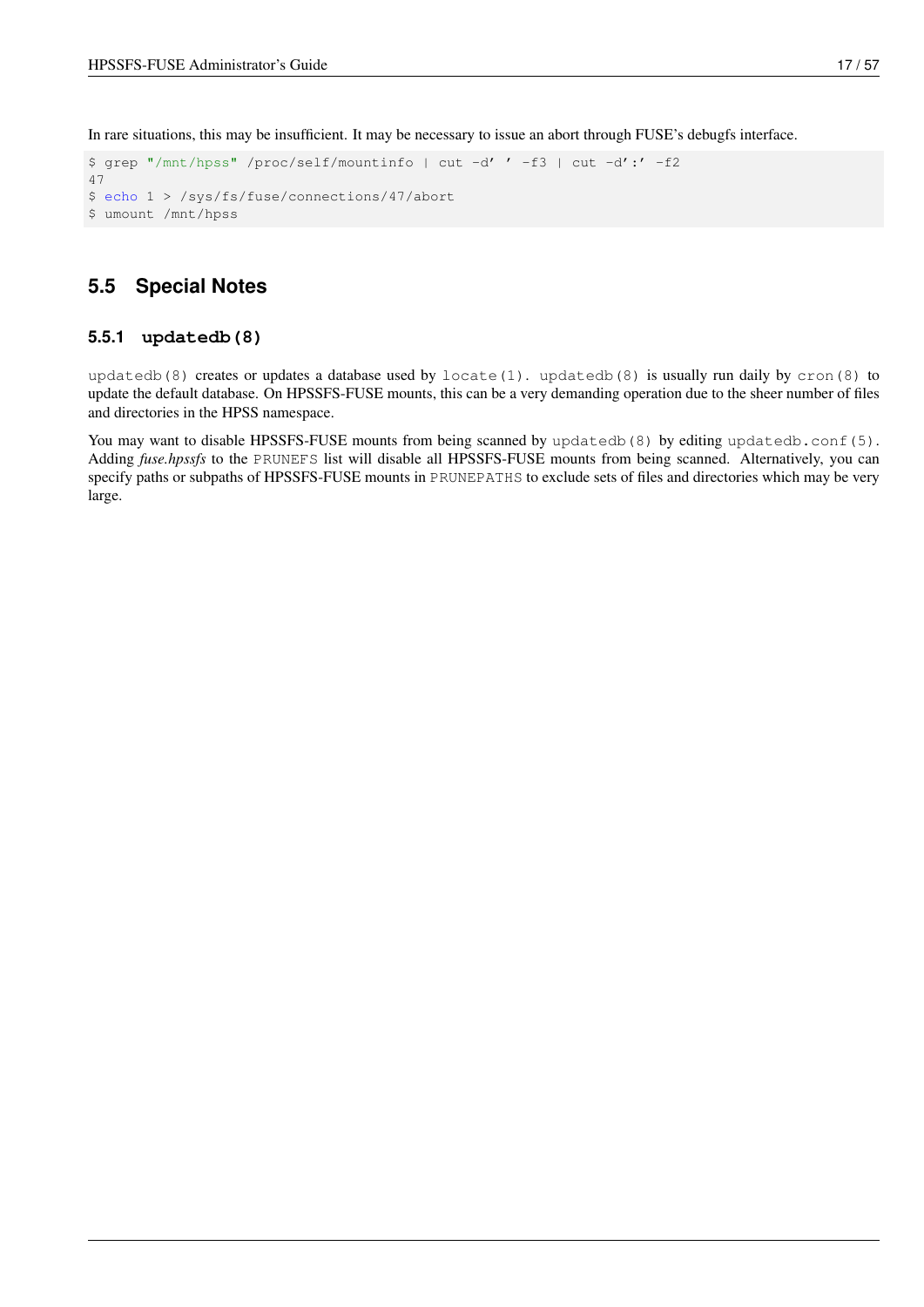In rare situations, this may be insufficient. It may be necessary to issue an abort through FUSE's debugfs interface.

```
$ grep "/mnt/hpss" /proc/self/mountinfo | cut -d' ' -f3 | cut -d':' -f2
47
$ echo 1 > /sys/fs/fuse/connections/47/abort
$ umount /mnt/hpss
```
## <span id="page-24-0"></span>**5.5 Special Notes**

### <span id="page-24-1"></span>**5.5.1 updatedb(8)**

updatedb(8) creates or updates a database used by locate(1). updatedb(8) is usually run daily by cron(8) to update the default database. On HPSSFS-FUSE mounts, this can be a very demanding operation due to the sheer number of files and directories in the HPSS namespace.

You may want to disable HPSSFS-FUSE mounts from being scanned by updatedb(8) by editing updatedb.conf(5). Adding *fuse.hpssfs* to the PRUNEFS list will disable all HPSSFS-FUSE mounts from being scanned. Alternatively, you can specify paths or subpaths of HPSSFS-FUSE mounts in PRUNEPATHS to exclude sets of files and directories which may be very large.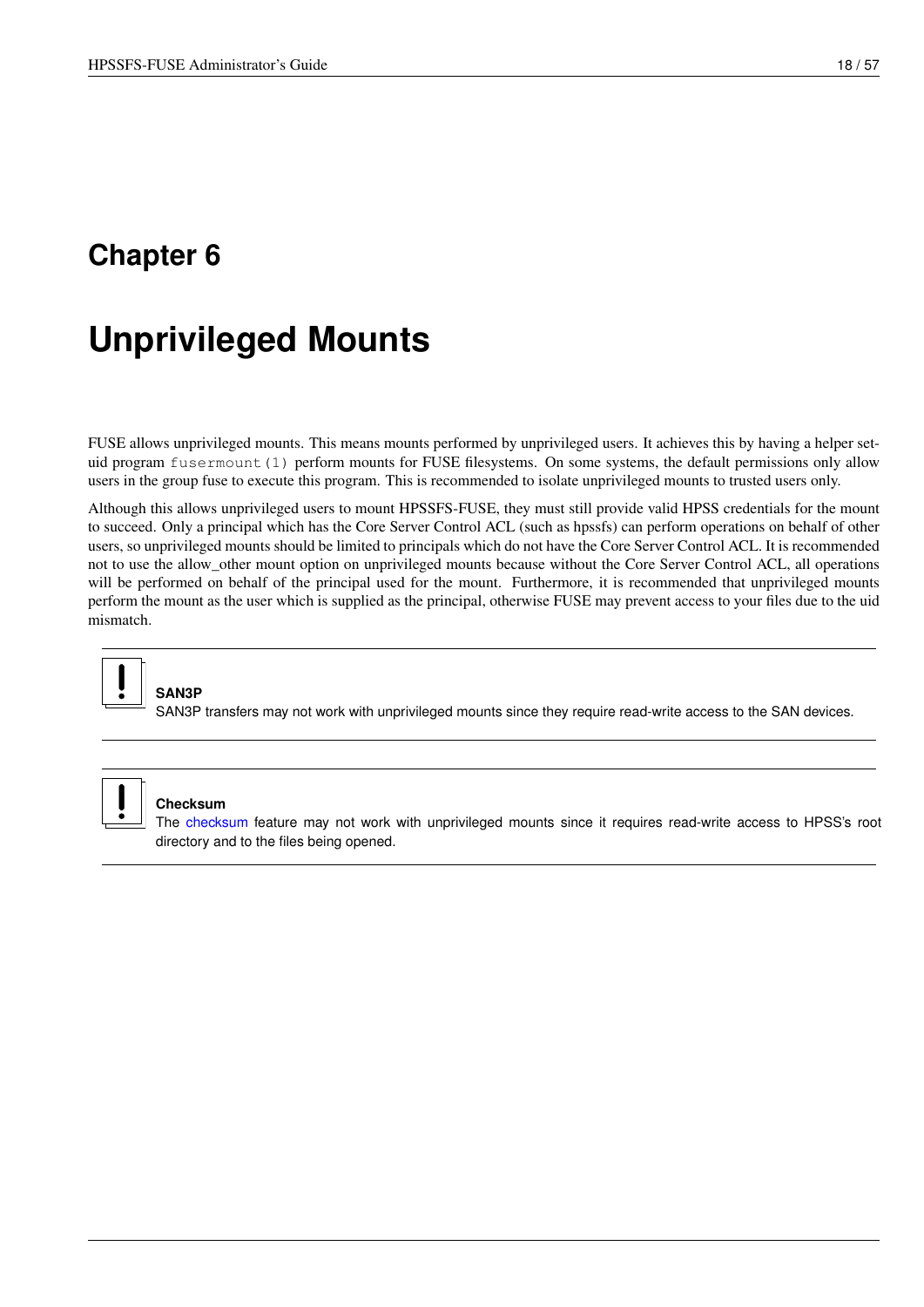# <span id="page-25-0"></span>**Unprivileged Mounts**

<span id="page-25-1"></span>FUSE allows unprivileged mounts. This means mounts performed by unprivileged users. It achieves this by having a helper setuid program fusermount (1) perform mounts for FUSE filesystems. On some systems, the default permissions only allow users in the group fuse to execute this program. This is recommended to isolate unprivileged mounts to trusted users only.

Although this allows unprivileged users to mount HPSSFS-FUSE, they must still provide valid HPSS credentials for the mount to succeed. Only a principal which has the Core Server Control ACL (such as hpssfs) can perform operations on behalf of other users, so unprivileged mounts should be limited to principals which do not have the Core Server Control ACL. It is recommended not to use the allow\_other mount option on unprivileged mounts because without the Core Server Control ACL, all operations will be performed on behalf of the principal used for the mount. Furthermore, it is recommended that unprivileged mounts perform the mount as the user which is supplied as the principal, otherwise FUSE may prevent access to your files due to the uid mismatch.



# **SAN3P**

SAN3P transfers may not work with unprivileged mounts since they require read-write access to the SAN devices.



### **Checksum**

The [checksum](#page-56-5) feature may not work with unprivileged mounts since it requires read-write access to HPSS's root directory and to the files being opened.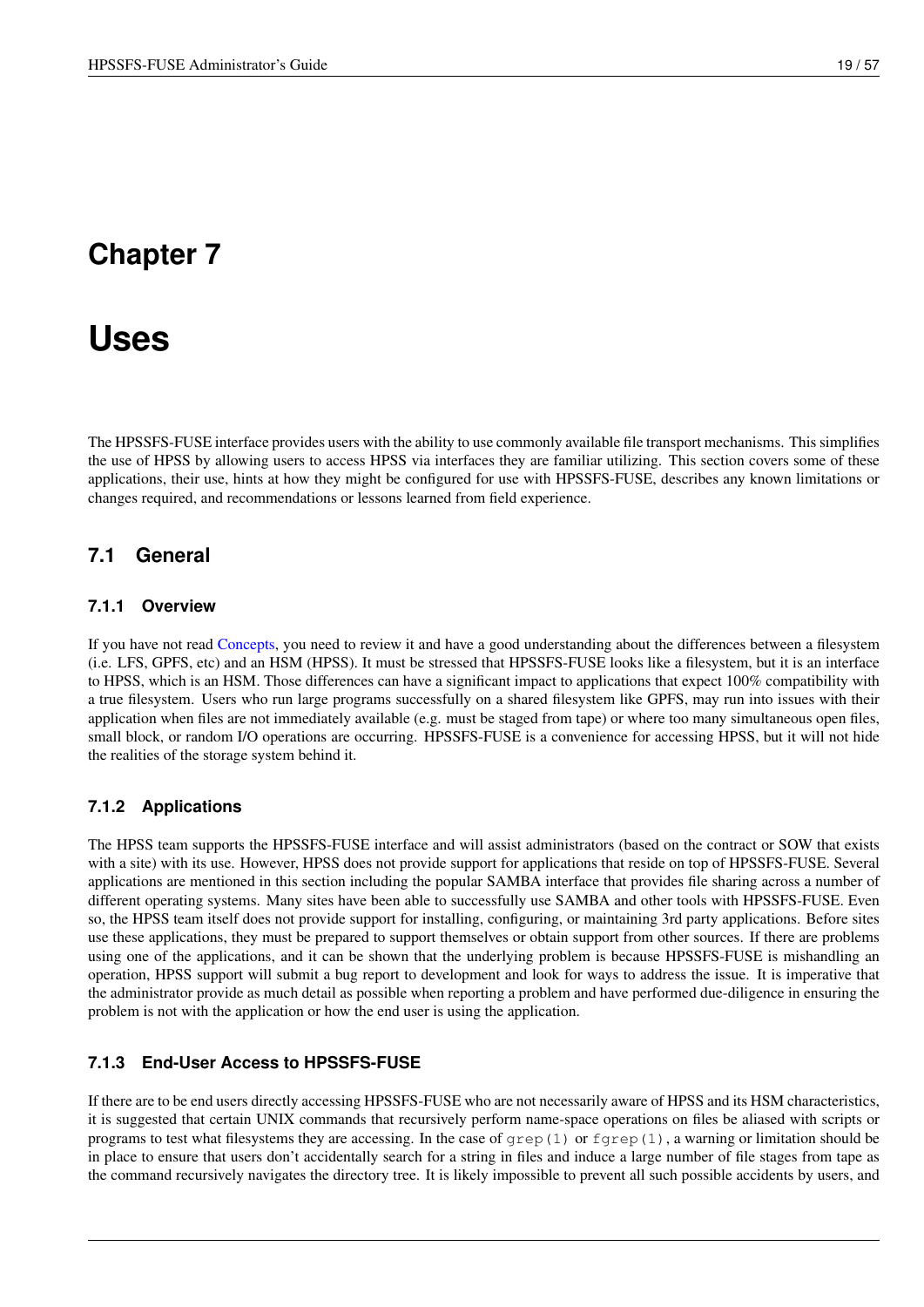# <span id="page-26-0"></span>**Uses**

The HPSSFS-FUSE interface provides users with the ability to use commonly available file transport mechanisms. This simplifies the use of HPSS by allowing users to access HPSS via interfaces they are familiar utilizing. This section covers some of these applications, their use, hints at how they might be configured for use with HPSSFS-FUSE, describes any known limitations or changes required, and recommendations or lessons learned from field experience.

## <span id="page-26-1"></span>**7.1 General**

### <span id="page-26-2"></span>**7.1.1 Overview**

If you have not read [Concepts,](#page-15-2) you need to review it and have a good understanding about the differences between a filesystem (i.e. LFS, GPFS, etc) and an HSM (HPSS). It must be stressed that HPSSFS-FUSE looks like a filesystem, but it is an interface to HPSS, which is an HSM. Those differences can have a significant impact to applications that expect 100% compatibility with a true filesystem. Users who run large programs successfully on a shared filesystem like GPFS, may run into issues with their application when files are not immediately available (e.g. must be staged from tape) or where too many simultaneous open files, small block, or random I/O operations are occurring. HPSSFS-FUSE is a convenience for accessing HPSS, but it will not hide the realities of the storage system behind it.

### <span id="page-26-3"></span>**7.1.2 Applications**

The HPSS team supports the HPSSFS-FUSE interface and will assist administrators (based on the contract or SOW that exists with a site) with its use. However, HPSS does not provide support for applications that reside on top of HPSSFS-FUSE. Several applications are mentioned in this section including the popular SAMBA interface that provides file sharing across a number of different operating systems. Many sites have been able to successfully use SAMBA and other tools with HPSSFS-FUSE. Even so, the HPSS team itself does not provide support for installing, configuring, or maintaining 3rd party applications. Before sites use these applications, they must be prepared to support themselves or obtain support from other sources. If there are problems using one of the applications, and it can be shown that the underlying problem is because HPSSFS-FUSE is mishandling an operation, HPSS support will submit a bug report to development and look for ways to address the issue. It is imperative that the administrator provide as much detail as possible when reporting a problem and have performed due-diligence in ensuring the problem is not with the application or how the end user is using the application.

### <span id="page-26-4"></span>**7.1.3 End-User Access to HPSSFS-FUSE**

If there are to be end users directly accessing HPSSFS-FUSE who are not necessarily aware of HPSS and its HSM characteristics, it is suggested that certain UNIX commands that recursively perform name-space operations on files be aliased with scripts or programs to test what filesystems they are accessing. In the case of  $\sigma$ rep(1) or  $f \sigma$ rep(1), a warning or limitation should be in place to ensure that users don't accidentally search for a string in files and induce a large number of file stages from tape as the command recursively navigates the directory tree. It is likely impossible to prevent all such possible accidents by users, and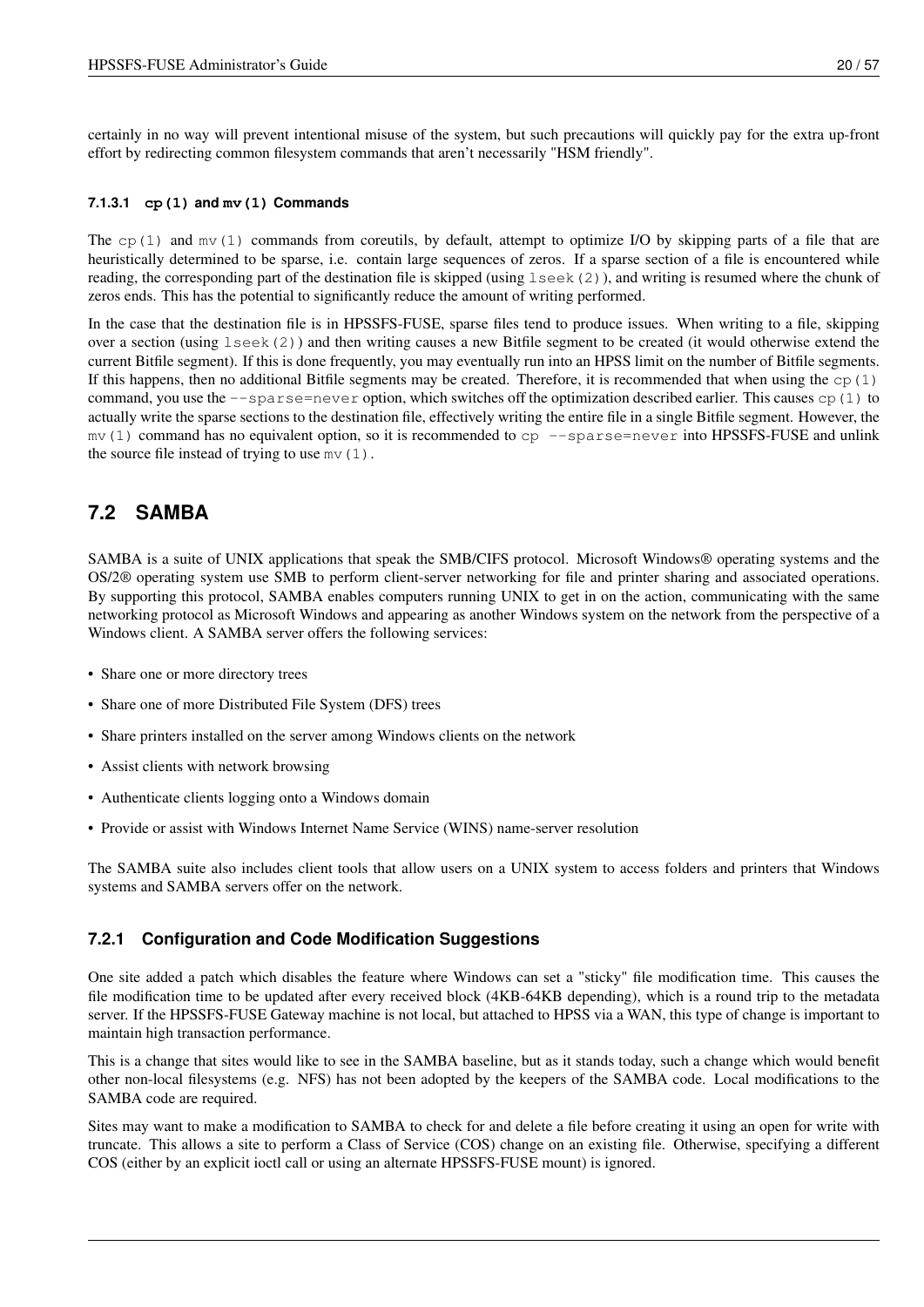certainly in no way will prevent intentional misuse of the system, but such precautions will quickly pay for the extra up-front effort by redirecting common filesystem commands that aren't necessarily "HSM friendly".

### <span id="page-27-0"></span>**7.1.3.1 cp(1) and mv(1) Commands**

The cp(1) and  $mv(1)$  commands from coreutils, by default, attempt to optimize I/O by skipping parts of a file that are heuristically determined to be sparse, i.e. contain large sequences of zeros. If a sparse section of a file is encountered while reading, the corresponding part of the destination file is skipped (using lseek(2)), and writing is resumed where the chunk of zeros ends. This has the potential to significantly reduce the amount of writing performed.

In the case that the destination file is in HPSSFS-FUSE, sparse files tend to produce issues. When writing to a file, skipping over a section (using lseek(2)) and then writing causes a new Bitfile segment to be created (it would otherwise extend the current Bitfile segment). If this is done frequently, you may eventually run into an HPSS limit on the number of Bitfile segments. If this happens, then no additional Bitfile segments may be created. Therefore, it is recommended that when using the  $cp(1)$ command, you use the  $-\text{sparse=never}$  option, which switches off the optimization described earlier. This causes  $cp(1)$  to actually write the sparse sections to the destination file, effectively writing the entire file in a single Bitfile segment. However, the  $mv(1)$  command has no equivalent option, so it is recommended to  $cp$  --sparse=never into HPSSFS-FUSE and unlink the source file instead of trying to use  $mv(1)$ .

## <span id="page-27-1"></span>**7.2 SAMBA**

SAMBA is a suite of UNIX applications that speak the SMB/CIFS protocol. Microsoft Windows® operating systems and the OS/2® operating system use SMB to perform client-server networking for file and printer sharing and associated operations. By supporting this protocol, SAMBA enables computers running UNIX to get in on the action, communicating with the same networking protocol as Microsoft Windows and appearing as another Windows system on the network from the perspective of a Windows client. A SAMBA server offers the following services:

- Share one or more directory trees
- Share one of more Distributed File System (DFS) trees
- Share printers installed on the server among Windows clients on the network
- Assist clients with network browsing
- Authenticate clients logging onto a Windows domain
- Provide or assist with Windows Internet Name Service (WINS) name-server resolution

The SAMBA suite also includes client tools that allow users on a UNIX system to access folders and printers that Windows systems and SAMBA servers offer on the network.

### <span id="page-27-2"></span>**7.2.1 Configuration and Code Modification Suggestions**

One site added a patch which disables the feature where Windows can set a "sticky" file modification time. This causes the file modification time to be updated after every received block (4KB-64KB depending), which is a round trip to the metadata server. If the HPSSFS-FUSE Gateway machine is not local, but attached to HPSS via a WAN, this type of change is important to maintain high transaction performance.

This is a change that sites would like to see in the SAMBA baseline, but as it stands today, such a change which would benefit other non-local filesystems (e.g. NFS) has not been adopted by the keepers of the SAMBA code. Local modifications to the SAMBA code are required.

Sites may want to make a modification to SAMBA to check for and delete a file before creating it using an open for write with truncate. This allows a site to perform a Class of Service (COS) change on an existing file. Otherwise, specifying a different COS (either by an explicit ioctl call or using an alternate HPSSFS-FUSE mount) is ignored.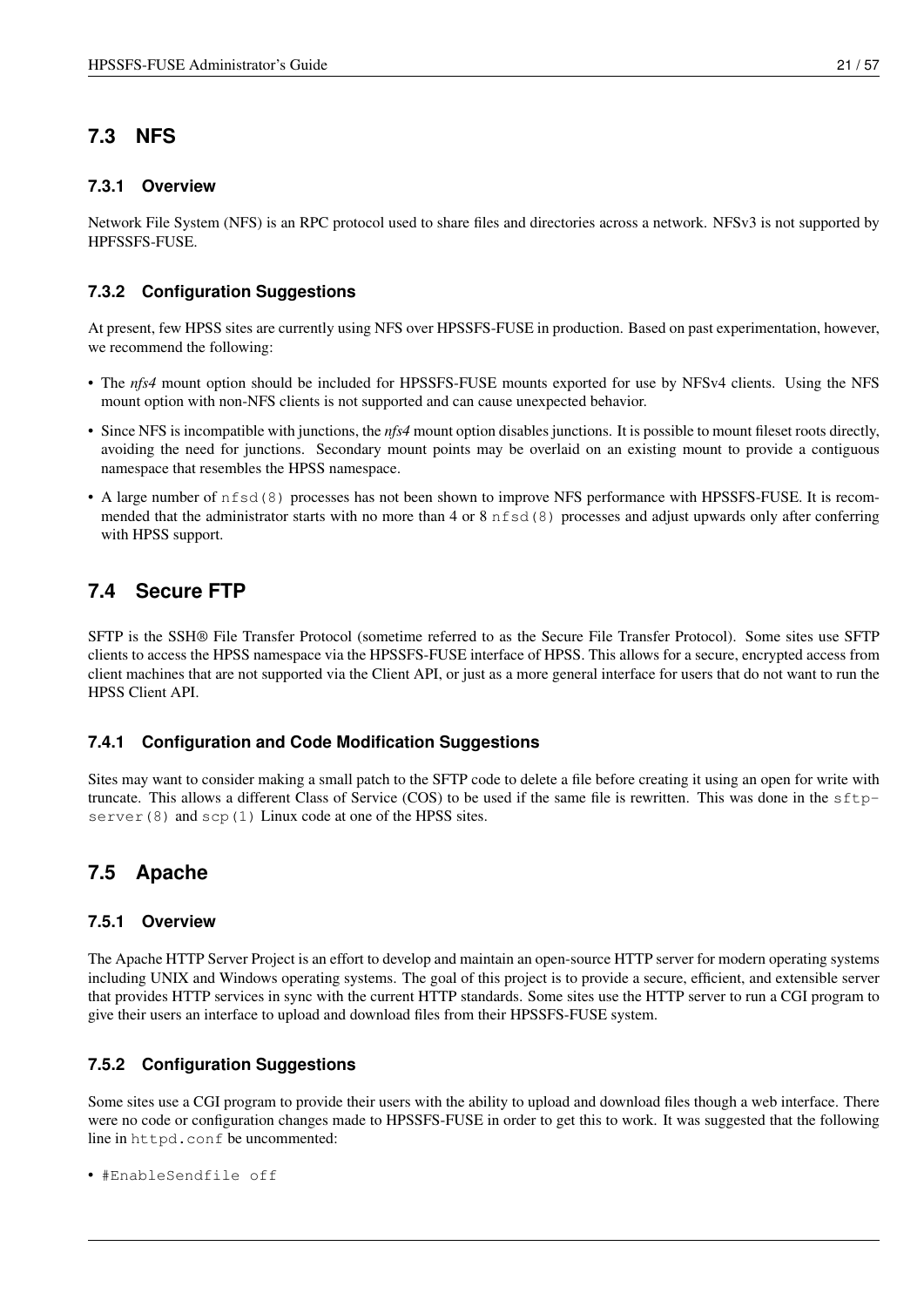## <span id="page-28-0"></span>**7.3 NFS**

### <span id="page-28-1"></span>**7.3.1 Overview**

Network File System (NFS) is an RPC protocol used to share files and directories across a network. NFSv3 is not supported by HPFSSFS-FUSE.

### <span id="page-28-2"></span>**7.3.2 Configuration Suggestions**

At present, few HPSS sites are currently using NFS over HPSSFS-FUSE in production. Based on past experimentation, however, we recommend the following:

- The *nfs4* mount option should be included for HPSSFS-FUSE mounts exported for use by NFSv4 clients. Using the NFS mount option with non-NFS clients is not supported and can cause unexpected behavior.
- Since NFS is incompatible with junctions, the *nfs4* mount option disables junctions. It is possible to mount fileset roots directly, avoiding the need for junctions. Secondary mount points may be overlaid on an existing mount to provide a contiguous namespace that resembles the HPSS namespace.
- A large number of nfsd(8) processes has not been shown to improve NFS performance with HPSSFS-FUSE. It is recommended that the administrator starts with no more than 4 or 8 nfsd(8) processes and adjust upwards only after conferring with HPSS support.

## <span id="page-28-3"></span>**7.4 Secure FTP**

SFTP is the SSH® File Transfer Protocol (sometime referred to as the Secure File Transfer Protocol). Some sites use SFTP clients to access the HPSS namespace via the HPSSFS-FUSE interface of HPSS. This allows for a secure, encrypted access from client machines that are not supported via the Client API, or just as a more general interface for users that do not want to run the HPSS Client API.

### <span id="page-28-4"></span>**7.4.1 Configuration and Code Modification Suggestions**

Sites may want to consider making a small patch to the SFTP code to delete a file before creating it using an open for write with truncate. This allows a different Class of Service (COS) to be used if the same file is rewritten. This was done in the sftpserver (8) and scp(1) Linux code at one of the HPSS sites.

## <span id="page-28-5"></span>**7.5 Apache**

### <span id="page-28-6"></span>**7.5.1 Overview**

The Apache HTTP Server Project is an effort to develop and maintain an open-source HTTP server for modern operating systems including UNIX and Windows operating systems. The goal of this project is to provide a secure, efficient, and extensible server that provides HTTP services in sync with the current HTTP standards. Some sites use the HTTP server to run a CGI program to give their users an interface to upload and download files from their HPSSFS-FUSE system.

### <span id="page-28-7"></span>**7.5.2 Configuration Suggestions**

Some sites use a CGI program to provide their users with the ability to upload and download files though a web interface. There were no code or configuration changes made to HPSSFS-FUSE in order to get this to work. It was suggested that the following line in httpd.conf be uncommented:

• #EnableSendfile off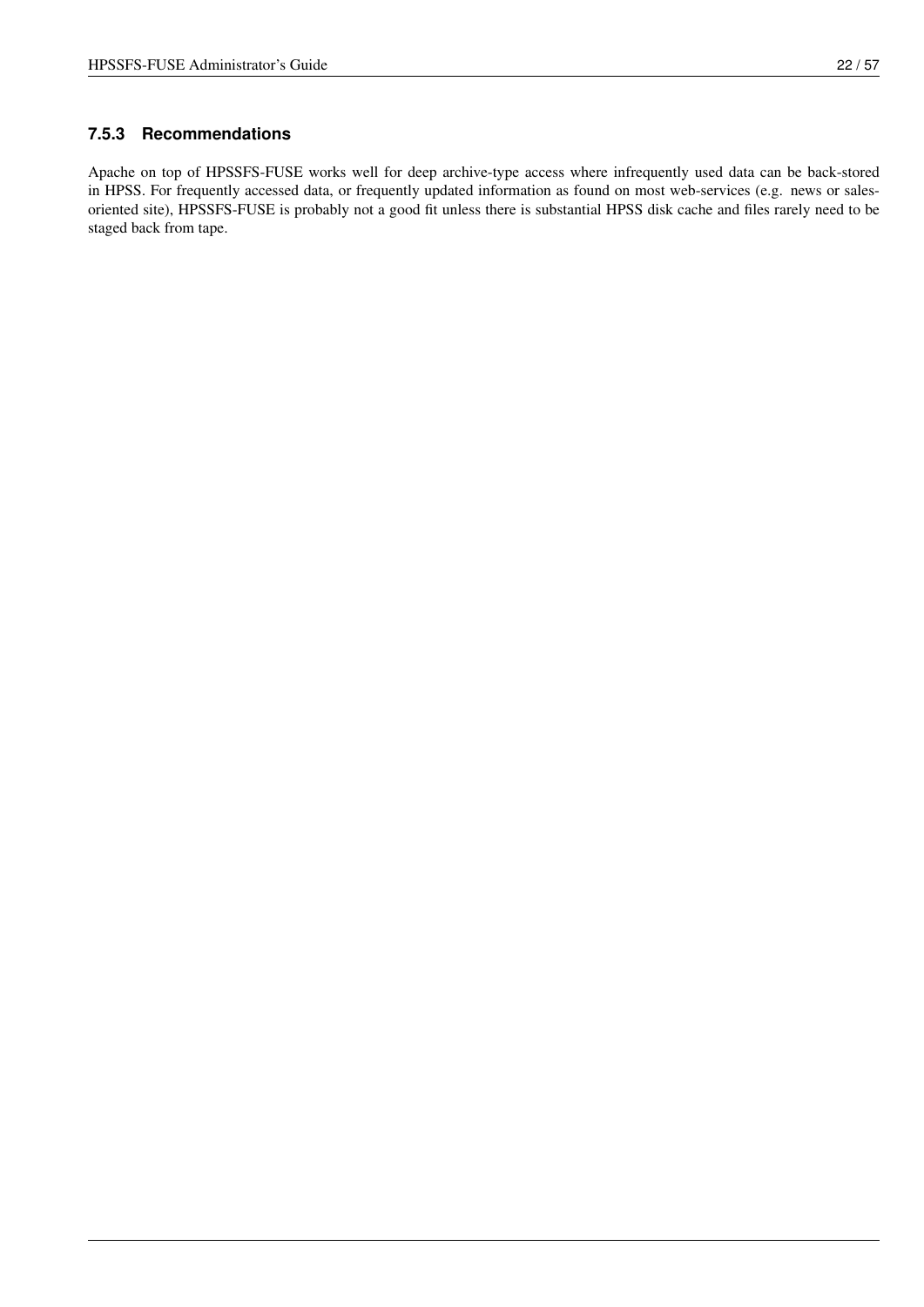### <span id="page-29-0"></span>**7.5.3 Recommendations**

Apache on top of HPSSFS-FUSE works well for deep archive-type access where infrequently used data can be back-stored in HPSS. For frequently accessed data, or frequently updated information as found on most web-services (e.g. news or salesoriented site), HPSSFS-FUSE is probably not a good fit unless there is substantial HPSS disk cache and files rarely need to be staged back from tape.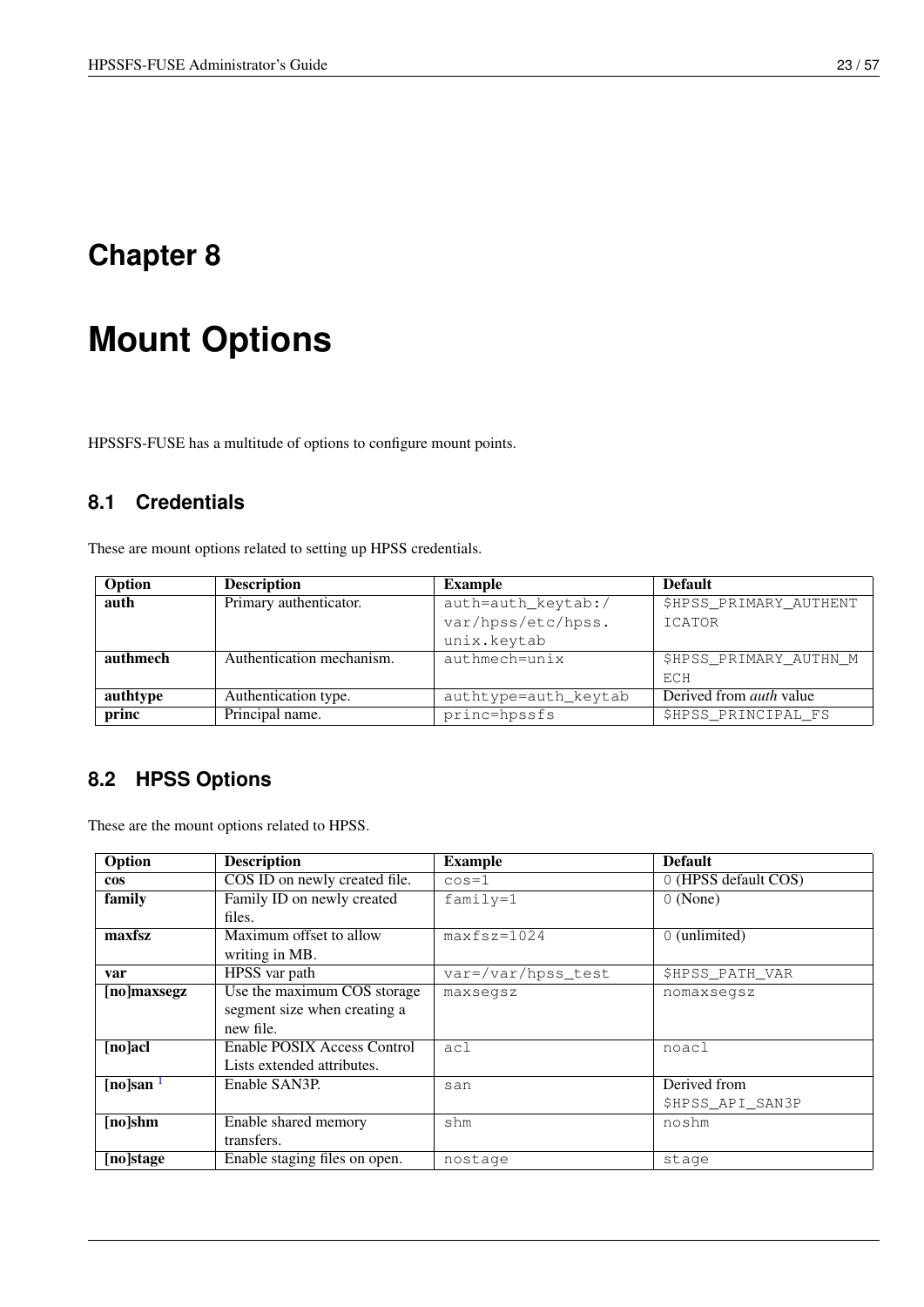# <span id="page-30-0"></span>**Mount Options**

<span id="page-30-3"></span>HPSSFS-FUSE has a multitude of options to configure mount points.

## <span id="page-30-1"></span>**8.1 Credentials**

These are mount options related to setting up HPSS credentials.

| Option   | <b>Description</b>        | <b>Example</b>       | <b>Default</b>                 |
|----------|---------------------------|----------------------|--------------------------------|
| auth     | Primary authenticator.    | auth=auth_keytab:/   | \$HPSS_PRIMARY_AUTHENT         |
|          |                           | var/hpss/etc/hpss.   | ICATOR                         |
|          |                           | unix.keytab          |                                |
| authmech | Authentication mechanism. | authmech=unix        | \$HPSS PRIMARY AUTHN M         |
|          |                           |                      | ECH                            |
| authtype | Authentication type.      | authtype=auth_keytab | Derived from <i>auth</i> value |
| princ    | Principal name.           | princ=hpssfs         | \$HPSS PRINCIPAL FS            |

# <span id="page-30-2"></span>**8.2 HPSS Options**

These are the mount options related to HPSS.

| Option      | <b>Description</b>            | <b>Example</b>     | <b>Default</b>         |
|-------------|-------------------------------|--------------------|------------------------|
| <b>cos</b>  | COS ID on newly created file. | $\cos=1$           | 0 (HPSS default COS)   |
| family      | Family ID on newly created    | $family=1$         | $0$ (None)             |
|             | files.                        |                    |                        |
| maxfsz      | Maximum offset to allow       | $maxfsz=1024$      | $\sqrt{0}$ (unlimited) |
|             | writing in MB.                |                    |                        |
| var         | HPSS var path                 | var=/var/hpss_test | <b>\$HPSS PATH VAR</b> |
| [no]maxsegz | Use the maximum COS storage   | maxsegsz           | nomaxsegsz             |
|             | segment size when creating a  |                    |                        |
|             | new file.                     |                    |                        |
| $[no]$ acl  | Enable POSIX Access Control   | ac1                | noacl                  |
|             | Lists extended attributes.    |                    |                        |
| [no]san     | Enable SAN3P.                 | san                | Derived from           |
|             |                               |                    | \$HPSS API SAN3P       |
| $[no]$ shm  | Enable shared memory          | shm                | noshm                  |
|             | transfers.                    |                    |                        |
| [no]stage   | Enable staging files on open. | nostage            | stage                  |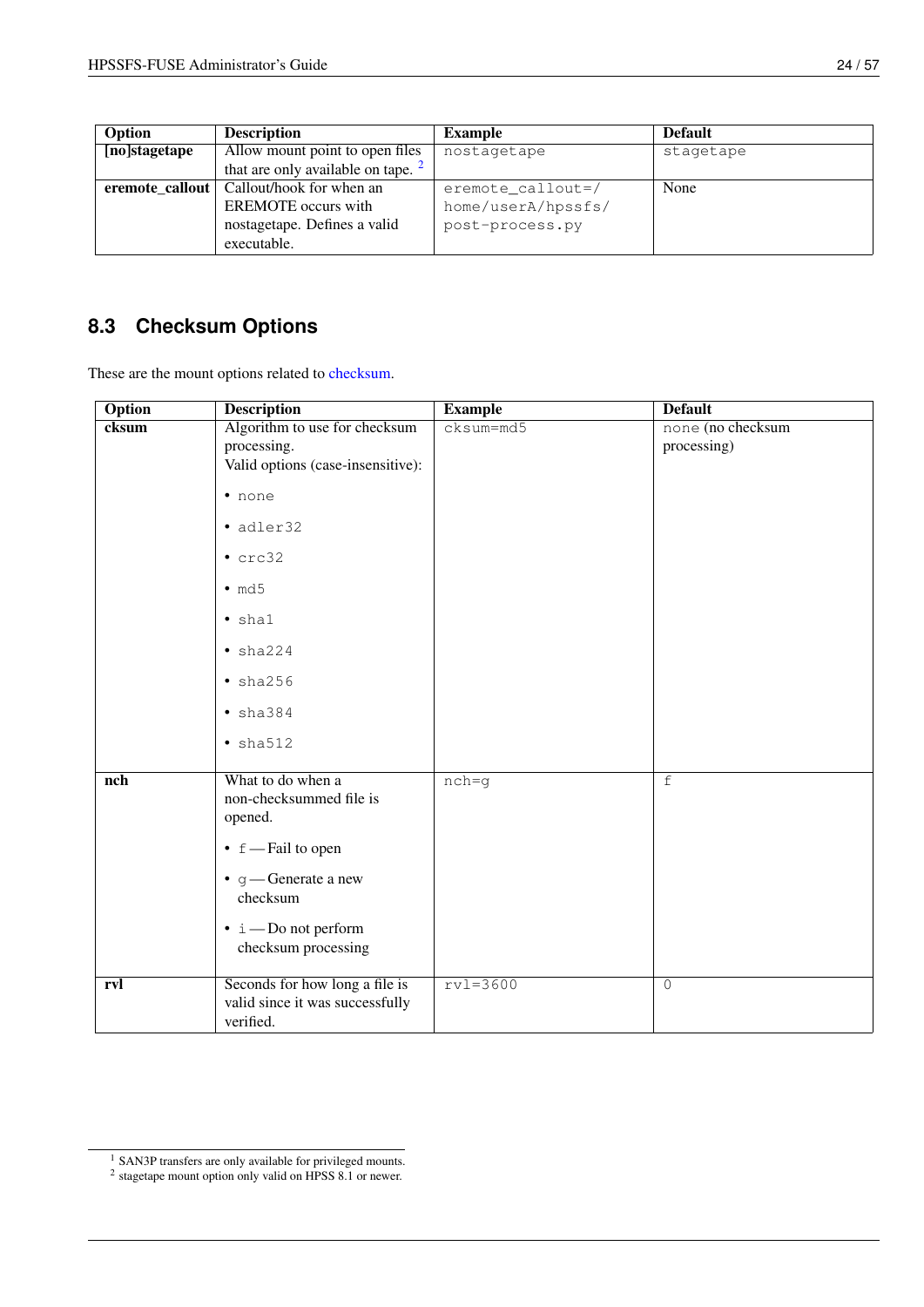| ,我们也不会有什么?""我们的话,我们也不会有什么?""我们的话,我们也不会有什么?""我们的话,我们也不会有什么?""我们的话,我们也不会有什么?""我们的话 |  |  |
|----------------------------------------------------------------------------------|--|--|
|                                                                                  |  |  |
|                                                                                  |  |  |
|                                                                                  |  |  |
|                                                                                  |  |  |
|                                                                                  |  |  |
|                                                                                  |  |  |
|                                                                                  |  |  |
|                                                                                  |  |  |
|                                                                                  |  |  |
|                                                                                  |  |  |
|                                                                                  |  |  |

| Option        | <b>Description</b>                         | <b>Example</b>     | <b>Default</b> |
|---------------|--------------------------------------------|--------------------|----------------|
| [no]stagetape | Allow mount point to open files            | nostagetape        | stagetape      |
|               | that are only available on tape. $2$       |                    |                |
|               | eremote_callout   Callout/hook for when an | eremote_callout=/  | None           |
|               | <b>EREMOTE</b> occurs with                 | home/userA/hpssfs/ |                |
|               | nostagetape. Defines a valid               | post-process.py    |                |
|               | executable.                                |                    |                |

# <span id="page-31-0"></span>**8.3 Checksum Options**

These are the mount options related to [checksum.](#page-56-5)

| <b>Option</b> | <b>Description</b>                                                                | <b>Example</b> | <b>Default</b>                   |
|---------------|-----------------------------------------------------------------------------------|----------------|----------------------------------|
| cksum         | Algorithm to use for checksum<br>processing.<br>Valid options (case-insensitive): | $cksum=md5$    | none (no checksum<br>processing) |
|               | · none                                                                            |                |                                  |
|               | · adler32                                                                         |                |                                  |
|               | $\cdot$ crc32                                                                     |                |                                  |
|               | $\cdot$ md5                                                                       |                |                                  |
|               | $\bullet$ shal                                                                    |                |                                  |
|               | $\bullet$ sha224                                                                  |                |                                  |
|               | • sha256                                                                          |                |                                  |
|               | $\bullet$ sha384                                                                  |                |                                  |
|               | $\bullet$ sha512                                                                  |                |                                  |
| nch           | What to do when a<br>non-checksummed file is<br>opened.                           | $nch = q$      | $\overline{f}$                   |
|               | $\bullet$ f — Fail to open                                                        |                |                                  |
|               | $\bullet$ g — Generate a new<br>checksum                                          |                |                                  |
|               | $\cdot i$ — Do not perform<br>checksum processing                                 |                |                                  |
| rvl           | Seconds for how long a file is<br>valid since it was successfully<br>verified.    | $rv1=3600$     | $\overline{O}$                   |

<span id="page-31-1"></span><sup>&</sup>lt;sup>1</sup> SAN3P transfers are only available for privileged mounts.<sup>2</sup> stagetape mount option only valid on HPSS 8.1 or newer.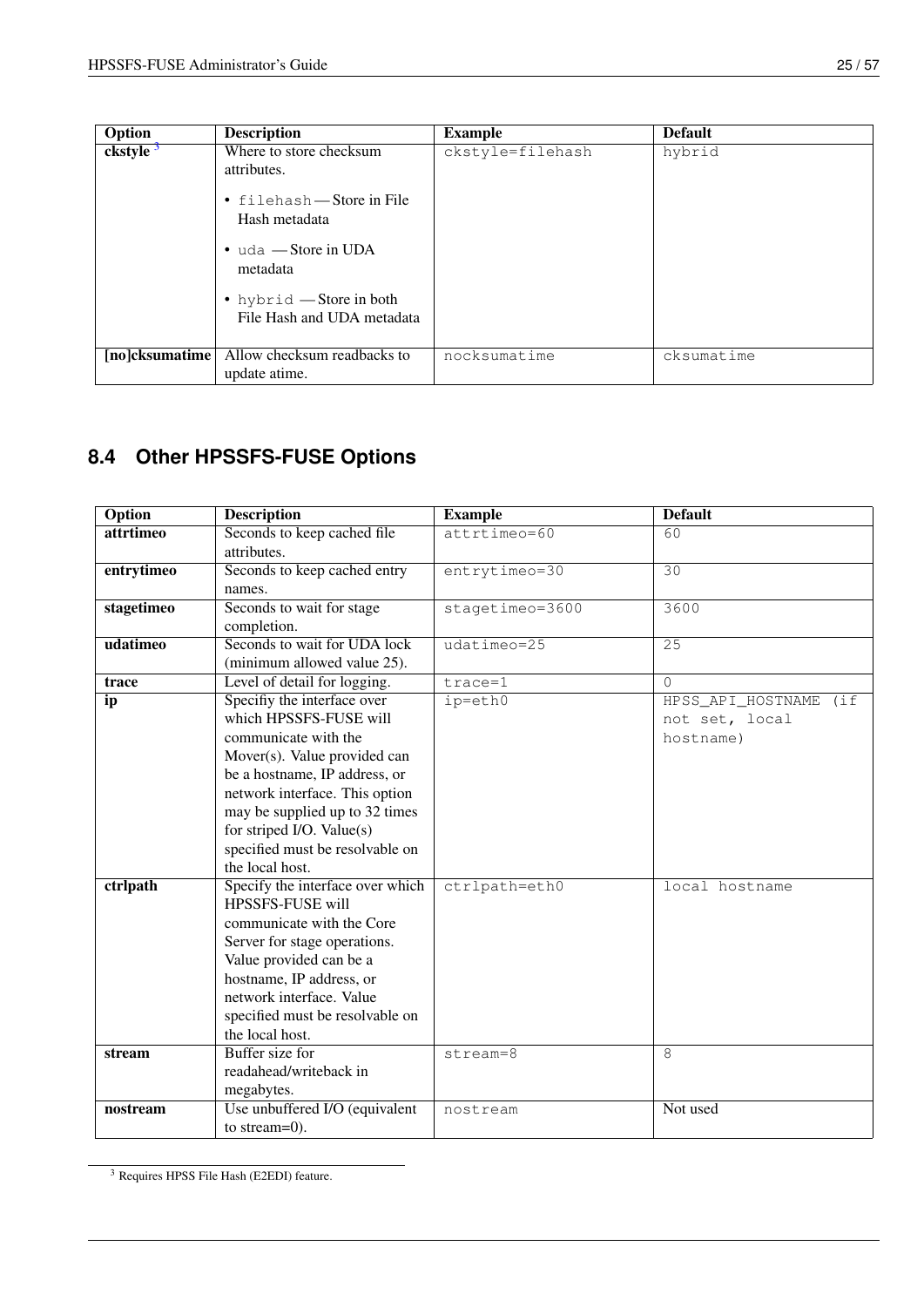| Option               | <b>Description</b>                                                                                                                                                                          | <b>Example</b>   | <b>Default</b> |
|----------------------|---------------------------------------------------------------------------------------------------------------------------------------------------------------------------------------------|------------------|----------------|
| ckstyle <sup>3</sup> | Where to store checksum<br>attributes.<br>• filehash — Store in File<br>Hash metadata<br>$\bullet$ uda - Store in UDA<br>metadata<br>• hybrid — Store in both<br>File Hash and UDA metadata | ckstyle=filehash | hybrid         |
| [no]cksumatime]      | Allow checksum readbacks to<br>update atime.                                                                                                                                                | nocksumatime     | cksumatime     |

# <span id="page-32-0"></span>**8.4 Other HPSSFS-FUSE Options**

| <b>Option</b> | <b>Description</b>                                                                                                                                                                                                                                                                                    | <b>Example</b>  | <b>Default</b>                                         |
|---------------|-------------------------------------------------------------------------------------------------------------------------------------------------------------------------------------------------------------------------------------------------------------------------------------------------------|-----------------|--------------------------------------------------------|
| attrtimeo     | Seconds to keep cached file<br>attributes.                                                                                                                                                                                                                                                            | attrtimeo=60    | 60                                                     |
| entrytimeo    | Seconds to keep cached entry<br>names.                                                                                                                                                                                                                                                                | $entrytimeo=30$ | 30                                                     |
| stagetimeo    | Seconds to wait for stage<br>completion.                                                                                                                                                                                                                                                              | stagetimeo=3600 | 3600                                                   |
| udatimeo      | Seconds to wait for UDA lock<br>(minimum allowed value 25).                                                                                                                                                                                                                                           | $udatimeo=25$   | 25                                                     |
| trace         | Level of detail for logging.                                                                                                                                                                                                                                                                          | $trace=1$       | $\Omega$                                               |
| ip            | Specifiy the interface over<br>which HPSSFS-FUSE will<br>communicate with the<br>Mover(s). Value provided can<br>be a hostname, IP address, or<br>network interface. This option<br>may be supplied up to 32 times<br>for striped I/O. Value(s)<br>specified must be resolvable on<br>the local host. | ip=eth0         | HPSS_API_HOSTNAME<br>(i<br>not set, local<br>hostname) |
| ctrlpath      | Specify the interface over which<br>HPSSFS-FUSE will<br>communicate with the Core<br>Server for stage operations.<br>Value provided can be a<br>hostname, IP address, or<br>network interface. Value<br>specified must be resolvable on<br>the local host.                                            | ctrlpath=eth0   | local hostname                                         |
| stream        | <b>Buffer</b> size for<br>readahead/writeback in<br>megabytes.                                                                                                                                                                                                                                        | stream=8        | 8                                                      |
| nostream      | Use unbuffered I/O (equivalent<br>to stream= $0$ ).                                                                                                                                                                                                                                                   | nostream        | Not used                                               |

<span id="page-32-1"></span><sup>3</sup> Requires HPSS File Hash (E2EDI) feature.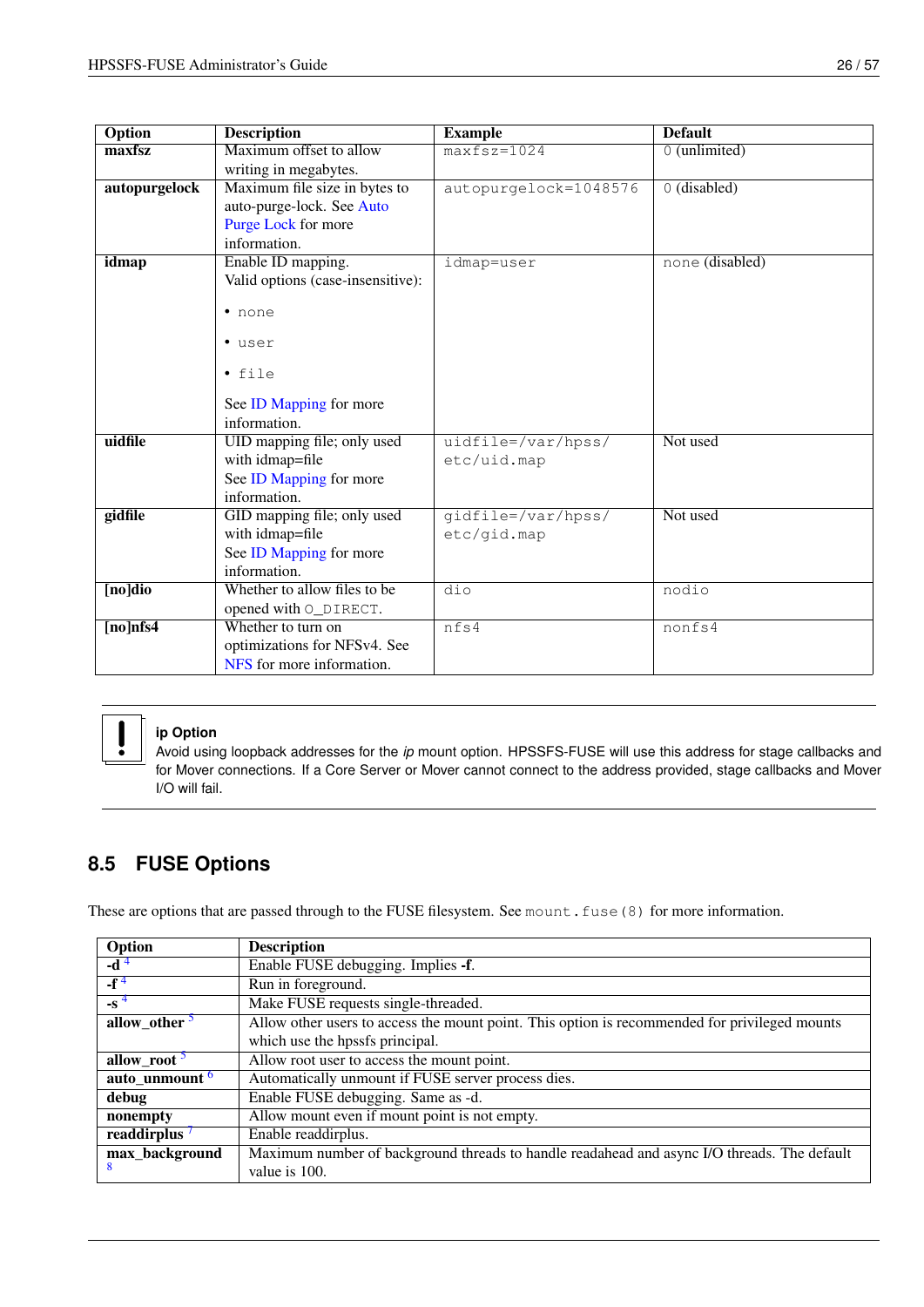| Option        | <b>Description</b>                | <b>Example</b>        | <b>Default</b>  |
|---------------|-----------------------------------|-----------------------|-----------------|
| maxfsz        | Maximum offset to allow           | $maxfsz=1024$         | $0$ (unlimited) |
|               | writing in megabytes.             |                       |                 |
| autopurgelock | Maximum file size in bytes to     | autopurgelock=1048576 | 0 (disabled)    |
|               | auto-purge-lock. See Auto         |                       |                 |
|               | Purge Lock for more               |                       |                 |
|               | information.                      |                       |                 |
| idmap         | Enable ID mapping.                | idmap=user            | none (disabled) |
|               | Valid options (case-insensitive): |                       |                 |
|               | • none                            |                       |                 |
|               |                                   |                       |                 |
|               | · user                            |                       |                 |
|               |                                   |                       |                 |
|               | $\bullet$ file                    |                       |                 |
|               | See ID Mapping for more           |                       |                 |
|               | information.                      |                       |                 |
| uidfile       | UID mapping file; only used       | uidfile=/var/hpss/    | Not used        |
|               | with idmap=file                   | etc/uid.map           |                 |
|               | See ID Mapping for more           |                       |                 |
|               | information.                      |                       |                 |
| gidfile       | GID mapping file; only used       | qidfile=/var/hpss/    | Not used        |
|               | with idmap=file                   | etc/gid.map           |                 |
|               | See ID Mapping for more           |                       |                 |
|               | information.                      |                       |                 |
| [no]dio       | Whether to allow files to be      | $\overline{dio}$      | nodio           |
|               | opened with O_DIRECT.             |                       |                 |
| $[no]$ nfs4   | Whether to turn on                | nfs4                  | nonfs4          |
|               | optimizations for NFSv4. See      |                       |                 |
|               | NFS for more information.         |                       |                 |



### **ip Option**

Avoid using loopback addresses for the *ip* mount option. HPSSFS-FUSE will use this address for stage callbacks and for Mover connections. If a Core Server or Mover cannot connect to the address provided, stage callbacks and Mover I/O will fail.

# <span id="page-33-0"></span>**8.5 FUSE Options**

These are options that are passed through to the FUSE filesystem. See mount.fuse(8) for more information.

| Option                    | <b>Description</b>                                                                            |
|---------------------------|-----------------------------------------------------------------------------------------------|
| -d <sup>4</sup>           | Enable FUSE debugging. Implies -f.                                                            |
| $-f^4$                    | Run in foreground.                                                                            |
| $-$ s <sup>4</sup>        | Make FUSE requests single-threaded.                                                           |
| allow_other <sup>5</sup>  | Allow other users to access the mount point. This option is recommended for privileged mounts |
|                           | which use the hpssfs principal.                                                               |
| allow_root <sup>5</sup>   | Allow root user to access the mount point.                                                    |
| auto_unmount <sup>6</sup> | Automatically unmount if FUSE server process dies.                                            |
| debug                     | Enable FUSE debugging. Same as -d.                                                            |
| nonempty                  | Allow mount even if mount point is not empty.                                                 |
| readdirplus <sup>7</sup>  | Enable readdirplus.                                                                           |
| max_background            | Maximum number of background threads to handle readahead and async I/O threads. The default   |
| 8                         | value is 100.                                                                                 |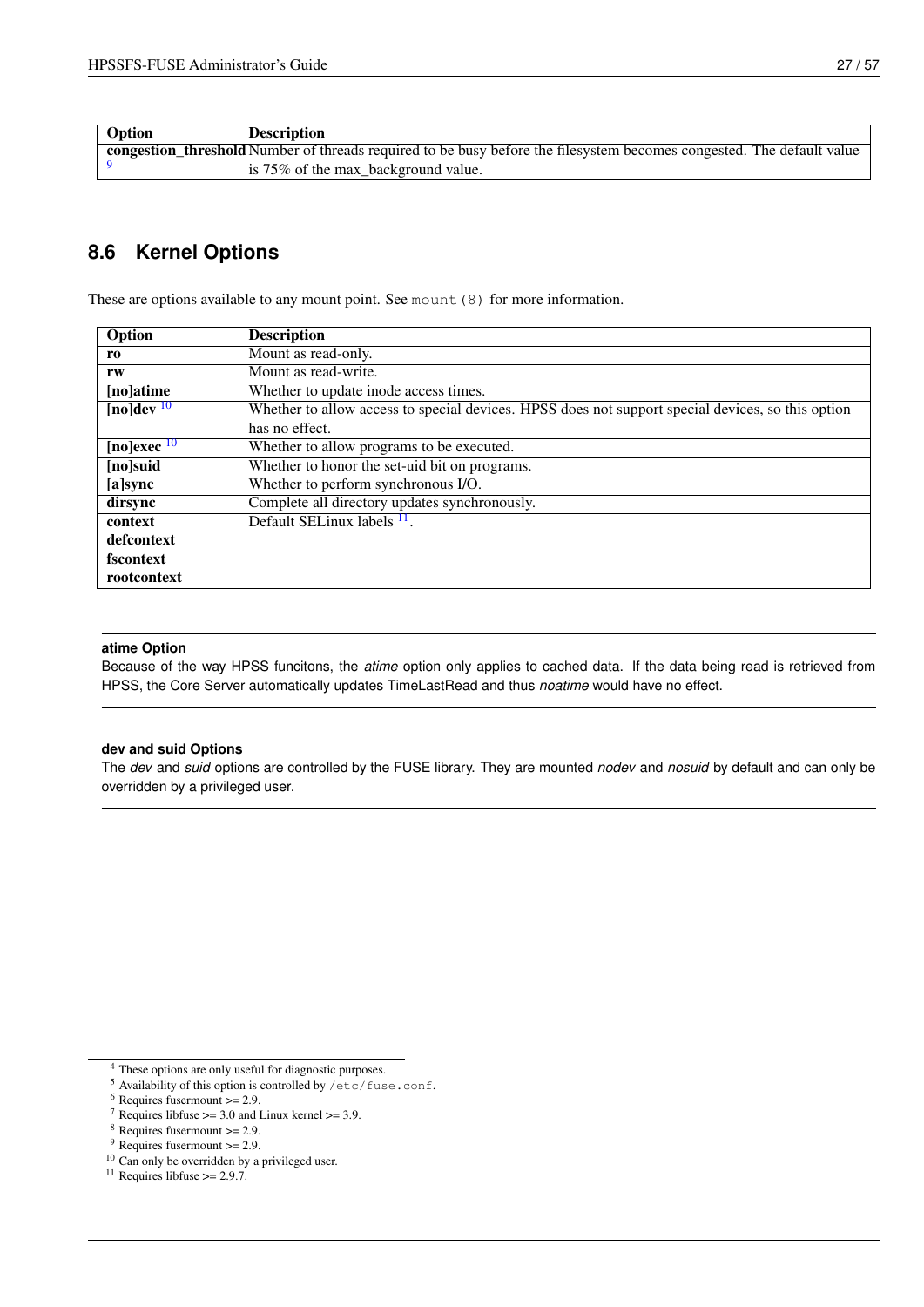| Option | <b>Description</b>                                                                                                    |
|--------|-----------------------------------------------------------------------------------------------------------------------|
|        | congestion threshold Number of threads required to be busy before the filesystem becomes congested. The default value |
|        | $\frac{1}{2}$ is 75% of the max_background value.                                                                     |

## <span id="page-34-0"></span>**8.6 Kernel Options**

These are options available to any mount point. See mount (8) for more information.

| Option                               | <b>Description</b>                                                                                |
|--------------------------------------|---------------------------------------------------------------------------------------------------|
| ro                                   | Mount as read-only.                                                                               |
| rw                                   | Mount as read-write.                                                                              |
| [no]atime                            | Whether to update inode access times.                                                             |
| $\sqrt{[no] \text{dev}^{10}}$        | Whether to allow access to special devices. HPSS does not support special devices, so this option |
|                                      | has no effect.                                                                                    |
| $[no] \overline{exec} \overline{10}$ | Whether to allow programs to be executed.                                                         |
| [no]suid                             | Whether to honor the set-uid bit on programs.                                                     |
| [a]sync                              | Whether to perform synchronous I/O.                                                               |
| dirsync                              | Complete all directory updates synchronously.                                                     |
| context                              | Default SELinux labels $\frac{11}{1}$ .                                                           |
| defcontext                           |                                                                                                   |
| fscontext                            |                                                                                                   |
| rootcontext                          |                                                                                                   |

#### **atime Option**

Because of the way HPSS funcitons, the *atime* option only applies to cached data. If the data being read is retrieved from HPSS, the Core Server automatically updates TimeLastRead and thus *noatime* would have no effect.

#### **dev and suid Options**

The *dev* and *suid* options are controlled by the FUSE library. They are mounted *nodev* and *nosuid* by default and can only be overridden by a privileged user.

- <sup>5</sup> Availability of this option is controlled by /etc/fuse.conf.
- $6$  Requires fusermount  $>= 2.9$ .
- $\frac{1}{7}$  Requires libfuse >= 3.0 and Linux kernel >= 3.9.
- $8$  Requires fusermount  $>= 2.9$ .
- $9$  Requires fusermount  $>= 2.9$ .
- <span id="page-34-2"></span><sup>10</sup> Can only be overridden by a privileged user.
- <sup>11</sup> Requires libfuse  $\ge$  2.9.7.

<span id="page-34-1"></span><sup>4</sup> These options are only useful for diagnostic purposes.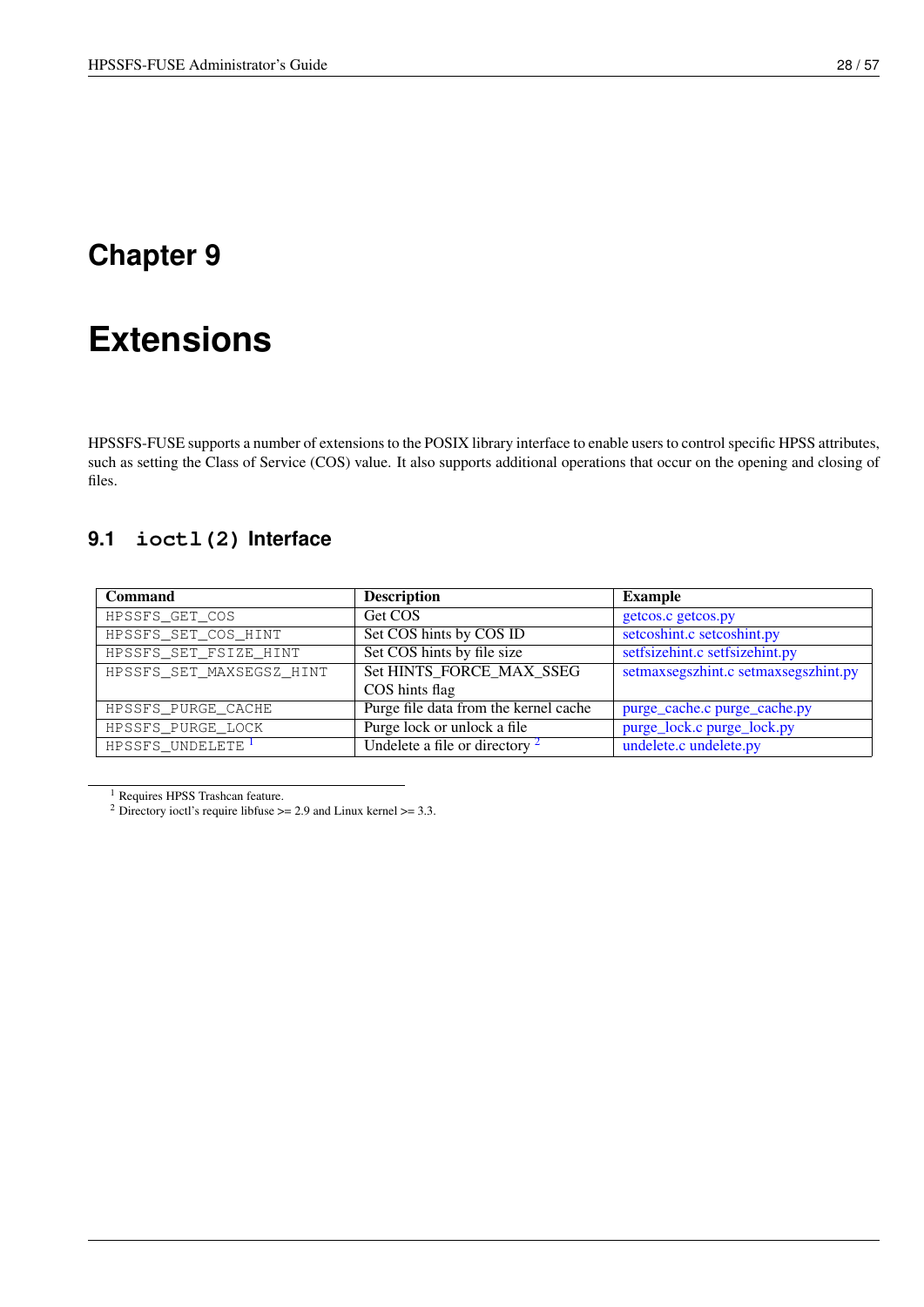# <span id="page-35-0"></span>**Extensions**

<span id="page-35-2"></span>HPSSFS-FUSE supports a number of extensions to the POSIX library interface to enable users to control specific HPSS attributes, such as setting the Class of Service (COS) value. It also supports additional operations that occur on the opening and closing of files.

# <span id="page-35-1"></span>**9.1 ioctl(2) Interface**

| <b>Command</b>               | <b>Description</b>                    | <b>Example</b>                       |
|------------------------------|---------------------------------------|--------------------------------------|
| HPSSFS_GET_COS               | Get COS                               | getcos.c getcos.py                   |
| HPSSFS_SET_COS_HINT          | Set COS hints by COS ID               | setcoshint.c setcoshint.py           |
| HPSSFS_SET_FSIZE_HINT        | Set COS hints by file size            | setfsizehint.c setfsizehint.py       |
| HPSSFS_SET_MAXSEGSZ_HINT     | Set HINTS_FORCE_MAX_SSEG              | setmaxsegszhint.c setmaxsegszhint.py |
|                              | COS hints flag                        |                                      |
| HPSSFS PURGE CACHE           | Purge file data from the kernel cache | purge_cache.c purge_cache.py         |
| HPSSFS_PURGE_LOCK            | Purge lock or unlock a file           | purge_lock.c purge_lock.py           |
| HPSSFS UNDELETE <sup>1</sup> | Undelete a file or directory $2$      | undelete.c undelete.py               |

<span id="page-35-3"></span> $^{\rm 1}$  Requires HPSS Trashcan feature.

<sup>&</sup>lt;sup>2</sup> Directory ioctl's require libfuse  $\ge$  = 2.9 and Linux kernel  $\ge$  = 3.3.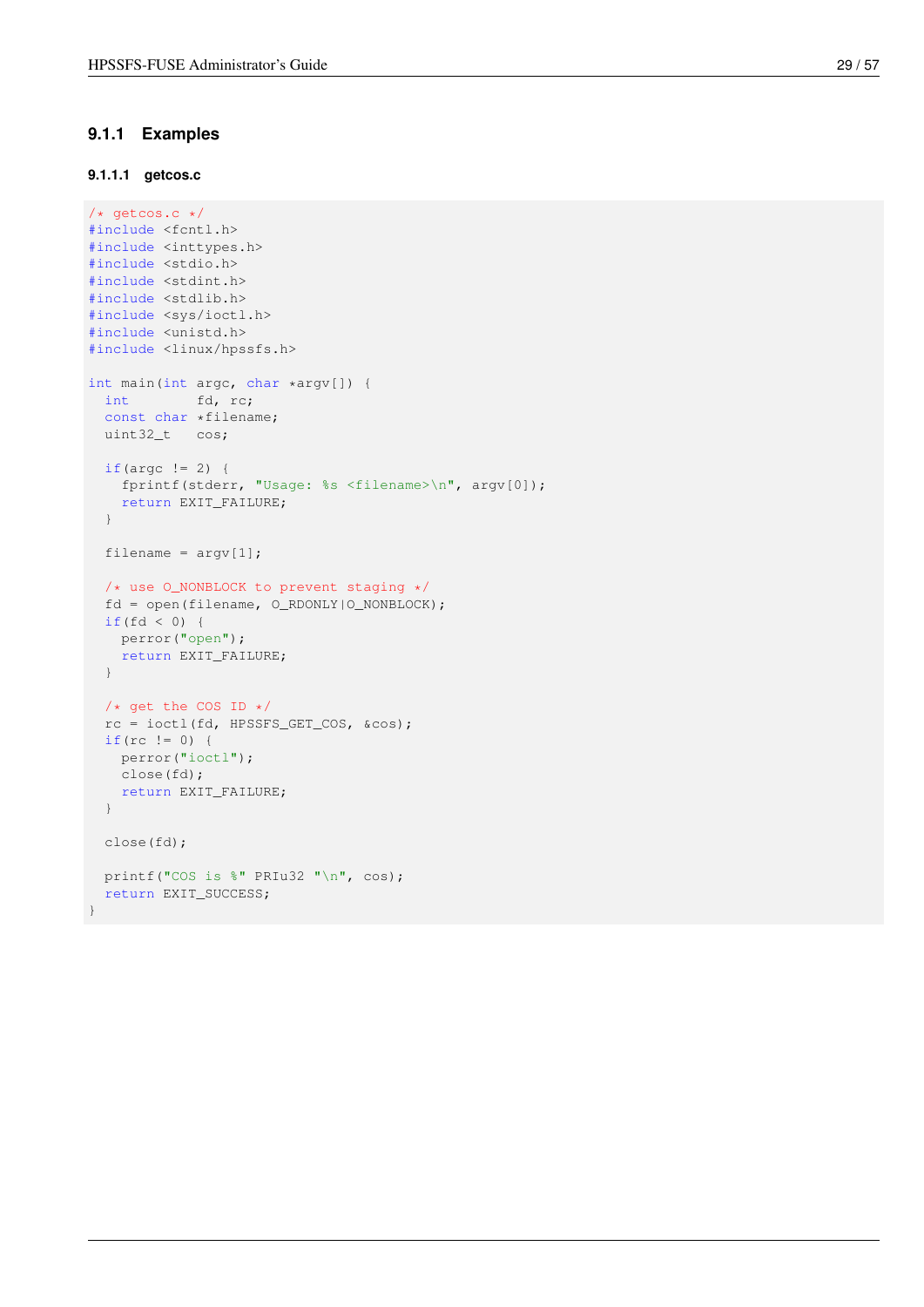### <span id="page-36-0"></span>**9.1.1 Examples**

### <span id="page-36-1"></span>**9.1.1.1 getcos.c**

```
/* getcos.c */#include <fcntl.h>
#include <inttypes.h>
#include <stdio.h>
#include <stdint.h>
#include <stdlib.h>
#include <sys/ioctl.h>
#include <unistd.h>
#include <linux/hpssfs.h>
int main(int argc, char *argv[]) {
 int fd, rc;
  const char *filename;
 uint32_t cos;
 if(argc != 2) {
   fprintf(stderr, "Usage: %s <filename>\n", argv[0]);
   return EXIT_FAILURE;
  }
 filename = \text{argv}[1];
  /* use O_NONBLOCK to prevent staging */
  fd = open(filename, O_RDONLY|O_NONBLOCK);
 if(fd < 0) {
  perror("open");
   return EXIT_FAILURE;
  }
 /* get the COS ID */
 rc = ioctl(fd, HPSSFS_GET_COS, &cos);
  if(rc != 0) {
   perror("ioctl");
   close(fd);
   return EXIT_FAILURE;
  }
 close(fd);
 printf("COS is %" PRIu32 "\n", cos);
 return EXIT_SUCCESS;
}
```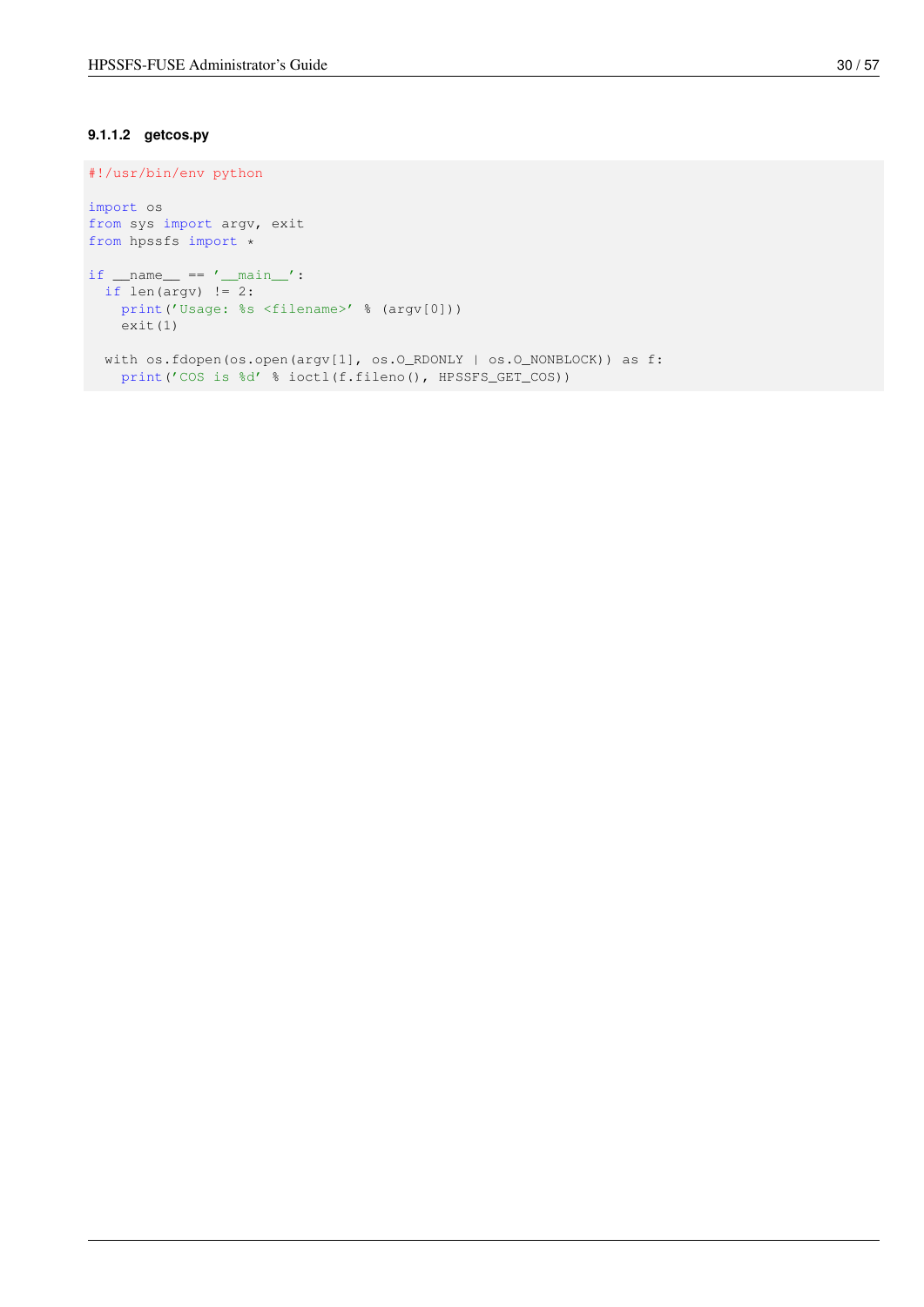### <span id="page-37-0"></span>**9.1.1.2 getcos.py**

```
#!/usr/bin/env python
import os
from sys import argv, exit
from hpssfs import *
if __name__ == '__main__':if len(argv) != 2:
   print('Usage: %s <filename>' % (argv[0]))
   exit(1)
  with os.fdopen(os.open(argv[1], os.O_RDONLY | os.O_NONBLOCK)) as f:
  print('COS is %d' % ioctl(f.fileno(), HPSSFS_GET_COS))
```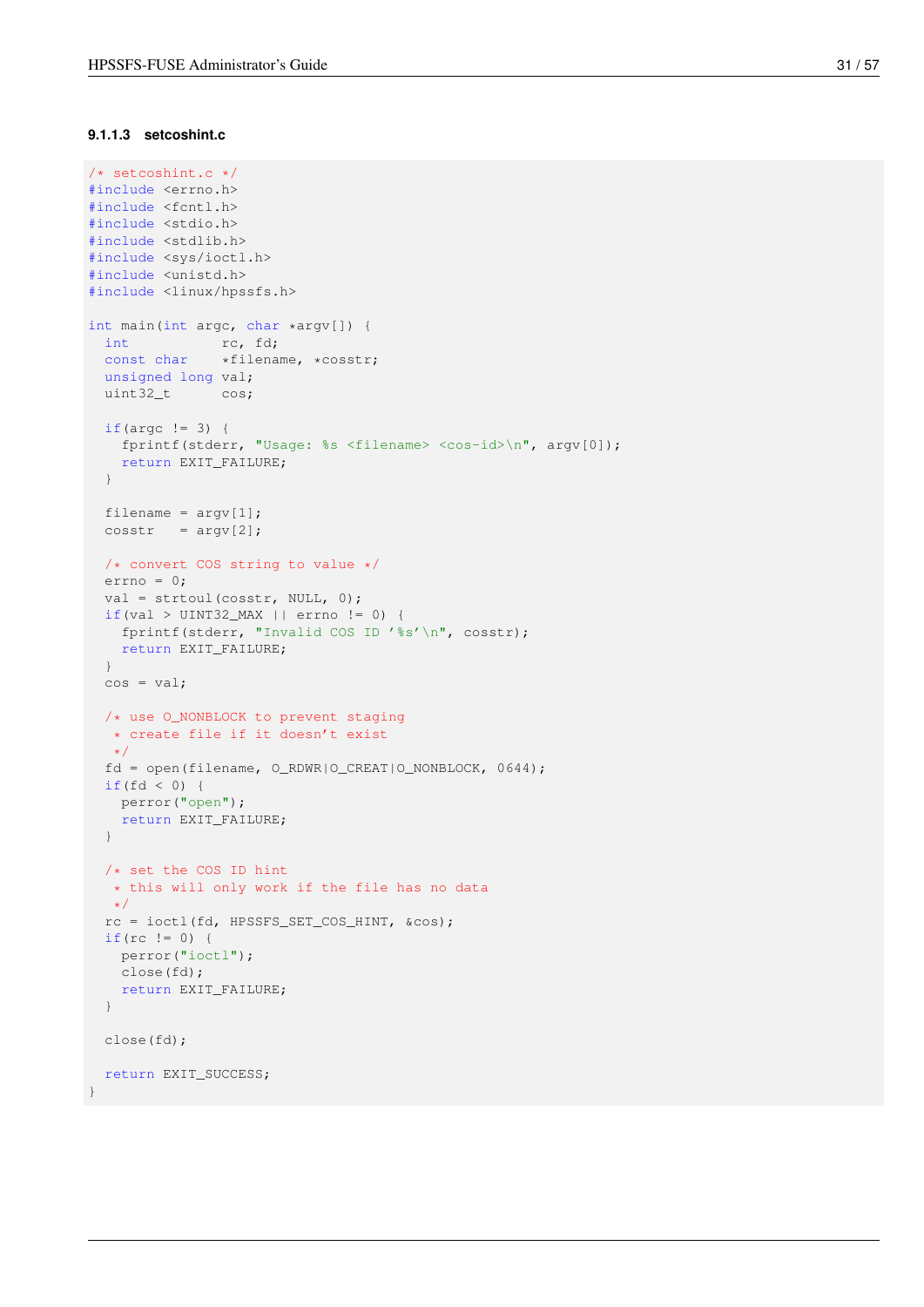#### <span id="page-38-0"></span>**9.1.1.3 setcoshint.c**

```
/* setcoshint.c */
#include <errno.h>
#include <fcntl.h>
#include <stdio.h>
#include <stdlib.h>
#include <sys/ioctl.h>
#include <unistd.h>
#include <linux/hpssfs.h>
int main(int argc, char *argv[]) {
 int rc, fd;
 const char *filename, *cosstr;
 unsigned long val;
 uint32_t cos;
  if(argc != 3) {
   fprintf(stderr, "Usage: %s <filename> <cos-id>\n", argv[0]);
   return EXIT_FAILURE;
  }
  filename = \text{argv[1]};
  \cosh r = \argv[2];/* convert COS string to value */
 errno = 0;
  val = strtoul(cosstr, NULL, 0);
 if(val > UINT32_MAX || error != 0)fprintf(stderr, "Invalid COS ID '%s'\n", cosstr);
   return EXIT_FAILURE;
  }
 cos = val;/* use O_NONBLOCK to prevent staging
  * create file if it doesn't exist
  \star/fd = open(filename, O_RDWR|O_CREAT|O_NONBLOCK, 0644);
  if(fd < 0)perror("open");
   return EXIT_FAILURE;
  }
  /* set the COS ID hint
  * this will only work if the file has no data
  */
  rc = ioctl(fd, HPSSFS_SET_COS_HINT, &cos);
  if(rc != 0) {
   perror("ioctl");
   close(fd);
   return EXIT_FAILURE;
  }
 close(fd);
 return EXIT_SUCCESS;
}
```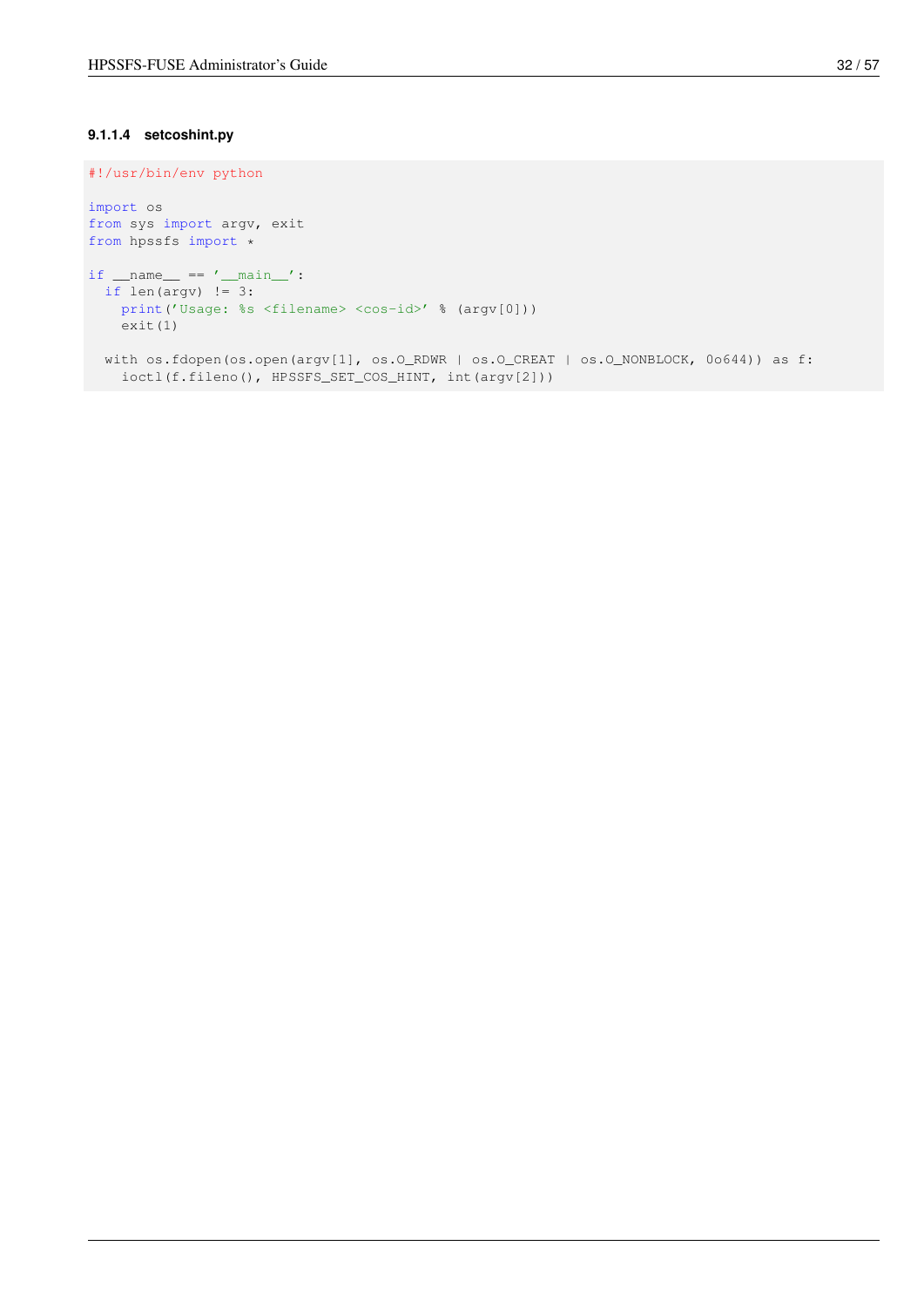### <span id="page-39-0"></span>**9.1.1.4 setcoshint.py**

```
#!/usr/bin/env python
import os
from sys import argv, exit
from hpssfs import *
if __name__ == '__main__':if len(argv) != 3:print('Usage: %s <filename> <cos-id>' % (argv[0]))
   exit(1)
  with os.fdopen(os.open(argv[1], os.O_RDWR | os.O_CREAT | os.O_NONBLOCK, 0o644)) as f:
   ioctl(f.fileno(), HPSSFS_SET_COS_HINT, int(argv[2]))
```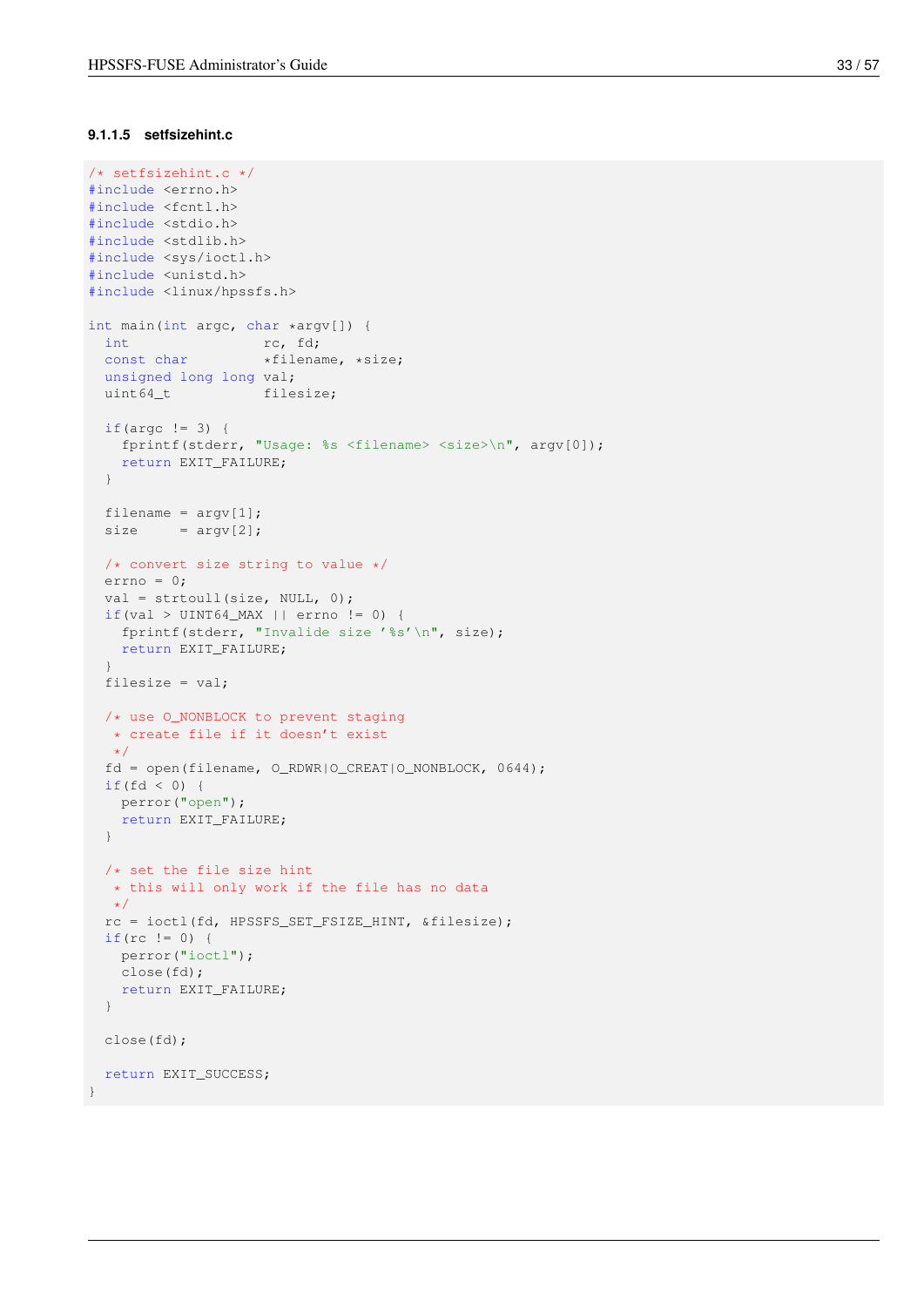### <span id="page-40-0"></span>**9.1.1.5 setfsizehint.c**

```
/* setfsizehint.c */
#include <errno.h>
#include <fcntl.h>
#include <stdio.h>
#include <stdlib.h>
#include <sys/ioctl.h>
#include <unistd.h>
#include <linux/hpssfs.h>
int main(int argc, char *argv[]) {
 int rc, fd;<br>const chemically
 const char *filename, *size;
 unsigned long long val;
 uint64_t filesize;
 if(argc != 3) {
   fprintf(stderr, "Usage: %s <filename> <size>\n", argv[0]);
   return EXIT_FAILURE;
  }
  filename = \text{argv[1]};
  size = argv[2];/* convert size string to value */
 errno = 0;
  val = strtoull(size, NULL, 0);
 if(val > UINT64_MAX || error != 0)fprintf(stderr, "Invalide size '%s'\n", size);
   return EXIT_FAILURE;
  }
  filesize = val;
  /* use O_NONBLOCK to prevent staging
  * create file if it doesn't exist
  \star/fd = open(filename, O_RDWR|O_CREAT|O_NONBLOCK, 0644);
  if(fd < 0)perror("open");
   return EXIT_FAILURE;
  }
  /* set the file size hint
  * this will only work if the file has no data
  */
  rc = ioctl(fd, HPSSFS_SET_FSIZE_HINT, &filesize);
  if(rc != 0) {
   perror("ioctl");
   close(fd);
   return EXIT_FAILURE;
  }
 close(fd);
 return EXIT_SUCCESS;
}
```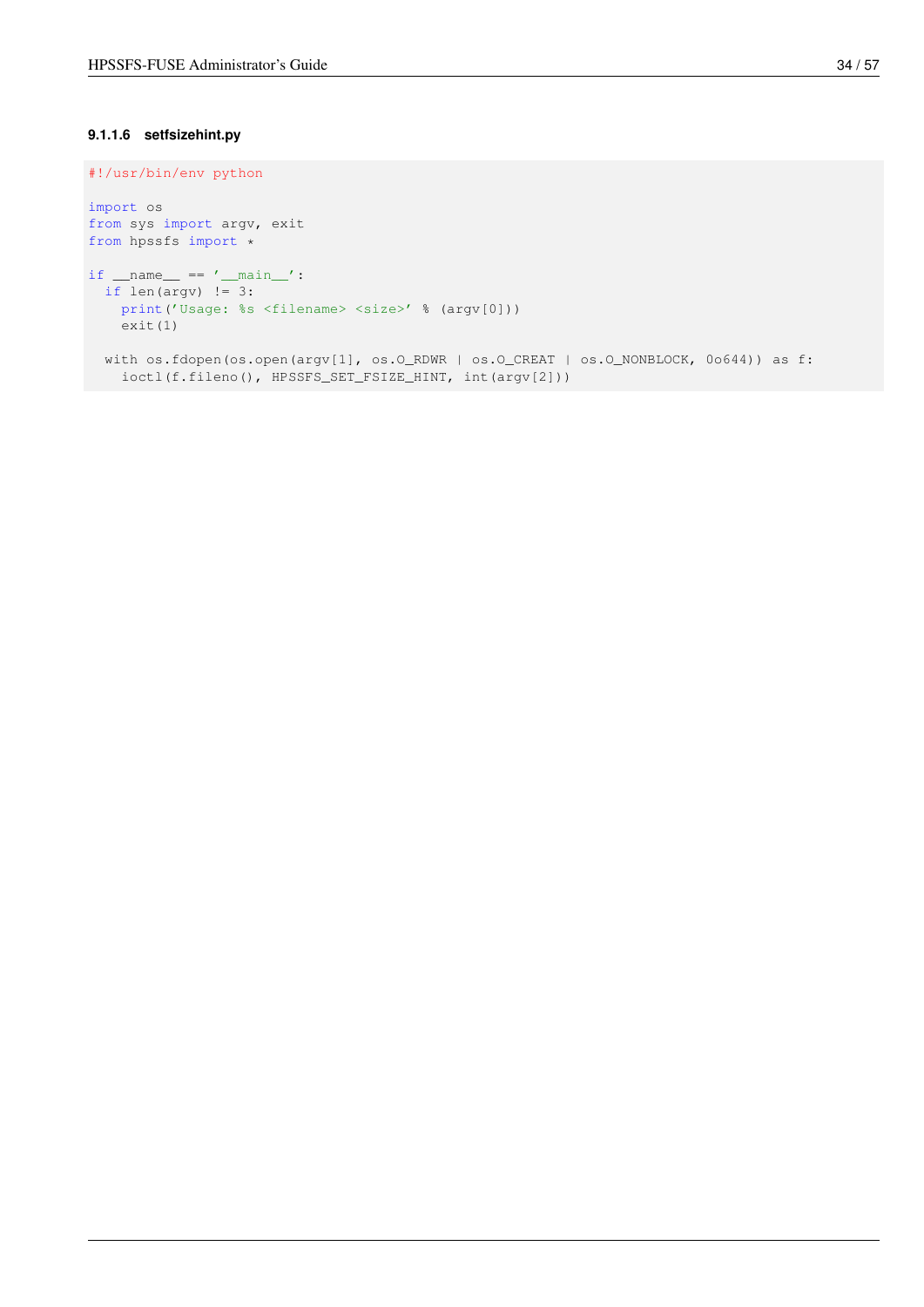### <span id="page-41-0"></span>**9.1.1.6 setfsizehint.py**

```
#!/usr/bin/env python
import os
from sys import argv, exit
from hpssfs import *
if __name__ == '__main__':if len(argv) != 3:print('Usage: %s <filename> <size>' % (argv[0]))
   exit(1)
  with os.fdopen(os.open(argv[1], os.O_RDWR | os.O_CREAT | os.O_NONBLOCK, 0o644)) as f:
   ioctl(f.fileno(), HPSSFS_SET_FSIZE_HINT, int(argv[2]))
```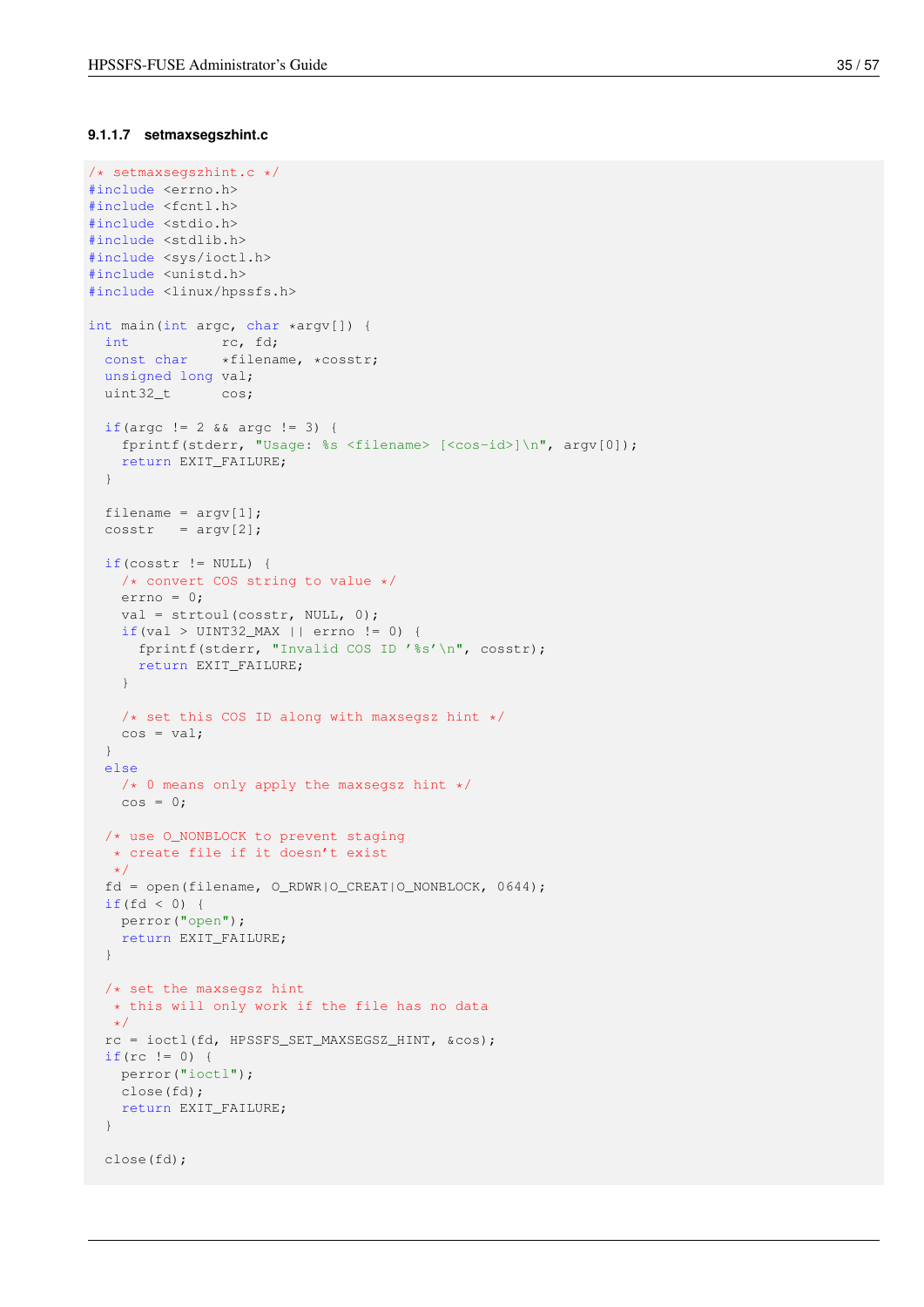#### <span id="page-42-0"></span>**9.1.1.7 setmaxsegszhint.c**

```
/* setmaxsegszhint.c */
#include <errno.h>
#include <fcntl.h>
#include <stdio.h>
#include <stdlib.h>
#include <sys/ioctl.h>
#include <unistd.h>
#include <linux/hpssfs.h>
int main(int argc, char *argv[]) {
 int rc, fd;
 const char *filename, *cosstr;
 unsigned long val;
 uint32_t cos;
 if(argc != 2 && argc != 3) {
   fprintf(stderr, "Usage: %s <filename> [<cos-id>]\n", argv[0]);
   return EXIT_FAILURE;
  }
  filename = \text{argv[1]};
 \cosh r = \argv[2];if(cosstr != NULL) {
   /* convert COS string to value */
   errno = 0;val = strtoul(cosstr, NULL, 0);
   if(va1 > UNT32 MAX || error != 0)fprintf(stderr, "Invalid COS ID '%s'\n", cosstr);
     return EXIT_FAILURE;
   }
   /* set this COS ID along with maxsegsz hint */cos = val;}
 else
   \frac{1}{2} /* 0 means only apply the maxsegsz hint */
   \cos = 0;/* use O_NONBLOCK to prevent staging
  * create file if it doesn't exist
  \star/fd = open(filename, O_RDWR|O_CREAT|O_NONBLOCK, 0644);
 if(fd < 0)perror("open");
   return EXIT_FAILURE;
  }
 /* set the maxsegsz hint
  * this will only work if the file has no data
  \star/rc = ioctl(fd, HPSSFS_SET_MAXSEGSZ_HINT, &cos);
 if(rc != 0) {
  perror("ioctl");
   close(fd);
   return EXIT_FAILURE;
  }
 close(fd);
```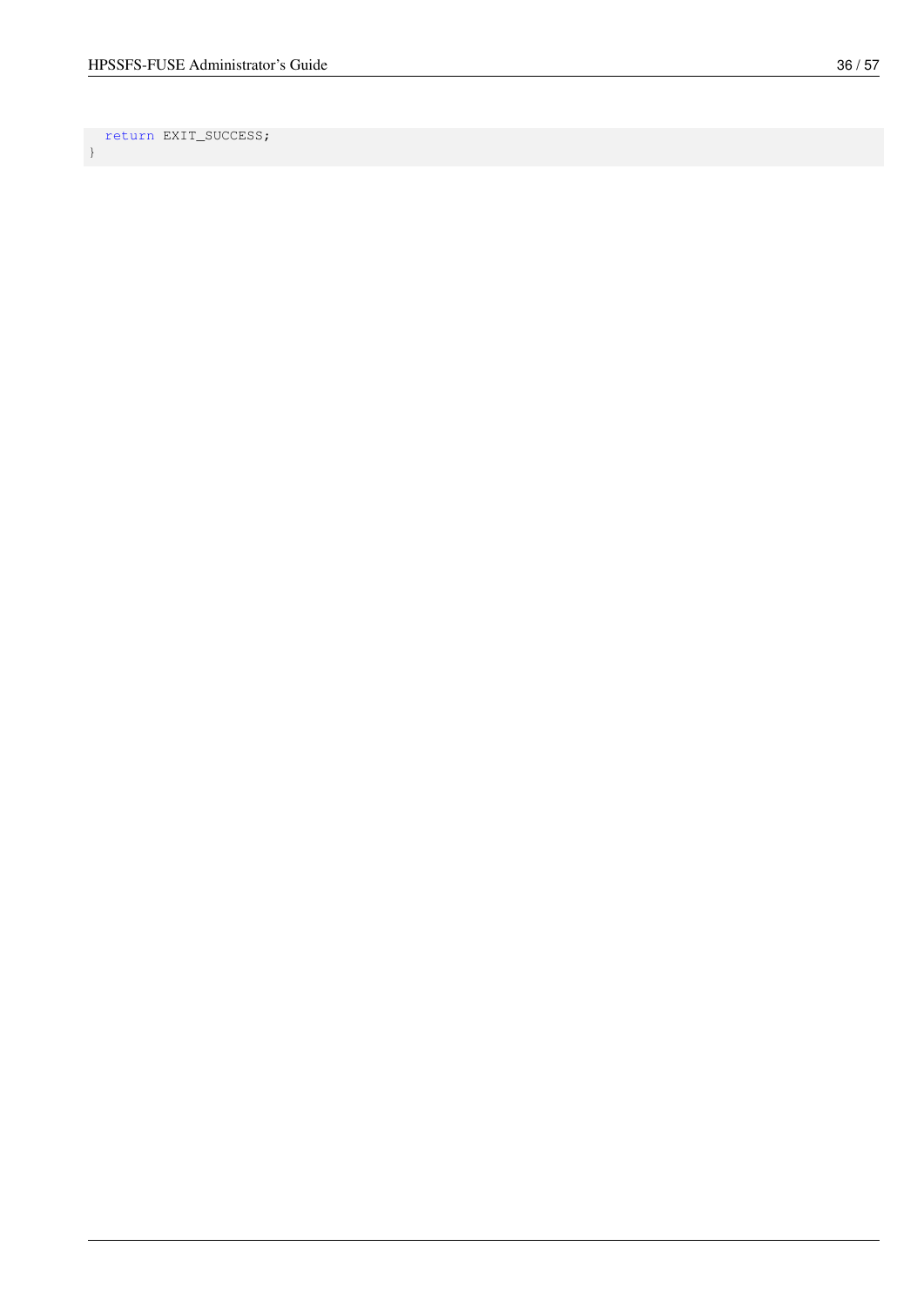return EXIT\_SUCCESS; }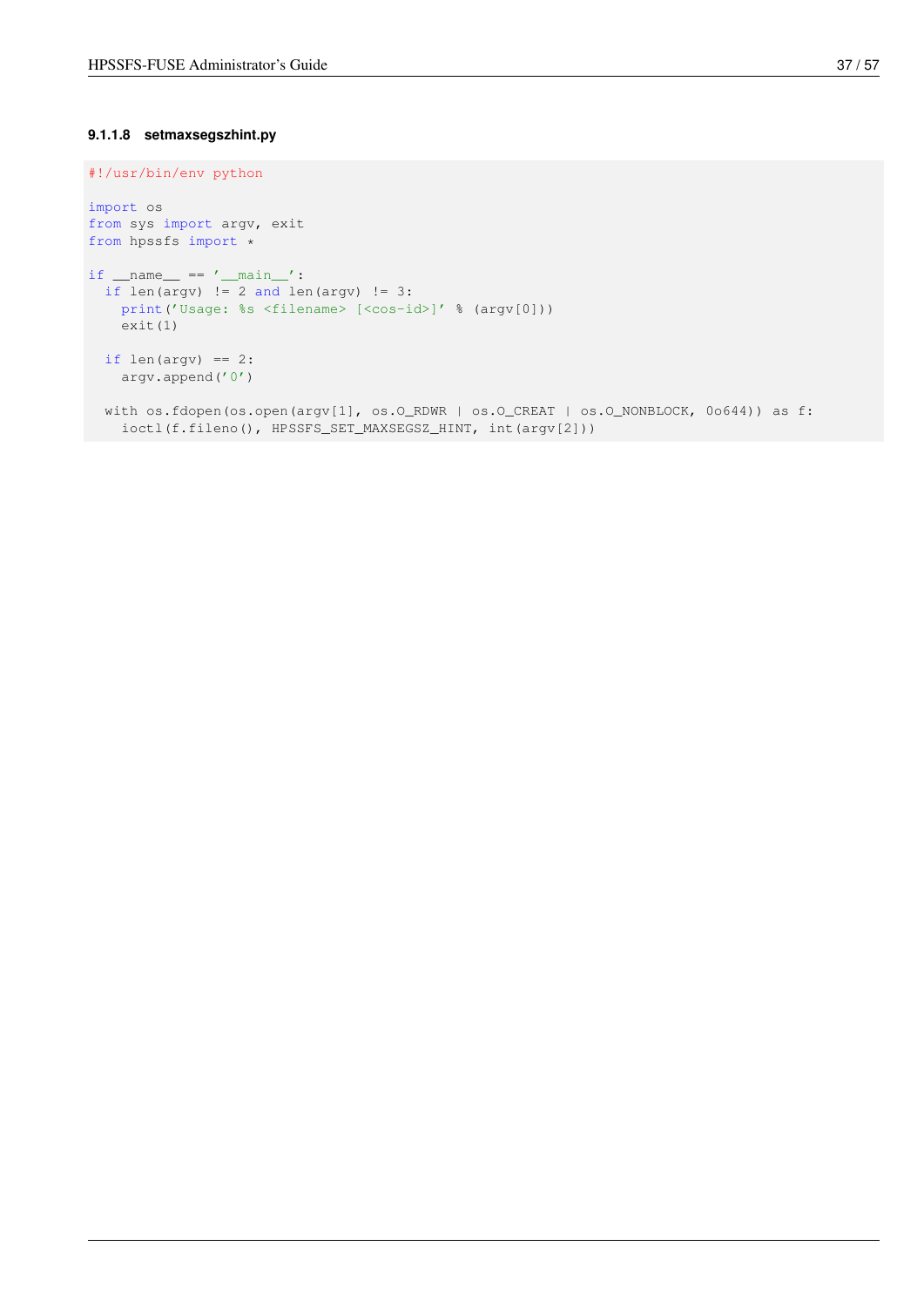#### <span id="page-44-0"></span>**9.1.1.8 setmaxsegszhint.py**

```
#!/usr/bin/env python
import os
from sys import argv, exit
from hpssfs import *
if __name__ == '__main__':if len(argv) != 2 and len(argv) != 3:
   print('Usage: %s <filename> [<cos-id>]' % (argv[0]))
   exit(1)
  if len(argv) == 2:
   argv.append('0')
  with os.fdopen(os.open(argv[1], os.O_RDWR | os.O_CREAT | os.O_NONBLOCK, 0o644)) as f:
   ioctl(f.fileno(), HPSSFS_SET_MAXSEGSZ_HINT, int(argv[2]))
```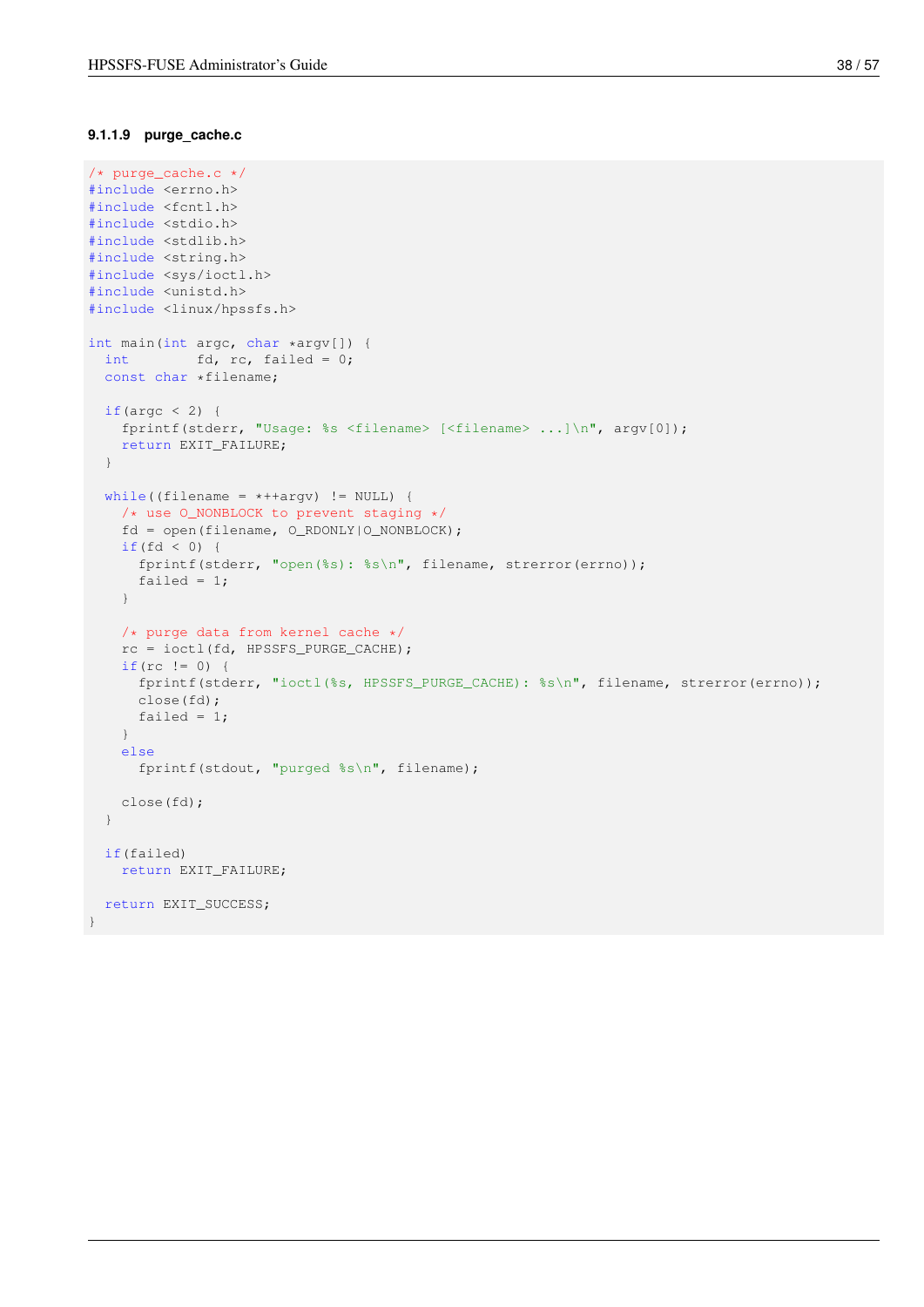#### <span id="page-45-0"></span>**9.1.1.9 purge\_cache.c**

```
/* purge_cache.c */
#include <errno.h>
#include <fcntl.h>
#include <stdio.h>
#include <stdlib.h>
#include <string.h>
#include <sys/ioctl.h>
#include <unistd.h>
#include <linux/hpssfs.h>
int main(int argc, char *argv[]) {
 int fd, rc, failed = 0;
 const char *filename;
 if(argc < 2) {
   fprintf(stderr, "Usage: %s <filename> [<filename> ...]\n", argv[0]);
   return EXIT_FAILURE;
  }
  while((filename = *+4argy) != NULL) {
    /* use O_NONBLOCK to prevent staging */
    fd = open(filename, O_RDONLY|O_NONBLOCK);
    if(fd < 0) {
     fprintf(stderr, "open(%s): %s\n", filename, strerror(errno));
      failed = 1;}
   /* purge data from kernel cache */
   rc = ioctl(fd, HPSSFS_PURGE_CACHE);
   if(rc != 0) {
     fprintf(stderr, "ioctl(%s, HPSSFS_PURGE_CACHE): %s\n", filename, strerror(errno));
     close(fd);
     failed = 1;}
   else
     fprintf(stdout, "purged %s\n", filename);
   close(fd);
  }
  if(failed)
   return EXIT_FAILURE;
  return EXIT_SUCCESS;
}
```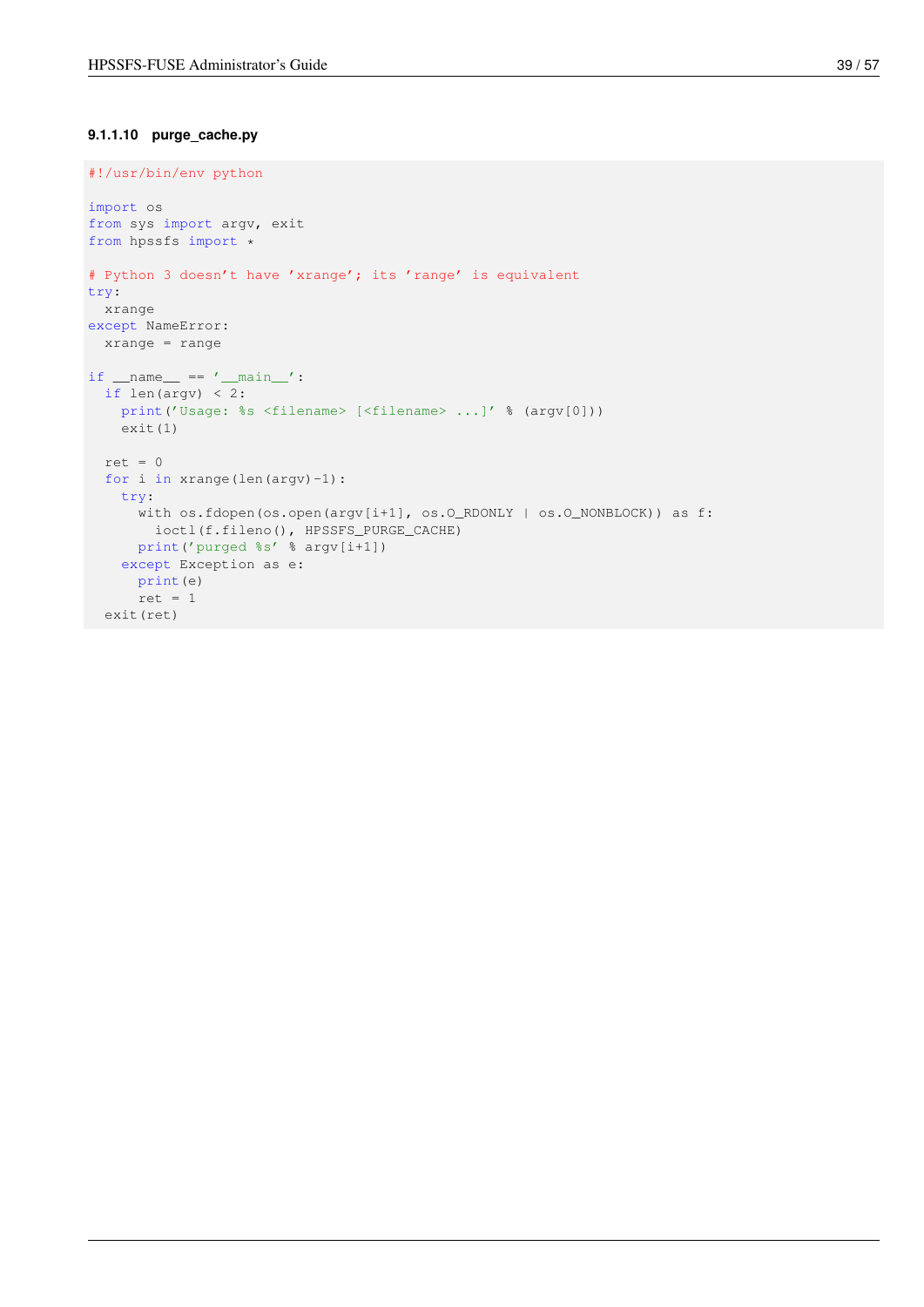### <span id="page-46-0"></span>**9.1.1.10 purge\_cache.py**

```
#!/usr/bin/env python
import os
from sys import argv, exit
from hpssfs import *
# Python 3 doesn't have 'xrange'; its 'range' is equivalent
try:
 xrange
except NameError:
 xrange = range
if __name__ == ' __main__':if len(argv) < 2:
  print('Usage: %s <filename> [<filename> ...]' % (argv[0]))
   exit(1)
 ret = 0for i in xrange(len(argv)-1):
    try:
      with os.fdopen(os.open(argv[i+1], os.O_RDONLY | os.O_NONBLOCK)) as f:
       ioctl(f.fileno(), HPSSFS_PURGE_CACHE)
     print('purged %s' % argv[i+1])
   except Exception as e:
     print(e)
     ret = 1exit(ret)
```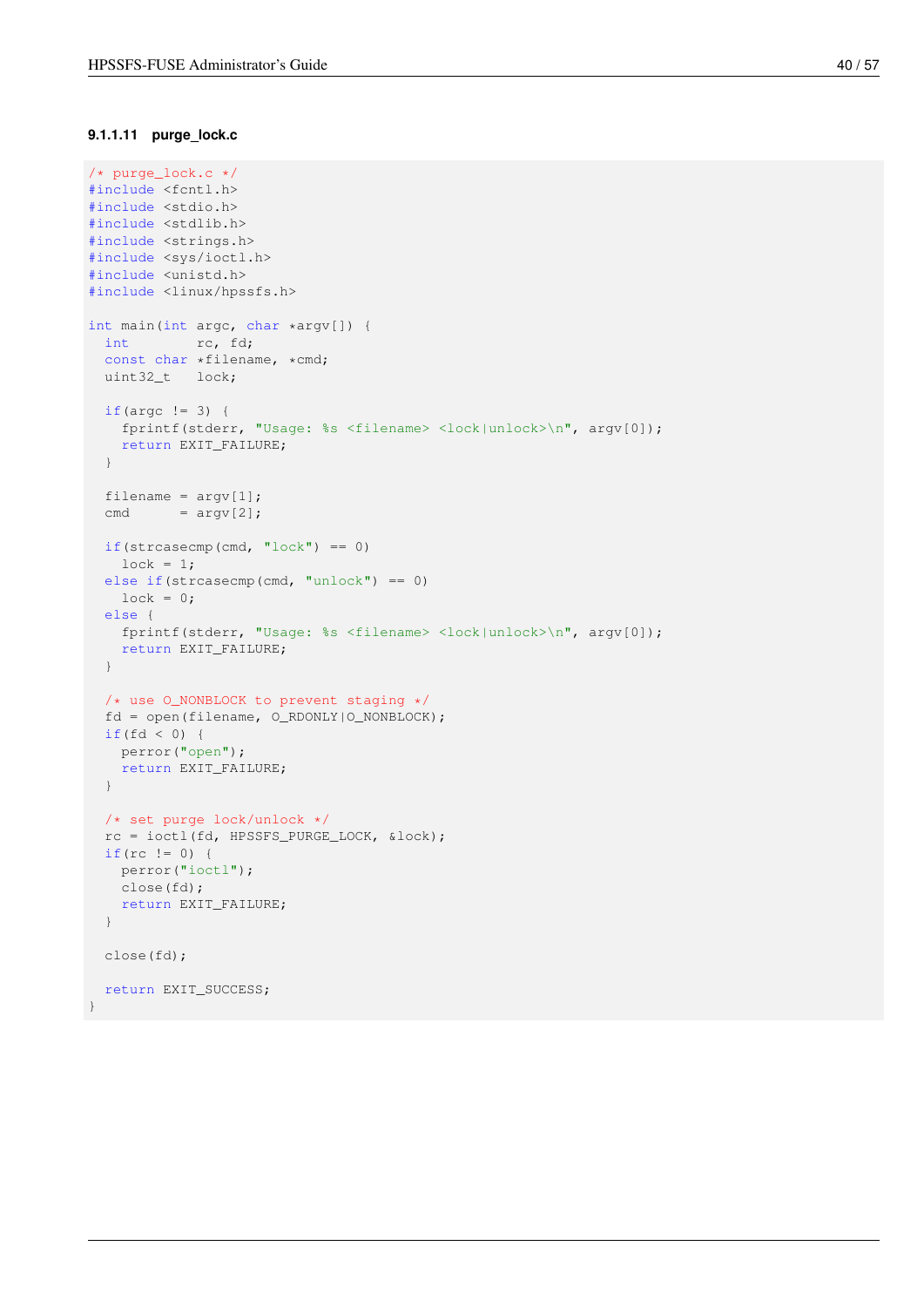#### <span id="page-47-0"></span>**9.1.1.11 purge\_lock.c**

```
/* purge_lock.c */
#include <fcntl.h>
#include <stdio.h>
#include <stdlib.h>
#include <strings.h>
#include <sys/ioctl.h>
#include <unistd.h>
#include <linux/hpssfs.h>
int main(int argc, char *argv[]) {
 int rc, fd;
 const char *filename, *cmd;
 uint32_t lock;
 if(argc != 3) {
   fprintf(stderr, "Usage: %s <filename> <lock|unlock>\n", argv[0]);
   return EXIT_FAILURE;
  }
  filename = \text{argv[1]};
  cmd = \text{argv}[2];if(strcasecmp(cmd, "lock") == 0)
   lock = 1;else if(strcasecmp(cmd, "unlock") == 0)
   lock = 0;else {
   fprintf(stderr, "Usage: %s <filename> <lock|unlock>\n", argv[0]);
   return EXIT_FAILURE;
  }
  /* use O_NONBLOCK to prevent staging */
  fd = open(filename, O_RDONLY|O_NONBLOCK);
  if(fd < 0) {
  perror("open");
   return EXIT_FAILURE;
  }
  /* set purge lock/unlock */
  rc = ioctl(fd, HPSSFS_PURGE_LOCK, &lock);
  if(rc != 0) {
   perror("ioctl");
   close(fd);
    return EXIT_FAILURE;
  }
 close(fd);
 return EXIT_SUCCESS;
}
```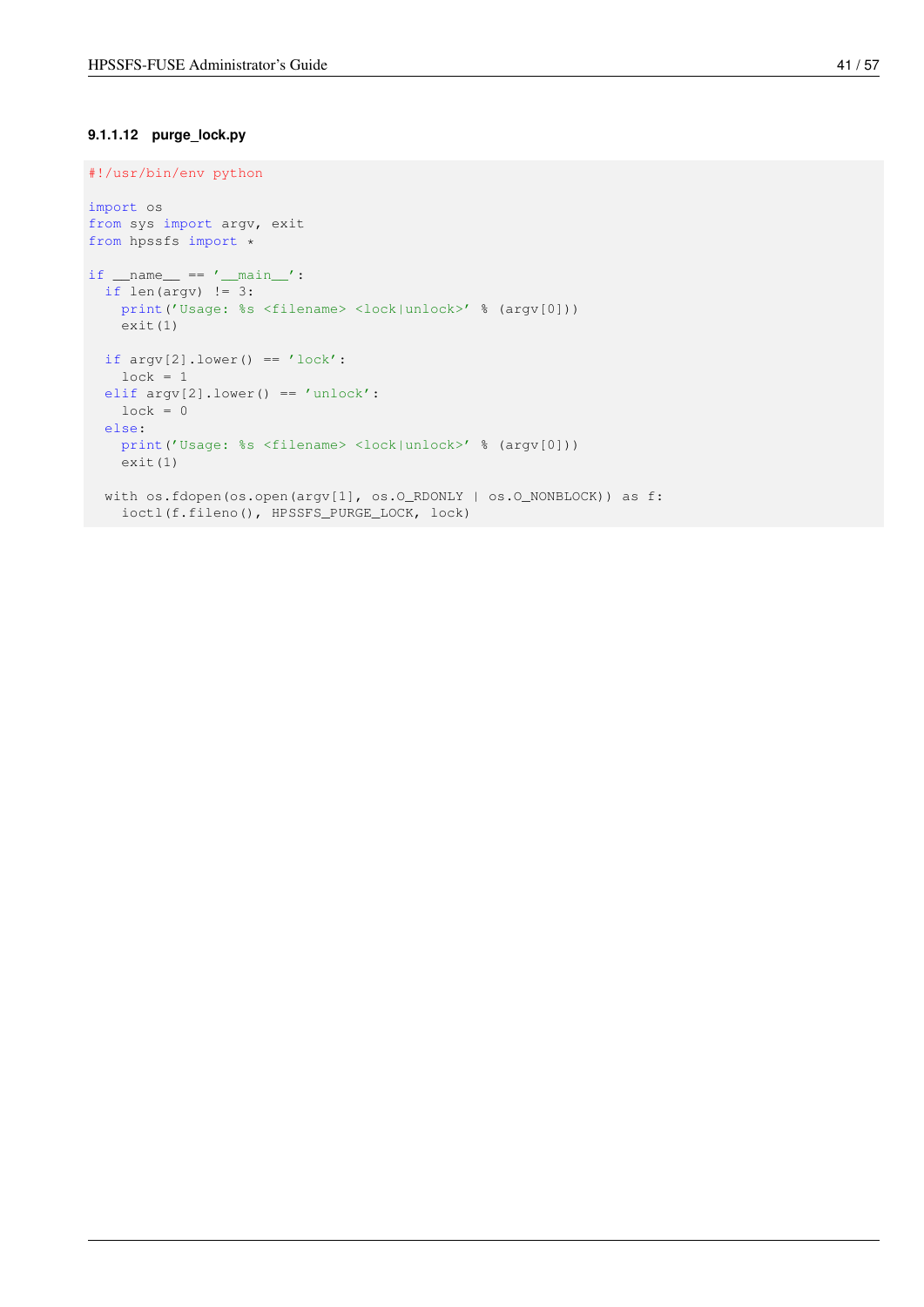### <span id="page-48-0"></span>**9.1.1.12 purge\_lock.py**

```
#!/usr/bin/env python
import os
from sys import argv, exit
from hpssfs import *
if _name_ = = '_main_:
 if len(argv) != 3:print('Usage: %s <filename> <lock|unlock>' % (argv[0]))
   exit(1)
 if argv[2].lower() == 'lock':lock = 1elif argv[2].lower() == 'unlock':
   lock = 0else:
   print('Usage: %s <filename> <lock|unlock>' % (argv[0]))
   exit(1)
 with os.fdopen(os.open(argv[1], os.O_RDONLY | os.O_NONBLOCK)) as f:
   ioctl(f.fileno(), HPSSFS_PURGE_LOCK, lock)
```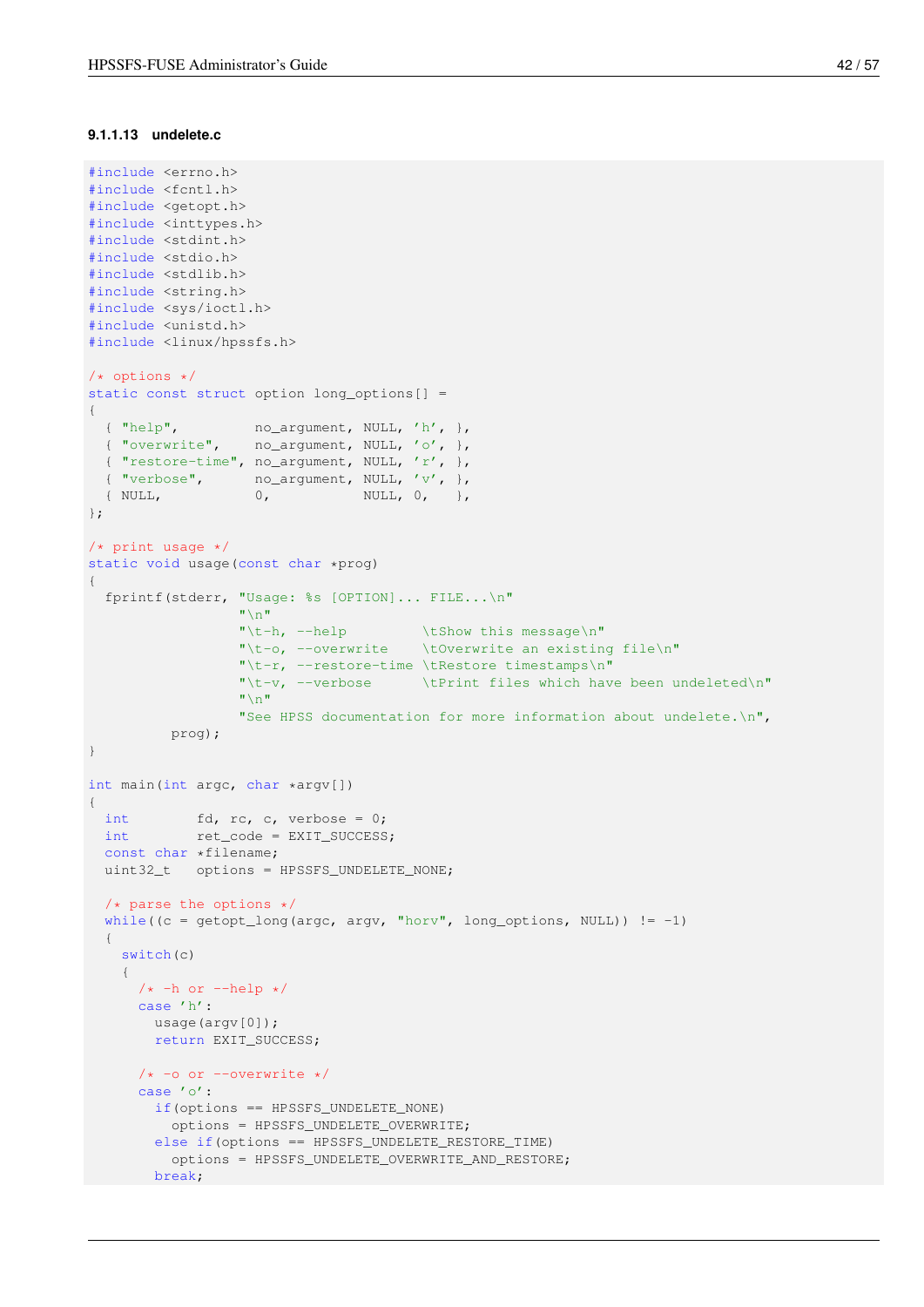#### <span id="page-49-0"></span>**9.1.1.13 undelete.c**

```
#include <errno.h>
#include <fcntl.h>
#include <getopt.h>
#include <inttypes.h>
#include <stdint.h>
#include <stdio.h>
#include <stdlib.h>
#include <string.h>
#include <sys/ioctl.h>
#include <unistd.h>
#include <linux/hpssfs.h>
/* options */
static const struct option long_options[] =
{
 { "help", no_argument, NULL, 'h', },
  { "overwrite", no_argument, NULL, 'o', },
  { "restore-time", no_argument, NULL, 'r', },
 { "verbose", no_argument, NULL, 'v', },
 { NULL, 0, NULL, 0, },
};
/* print usage */static void usage(const char *prog)
{
 fprintf(stderr, "Usage: %s [OPTION]... FILE...\n"
                 " \n\wedge n""\t-h, --help \tShow this message\n"
                 "\t-o, --overwrite \tOverwrite an existing file\n"
                 "\t-r, --restore-time \tRestore timestamps\n"
                 "\t-v, --verbose \tPrint files which have been undeleted\n"
                 " \cap ""See HPSS documentation for more information about undelete.\n",
         prog);
}
int main(int argc, char *argv[])
{
  int fd, rc, c, verbose = 0;
  int ret_code = EXIT_SUCCESS;
  const char *filename;
 uint32_t options = HPSSFS_UNDELETE_NONE;
 /* parse the options */
 while((c = getopt_long(argc, argv, "horv", long_options, NULL)) != -1)
  {
   switch(c)
    {
      /* -h or --help */
     case 'h':
       usage(argv[0]);
       return EXIT_SUCCESS;
     /* -o or --overwrite *case 'o':
       if(options == HPSSFS_UNDELETE_NONE)
         options = HPSSFS_UNDELETE_OVERWRITE;
       else if(options == HPSSFS_UNDELETE_RESTORE_TIME)
         options = HPSSFS_UNDELETE_OVERWRITE_AND_RESTORE;
       break;
```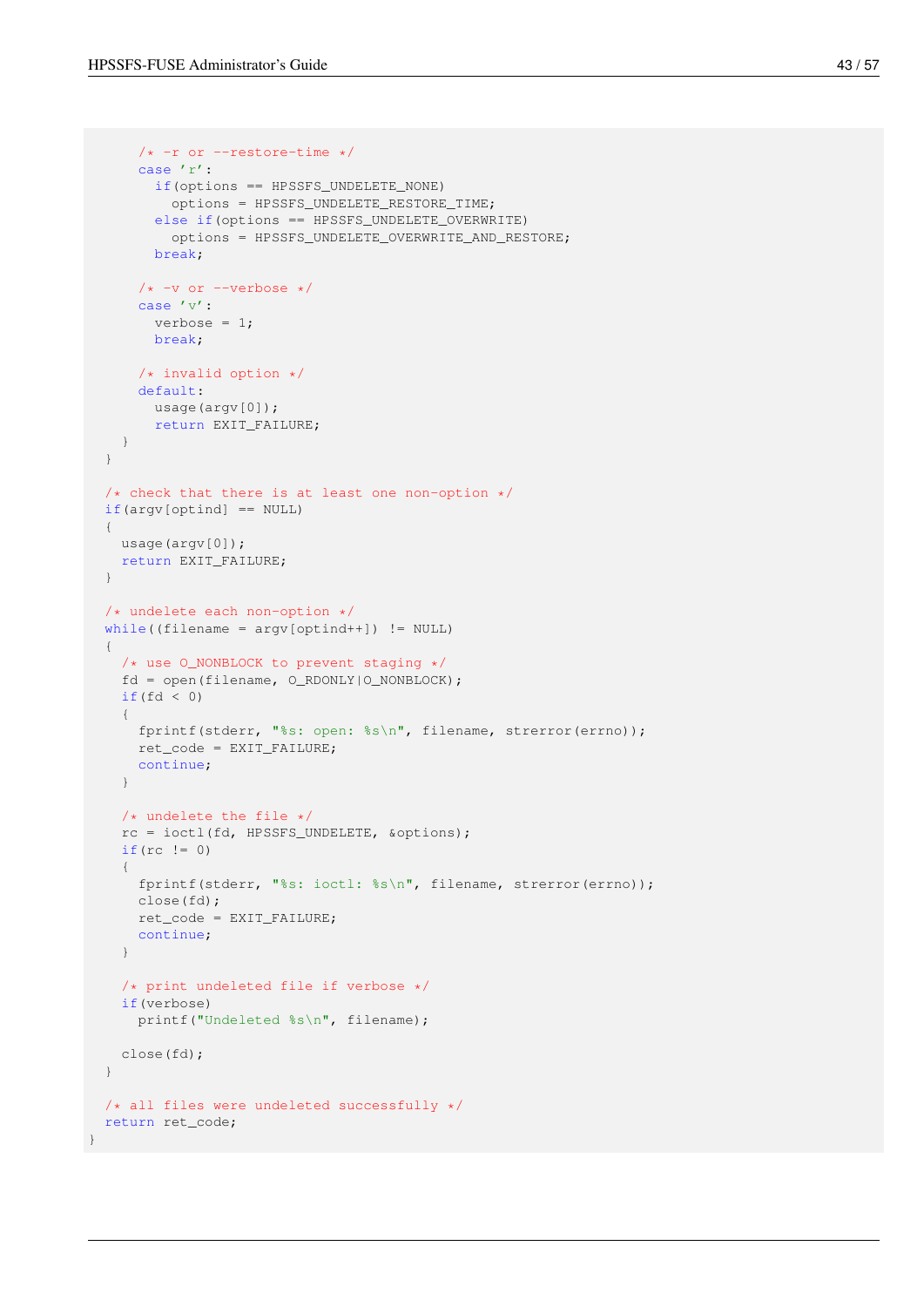```
/* -r or --restore-time */case 'r':
       if(options == HPSSFS_UNDELETE_NONE)
         options = HPSSFS_UNDELETE_RESTORE_TIME;
       else if(options == HPSSFS_UNDELETE_OVERWRITE)
         options = HPSSFS_UNDELETE_OVERWRITE_AND_RESTORE;
       break;
      /* -v or --verbose */case 'v':
       verbose = 1;
       break;
     /* invalid option */
     default:
       usage(argv[0]);
       return EXIT_FAILURE;
   }
 }
 /* check that there is at least one non-option */if(argv[optind] == NULL)
 {
   usage(argv[0]);
   return EXIT_FAILURE;
 }
 /* undelete each non-option */
 while((filename = argv[optind++]) != NULL)
  {
   /* use O_NONBLOCK to prevent staging */
   fd = open(filename, O_RDONLY|O_NONBLOCK);
   if(fd < 0)
    {
     fprintf(stderr, "%s: open: %s\n", filename, strerror(errno));
     ret_code = EXIT_FAILURE;
     continue;
   }
   /* undelete the file */rc = ioctl(fd, HPSSFS_UNDELETE, &options);
   if (rc \mid = 0){
     fprintf(stderr, "%s: ioctl: %s\n", filename, strerror(errno));
     close(fd);
     ret_code = EXIT_FAILURE;
     continue;
    }
   /* print undeleted file if verbose */
   if(verbose)
     printf("Undeleted %s\n", filename);
   close(fd);
 }
 /* all files were undeleted successfully */
 return ret_code;
}
```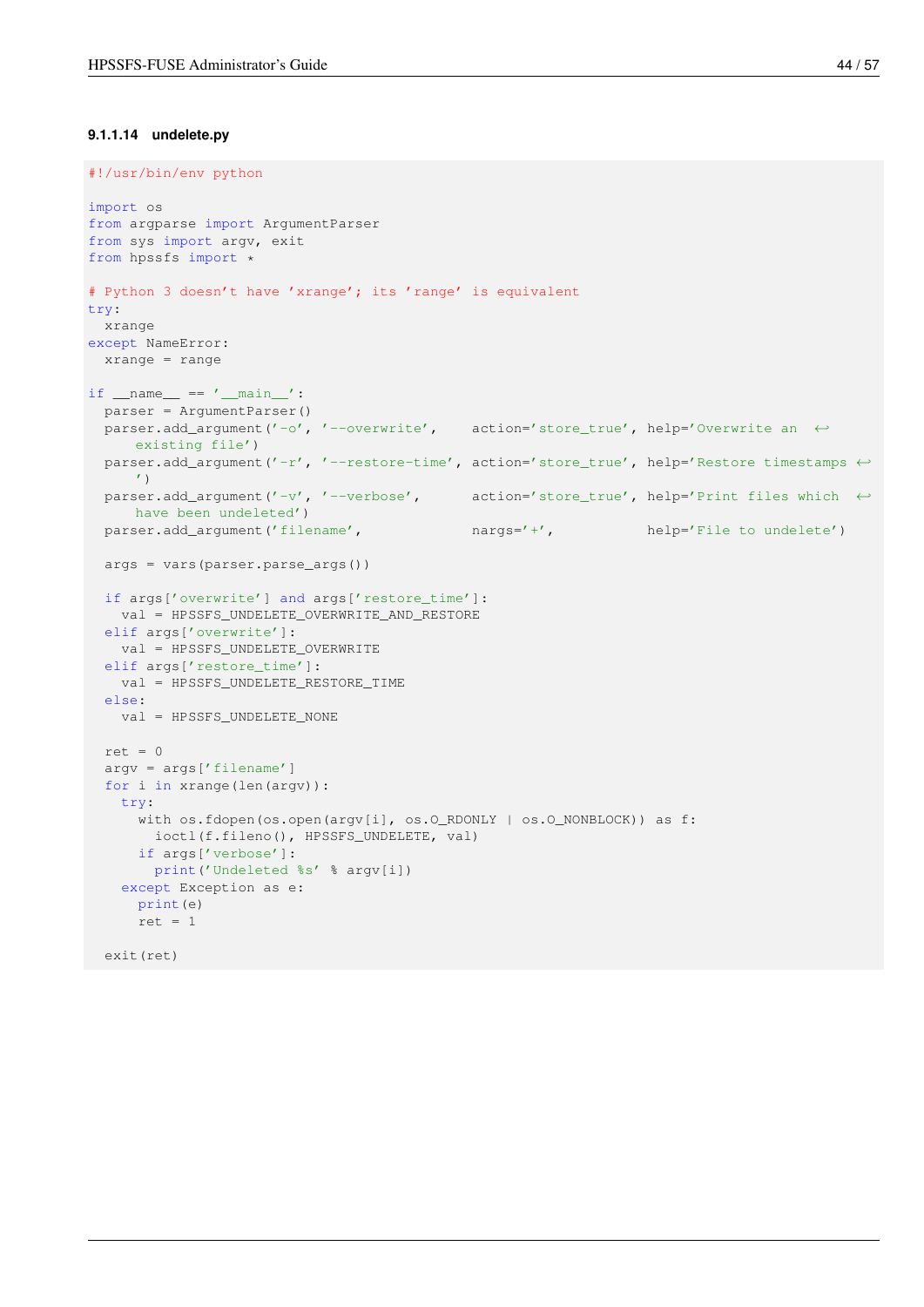#### <span id="page-51-0"></span>**9.1.1.14 undelete.py**

```
#!/usr/bin/env python
import os
from argparse import ArgumentParser
from sys import argv, exit
from hpssfs import *
# Python 3 doesn't have 'xrange'; its 'range' is equivalent
try:
 xrange
except NameError:
 xrange = range
if __name__ == ' __main__':parser = ArgumentParser()
 parser.add_argument('-o', '--overwrite', action='store_true', help='Overwrite an ←
     existing file')
 parser.add_argument('-r', '--restore-time', action='store_true', help='Restore timestamps \leftrightarrow\left( \frac{1}{2} \right)parser.add_argument('-v', '--verbose', action='store_true', help='Print files which \leftrightarrowhave been undeleted')
  parser.add_argument('filename', nargs='+', help='File to undelete')
 args = vars(parser.parse_args())
 if args['overwrite'] and args['restore_time']:
   val = HPSSFS_UNDELETE_OVERWRITE_AND_RESTORE
  elif args['overwrite']:
   val = HPSSFS_UNDELETE_OVERWRITE
  elif args['restore_time']:
   val = HPSSFS_UNDELETE_RESTORE_TIME
  else:
   val = HPSSFS_UNDELETE_NONE
  ret = 0argv = args['filename']
  for i in xrange(len(argv)):
   try:
      with os.fdopen(os.open(argv[i], os.O_RDONLY | os.O_NONBLOCK)) as f:
       ioctl(f.fileno(), HPSSFS_UNDELETE, val)
      if args['verbose']:
       print('Undeleted %s' % argv[i])
    except Exception as e:
      print(e)
      ret = 1exit(ret)
```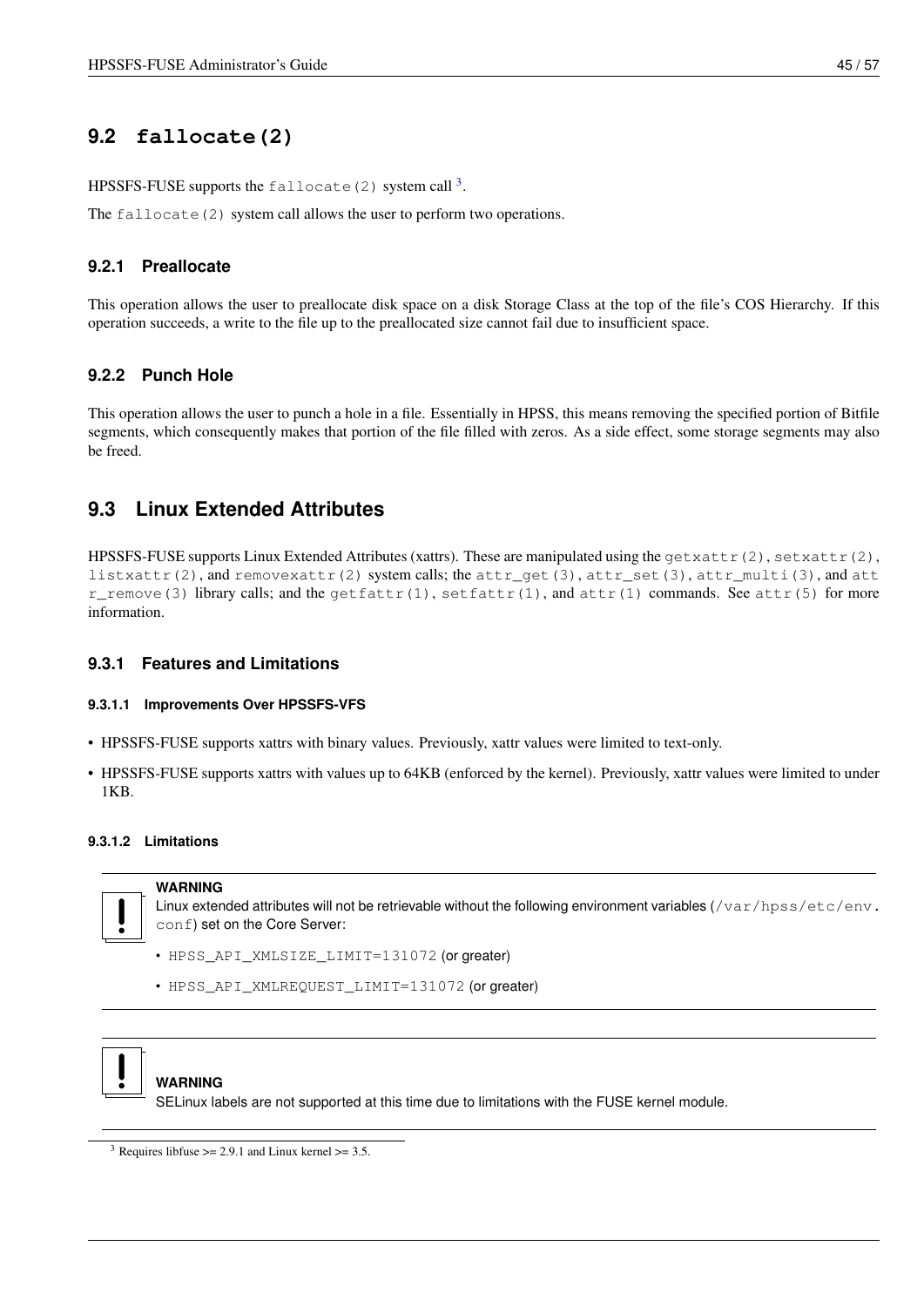# <span id="page-52-0"></span>**9.2 fallocate(2)**

HPSSFS-FUSE supports the fallocate (2) system call  $^3$  $^3$ .

The fallocate (2) system call allows the user to perform two operations.

### <span id="page-52-1"></span>**9.2.1 Preallocate**

This operation allows the user to preallocate disk space on a disk Storage Class at the top of the file's COS Hierarchy. If this operation succeeds, a write to the file up to the preallocated size cannot fail due to insufficient space.

### <span id="page-52-2"></span>**9.2.2 Punch Hole**

This operation allows the user to punch a hole in a file. Essentially in HPSS, this means removing the specified portion of Bitfile segments, which consequently makes that portion of the file filled with zeros. As a side effect, some storage segments may also be freed.

# <span id="page-52-3"></span>**9.3 Linux Extended Attributes**

<span id="page-52-7"></span>HPSSFS-FUSE supports Linux Extended Attributes (xattrs). These are manipulated using the  $q$ etxattr(2), setxattr(2), listxattr(2), and removexattr(2) system calls; the attr\_get(3), attr\_set(3), attr\_multi(3), and att r\_remove(3) library calls; and the  $\text{qettart}(1)$ ,  $\text{setfattr}(1)$ , and  $\text{attr}(1)$  commands. See attr(5) for more information.

### <span id="page-52-4"></span>**9.3.1 Features and Limitations**

### <span id="page-52-5"></span>**9.3.1.1 Improvements Over HPSSFS-VFS**

- HPSSFS-FUSE supports xattrs with binary values. Previously, xattr values were limited to text-only.
- HPSSFS-FUSE supports xattrs with values up to 64KB (enforced by the kernel). Previously, xattr values were limited to under 1KB.

### <span id="page-52-6"></span>**9.3.1.2 Limitations**

**WARNING**



Linux extended attributes will not be retrievable without the following environment variables (/var/hpss/etc/env. conf) set on the Core Server:

- HPSS\_API\_XMLSIZE\_LIMIT=131072 (or greater)
- HPSS\_API\_XMLREQUEST\_LIMIT=131072 (or greater)



### **WARNING**

SELinux labels are not supported at this time due to limitations with the FUSE kernel module.

<span id="page-52-8"></span><sup>&</sup>lt;sup>3</sup> Requires libfuse  $\ge$  2.9.1 and Linux kernel  $\ge$  3.5.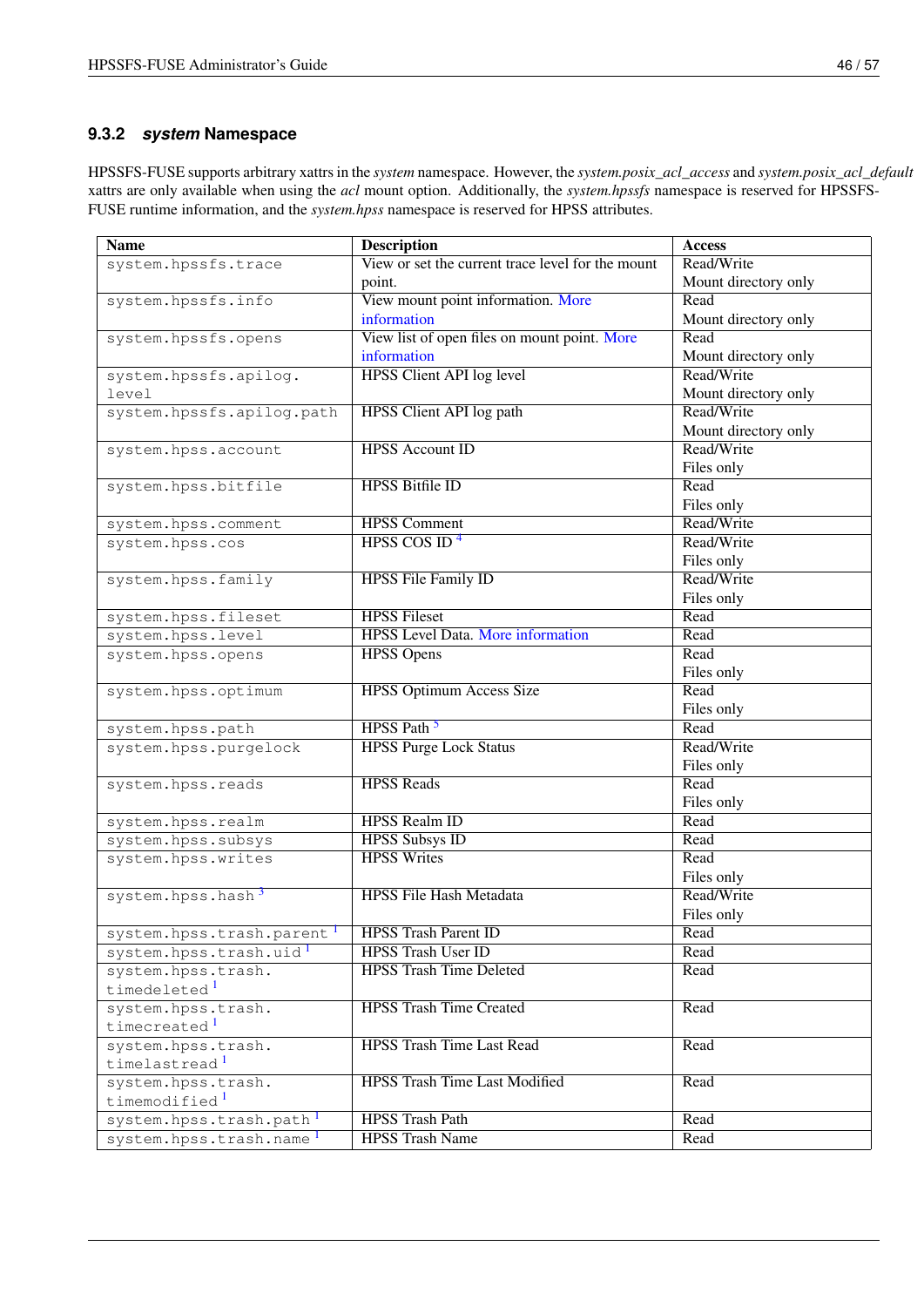### <span id="page-53-0"></span>**9.3.2** *system* **Namespace**

HPSSFS-FUSE supports arbitrary xattrs in the *system* namespace. However, the *system.posix\_acl\_access* and *system.posix\_acl\_default* xattrs are only available when using the *acl* mount option. Additionally, the *system.hpssfs* namespace is reserved for HPSSFS-FUSE runtime information, and the *system.hpss* namespace is reserved for HPSS attributes.

| <b>Name</b>                                    | <b>Description</b>                                          | <b>Access</b>        |
|------------------------------------------------|-------------------------------------------------------------|----------------------|
| system.hpssfs.trace                            | View or set the current trace level for the mount           | Read/Write           |
|                                                | point.                                                      | Mount directory only |
| system.hpssfs.info                             | View mount point information. More                          | Read                 |
|                                                | information                                                 | Mount directory only |
| system.hpssfs.opens                            | View list of open files on mount point. More                | Read                 |
|                                                | information                                                 | Mount directory only |
| system.hpssfs.apilog.                          | <b>HPSS Client API log level</b>                            | Read/Write           |
| level                                          |                                                             | Mount directory only |
| system.hpssfs.apilog.path                      | <b>HPSS Client API log path</b>                             | Read/Write           |
|                                                |                                                             | Mount directory only |
| system.hpss.account                            | <b>HPSS</b> Account ID                                      | Read/Write           |
|                                                |                                                             | Files only           |
| system.hpss.bitfile                            | <b>HPSS Bitfile ID</b>                                      | Read                 |
|                                                |                                                             | Files only           |
| system.hpss.comment                            | <b>HPSS Comment</b>                                         | Read/Write           |
| system.hpss.cos                                | HPSS COS ID <sup>4</sup>                                    | Read/Write           |
|                                                |                                                             | Files only           |
| system.hpss.family                             | <b>HPSS File Family ID</b>                                  | Read/Write           |
|                                                |                                                             | Files only           |
| system.hpss.fileset                            | <b>HPSS Fileset</b>                                         | Read                 |
| system.hpss.level                              | <b>HPSS Level Data. More information</b>                    | Read                 |
| system.hpss.opens                              | <b>HPSS Opens</b>                                           | Read                 |
|                                                |                                                             | Files only           |
| system.hpss.optimum                            | <b>HPSS Optimum Access Size</b>                             | Read                 |
|                                                |                                                             | Files only           |
| system.hpss.path                               | HPSS Path <sup>5</sup>                                      | Read                 |
| system.hpss.purgelock                          | <b>HPSS Purge Lock Status</b>                               | Read/Write           |
|                                                |                                                             | Files only           |
| system.hpss.reads                              | <b>HPSS Reads</b>                                           | Read                 |
|                                                |                                                             | Files only           |
| system.hpss.realm                              | <b>HPSS</b> Realm ID                                        | Read                 |
| system.hpss.subsys                             | <b>HPSS Subsys ID</b><br><b>HPSS Writes</b>                 | Read                 |
| system.hpss.writes                             |                                                             | Read                 |
|                                                |                                                             | Files only           |
| system.hpss.hash <sup>3</sup>                  | <b>HPSS File Hash Metadata</b>                              | Read/Write           |
|                                                |                                                             | Files only           |
| system.hpss.trash.parent                       | <b>HPSS Trash Parent ID</b>                                 | Read                 |
| system.hpss.trash.uid                          | <b>HPSS Trash User ID</b><br><b>HPSS Trash Time Deleted</b> | Read                 |
| system.hpss.trash.<br>timedeleted <sup>1</sup> |                                                             | Read                 |
|                                                | <b>HPSS Trash Time Created</b>                              |                      |
| system.hpss.trash.<br>timecreated <sup>1</sup> |                                                             | Read                 |
| system.hpss.trash.                             | <b>HPSS Trash Time Last Read</b>                            | Read                 |
| timelastread <sup>1</sup>                      |                                                             |                      |
| system.hpss.trash.                             | <b>HPSS Trash Time Last Modified</b>                        | Read                 |
| timemodified <sup>1</sup>                      |                                                             |                      |
| system.hpss.trash.path                         | <b>HPSS Trash Path</b>                                      | Read                 |
| system.hpss.trash.name <sup>1</sup>            | <b>HPSS Trash Name</b>                                      | Read                 |
|                                                |                                                             |                      |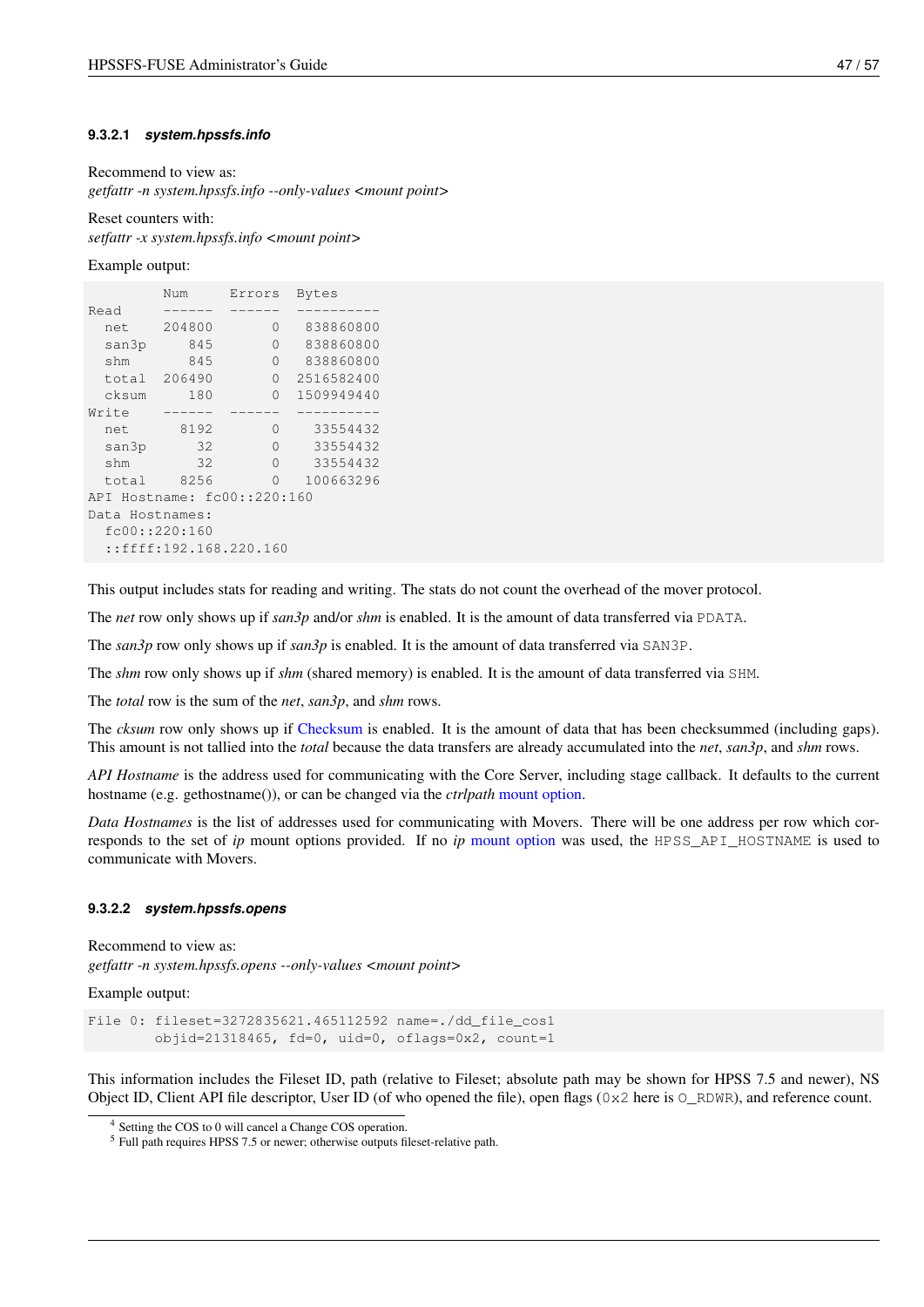#### <span id="page-54-0"></span>**9.3.2.1** *system.hpssfs.info*

<span id="page-54-2"></span>Recommend to view as:

*getfattr -n system.hpssfs.info --only-values <mount point>*

Reset counters with: *setfattr -x system.hpssfs.info <mount point>*

Example output:

|                 | Num            | Errors                      | <b>Bytes</b> |
|-----------------|----------------|-----------------------------|--------------|
| Read            |                |                             |              |
| net             | 204800         | O                           | 838860800    |
| san3p           | 845            | Ω                           | 838860800    |
| shm             | 845            | O                           | 838860800    |
| total           | 206490         | O                           | 2516582400   |
| cksum           | 180            | 0                           | 1509949440   |
| Write           |                |                             |              |
| net             | 8192           | Ω                           | 33554432     |
| san3p           | 32             | Ω                           | 33554432     |
| shm             | 32             | O                           | 33554432     |
| total           | 8256           | 0                           | 100663296    |
|                 |                | API Hostname: fc00::220:160 |              |
| Data Hostnames: |                |                             |              |
|                 | fc00::220::160 |                             |              |
|                 |                | ::ffff:192.168.220.160      |              |
|                 |                |                             |              |

This output includes stats for reading and writing. The stats do not count the overhead of the mover protocol.

The *net* row only shows up if *san3p* and/or *shm* is enabled. It is the amount of data transferred via PDATA.

The *san3p* row only shows up if *san3p* is enabled. It is the amount of data transferred via SAN3P.

The *shm* row only shows up if *shm* (shared memory) is enabled. It is the amount of data transferred via SHM.

The *total* row is the sum of the *net*, *san3p*, and *shm* rows.

The *cksum* row only shows up if [Checksum](#page-56-5) is enabled. It is the amount of data that has been checksummed (including gaps). This amount is not tallied into the *total* because the data transfers are already accumulated into the *net*, *san3p*, and *shm* rows.

*API Hostname* is the address used for communicating with the Core Server, including stage callback. It defaults to the current hostname (e.g. gethostname()), or can be changed via the *ctrlpath* [mount option.](#page-30-3)

*Data Hostnames* is the list of addresses used for communicating with Movers. There will be one address per row which corresponds to the set of *ip* mount options provided. If no *ip* [mount option](#page-30-3) was used, the HPSS\_API\_HOSTNAME is used to communicate with Movers.

#### <span id="page-54-1"></span>**9.3.2.2** *system.hpssfs.opens*

<span id="page-54-3"></span>Recommend to view as: *getfattr -n system.hpssfs.opens --only-values <mount point>*

Example output:

```
File 0: fileset=3272835621.465112592 name=./dd_file_cos1
        objid=21318465, fd=0, uid=0, oflags=0x2, count=1
```
This information includes the Fileset ID, path (relative to Fileset; absolute path may be shown for HPSS 7.5 and newer), NS Object ID, Client API file descriptor, User ID (of who opened the file), open flags ( $0 \times 2$  here is  $\circ$  RDWR), and reference count.

<span id="page-54-4"></span><sup>4</sup> Setting the COS to 0 will cancel a Change COS operation.

<sup>5</sup> Full path requires HPSS 7.5 or newer; otherwise outputs fileset-relative path.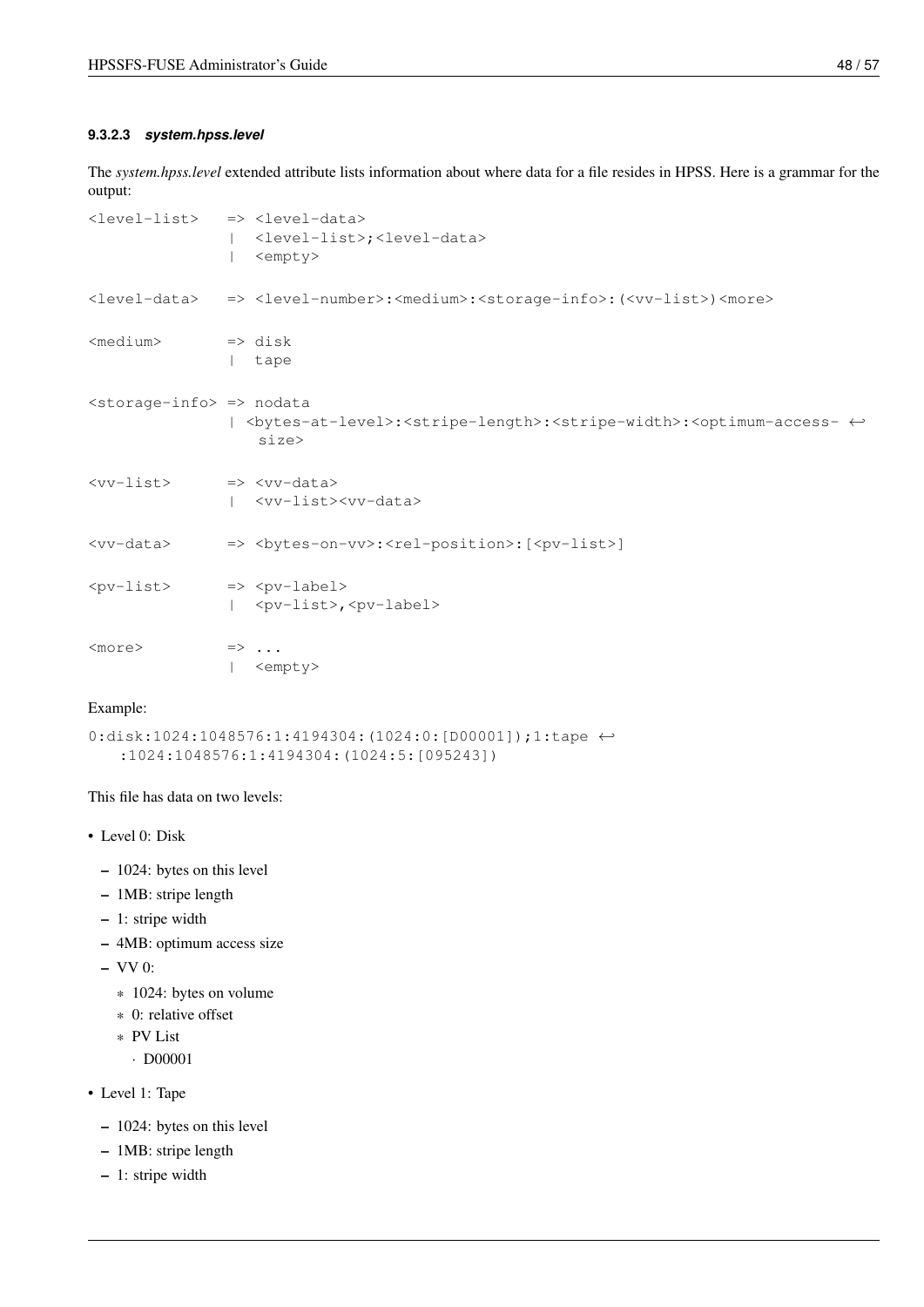#### <span id="page-55-0"></span>**9.3.2.3** *system.hpss.level*

<span id="page-55-1"></span>The *system.hpss.level* extended attribute lists information about where data for a file resides in HPSS. Here is a grammar for the output:

|                                                 | <level-list> =&gt; <level-data><br/><level-list>;<level-data><br/><empty></empty></level-data></level-list></level-data></level-list>            |
|-------------------------------------------------|--------------------------------------------------------------------------------------------------------------------------------------------------|
|                                                 | <level-data> =&gt; <level-number>:<medium>:<storage-info>:(<vv-list>)<more></more></vv-list></storage-info></medium></level-number></level-data> |
| <medium></medium>                               | $\Rightarrow$ disk<br>  tape                                                                                                                     |
| <storage-info> =&gt; nodata</storage-info>      | <bytes-at-level>:<stripe-length>:<stripe-width>:<optimum-access- ↔<br="">size</optimum-access-></stripe-width></stripe-length></bytes-at-level>  |
| <vv-list> =&gt; <vv-data></vv-data></vv-list>   | <vv-list><vv-data></vv-data></vv-list>                                                                                                           |
|                                                 |                                                                                                                                                  |
| <pv-list> =&gt; <pv-label></pv-label></pv-list> | <pv-list>,<pv-label></pv-label></pv-list>                                                                                                        |
| <more></more>                                   | $\Rightarrow \dots$<br><empty></empty>                                                                                                           |

#### Example:

```
0:disk:1024:1048576:1:4194304:(1024:0:[D00001]);1:tape ←-
   :1024:1048576:1:4194304:(1024:5:[095243])
```
This file has data on two levels:

- Level 0: Disk
	- 1024: bytes on this level
	- 1MB: stripe length
	- 1: stripe width
	- 4MB: optimum access size
	- VV 0:
		- \* 1024: bytes on volume
		- \* 0: relative offset
		- \* PV List
			- · D00001

• Level 1: Tape

- 1024: bytes on this level
- 1MB: stripe length
- 1: stripe width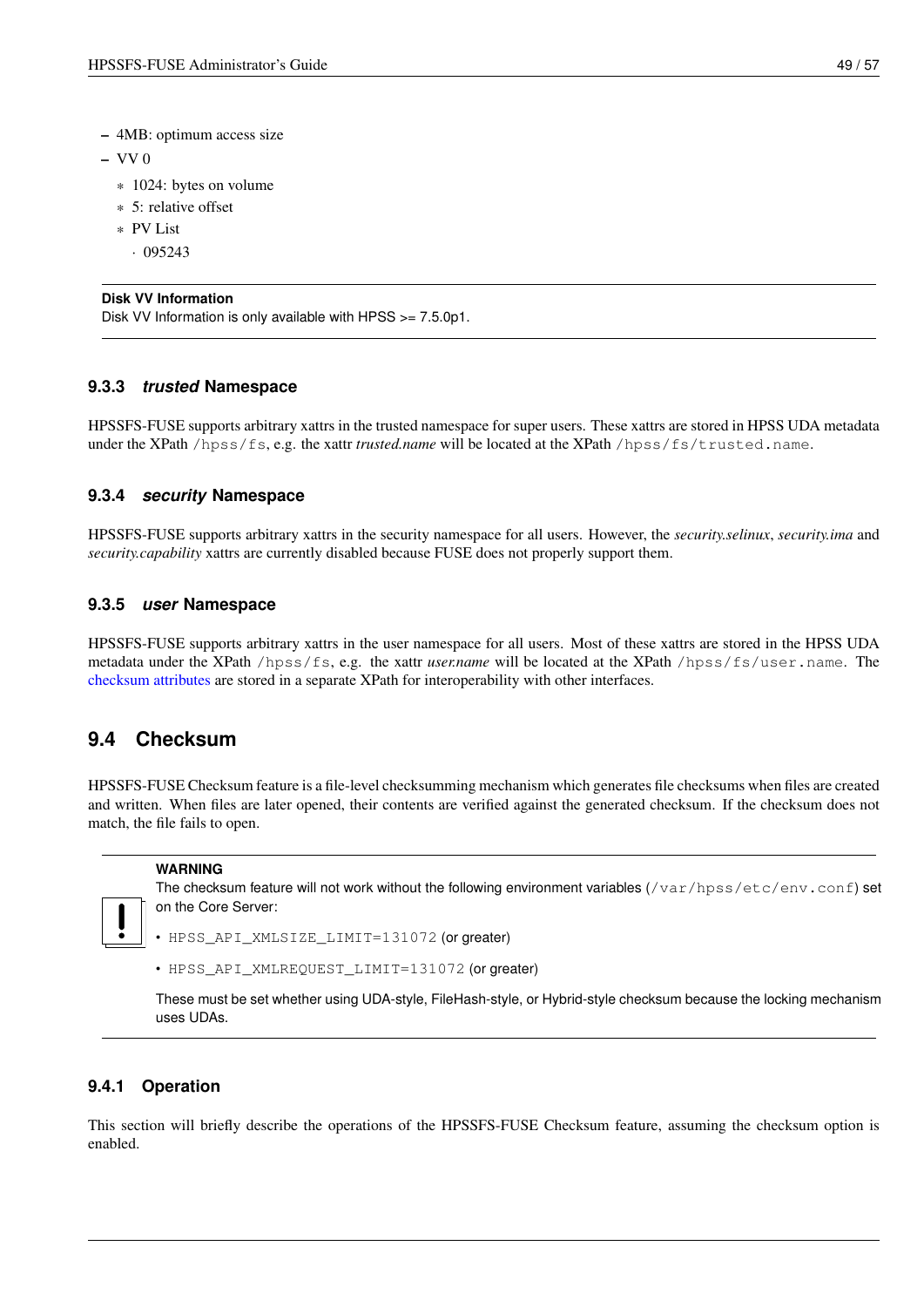- 4MB: optimum access size
- $-$  VV 0
	- \* 1024: bytes on volume
	- \* 5: relative offset
	- \* PV List
		- $\cdot$  095243

### **Disk VV Information**

Disk VV Information is only available with HPSS >= 7.5.0p1.

### <span id="page-56-0"></span>**9.3.3** *trusted* **Namespace**

HPSSFS-FUSE supports arbitrary xattrs in the trusted namespace for super users. These xattrs are stored in HPSS UDA metadata under the XPath /hpss/fs, e.g. the xattr *trusted.name* will be located at the XPath /hpss/fs/trusted.name.

### <span id="page-56-1"></span>**9.3.4** *security* **Namespace**

HPSSFS-FUSE supports arbitrary xattrs in the security namespace for all users. However, the *security.selinux*, *security.ima* and *security.capability* xattrs are currently disabled because FUSE does not properly support them.

### <span id="page-56-2"></span>**9.3.5** *user* **Namespace**

HPSSFS-FUSE supports arbitrary xattrs in the user namespace for all users. Most of these xattrs are stored in the HPSS UDA metadata under the XPath /hpss/fs, e.g. the xattr *user.name* will be located at the XPath /hpss/fs/user.name. The [checksum attributes](#page-59-3) are stored in a separate XPath for interoperability with other interfaces.

## <span id="page-56-3"></span>**9.4 Checksum**

<span id="page-56-5"></span>HPSSFS-FUSE Checksum feature is a file-level checksumming mechanism which generates file checksums when files are created and written. When files are later opened, their contents are verified against the generated checksum. If the checksum does not match, the file fails to open.

#### **WARNING**

The checksum feature will not work without the following environment variables  $\sqrt{\frac{var/hps}{\sqrt{c}}}\cdot\frac{1}{\sqrt{c}}$ on the Core Server:

- HPSS\_API\_XMLSIZE\_LIMIT=131072 (or greater)
- HPSS API XMLREQUEST LIMIT=131072 (or greater)

These must be set whether using UDA-style, FileHash-style, or Hybrid-style checksum because the locking mechanism uses UDAs.

### <span id="page-56-4"></span>**9.4.1 Operation**

This section will briefly describe the operations of the HPSSFS-FUSE Checksum feature, assuming the checksum option is enabled.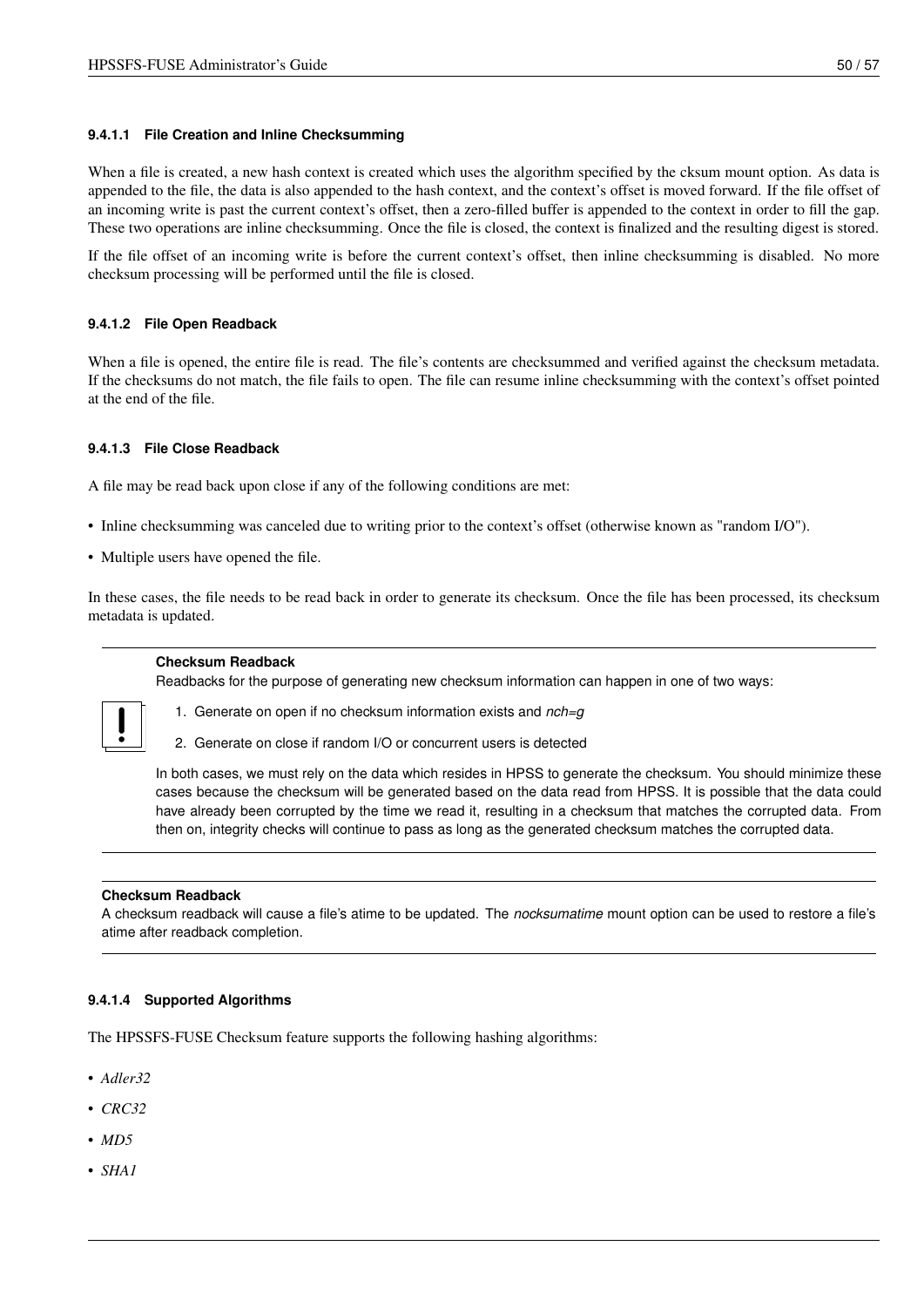#### <span id="page-57-0"></span>**9.4.1.1 File Creation and Inline Checksumming**

When a file is created, a new hash context is created which uses the algorithm specified by the cksum mount option. As data is appended to the file, the data is also appended to the hash context, and the context's offset is moved forward. If the file offset of an incoming write is past the current context's offset, then a zero-filled buffer is appended to the context in order to fill the gap. These two operations are inline checksumming. Once the file is closed, the context is finalized and the resulting digest is stored.

If the file offset of an incoming write is before the current context's offset, then inline checksumming is disabled. No more checksum processing will be performed until the file is closed.

### <span id="page-57-1"></span>**9.4.1.2 File Open Readback**

When a file is opened, the entire file is read. The file's contents are checksummed and verified against the checksum metadata. If the checksums do not match, the file fails to open. The file can resume inline checksumming with the context's offset pointed at the end of the file.

### <span id="page-57-2"></span>**9.4.1.3 File Close Readback**

A file may be read back upon close if any of the following conditions are met:

- Inline checksumming was canceled due to writing prior to the context's offset (otherwise known as "random I/O").
- Multiple users have opened the file.

In these cases, the file needs to be read back in order to generate its checksum. Once the file has been processed, its checksum metadata is updated.

#### **Checksum Readback**

Readbacks for the purpose of generating new checksum information can happen in one of two ways:



1. Generate on open if no checksum information exists and *nch=g*

2. Generate on close if random I/O or concurrent users is detected

In both cases, we must rely on the data which resides in HPSS to generate the checksum. You should minimize these cases because the checksum will be generated based on the data read from HPSS. It is possible that the data could have already been corrupted by the time we read it, resulting in a checksum that matches the corrupted data. From then on, integrity checks will continue to pass as long as the generated checksum matches the corrupted data.

#### **Checksum Readback**

A checksum readback will cause a file's atime to be updated. The *nocksumatime* mount option can be used to restore a file's atime after readback completion.

#### <span id="page-57-3"></span>**9.4.1.4 Supported Algorithms**

The HPSSFS-FUSE Checksum feature supports the following hashing algorithms:

- *Adler32*
- *CRC32*
- *MD5*
- *SHA1*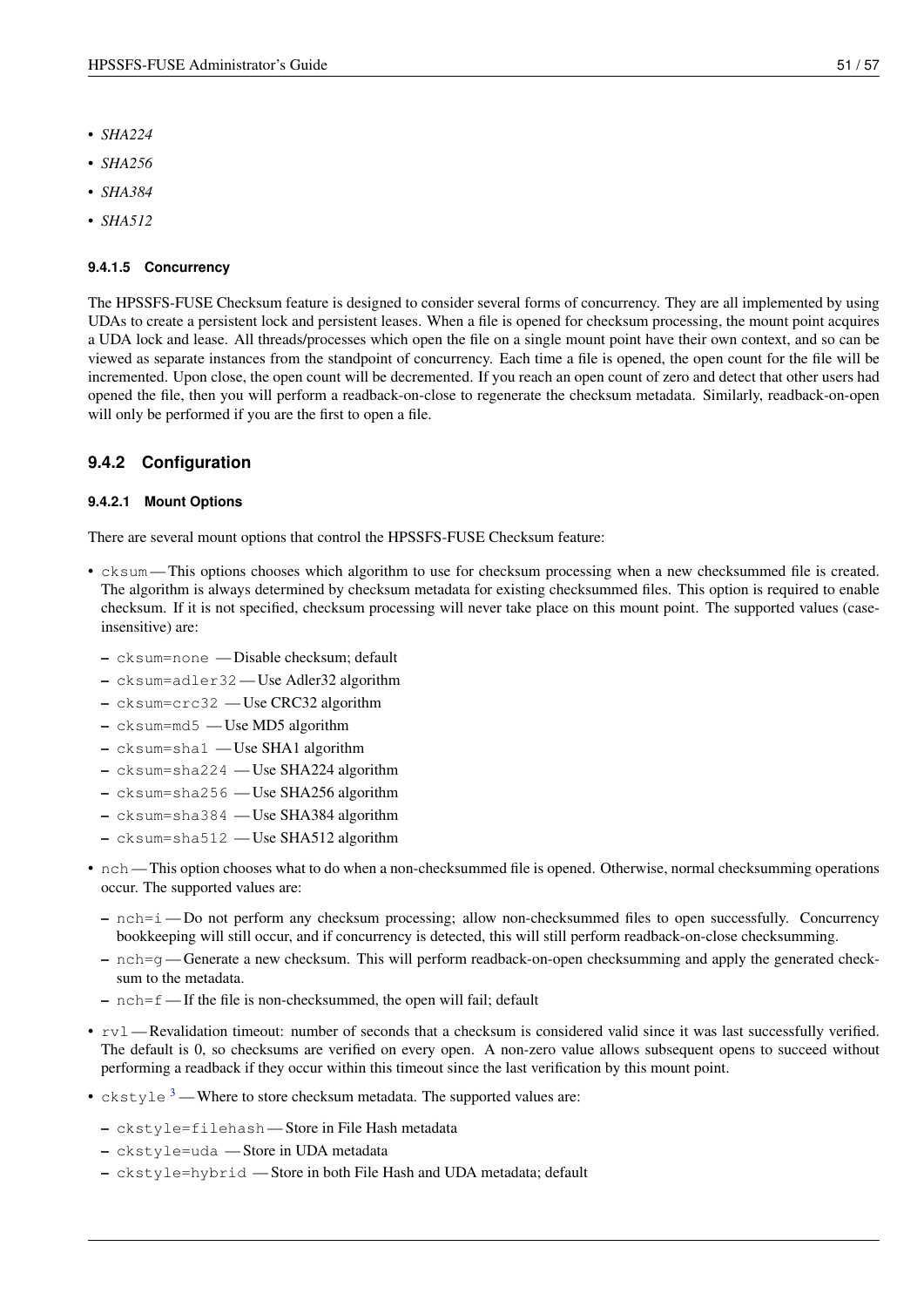- *SHA224*
- *SHA256*
- *SHA384*
- *SHA512*

### <span id="page-58-0"></span>**9.4.1.5 Concurrency**

The HPSSFS-FUSE Checksum feature is designed to consider several forms of concurrency. They are all implemented by using UDAs to create a persistent lock and persistent leases. When a file is opened for checksum processing, the mount point acquires a UDA lock and lease. All threads/processes which open the file on a single mount point have their own context, and so can be viewed as separate instances from the standpoint of concurrency. Each time a file is opened, the open count for the file will be incremented. Upon close, the open count will be decremented. If you reach an open count of zero and detect that other users had opened the file, then you will perform a readback-on-close to regenerate the checksum metadata. Similarly, readback-on-open will only be performed if you are the first to open a file.

### <span id="page-58-1"></span>**9.4.2 Configuration**

#### <span id="page-58-2"></span>**9.4.2.1 Mount Options**

There are several mount options that control the HPSSFS-FUSE Checksum feature:

- cksum This options chooses which algorithm to use for checksum processing when a new checksummed file is created. The algorithm is always determined by checksum metadata for existing checksummed files. This option is required to enable checksum. If it is not specified, checksum processing will never take place on this mount point. The supported values (caseinsensitive) are:
	- cksum=none Disable checksum; default
	- cksum=adler32 Use Adler32 algorithm
	- cksum=crc32 Use CRC32 algorithm
	- cksum=md5 Use MD5 algorithm
	- cksum=sha1 Use SHA1 algorithm
	- cksum=sha224 Use SHA224 algorithm
	- cksum=sha256 Use SHA256 algorithm
	- cksum=sha384 Use SHA384 algorithm
	- cksum=sha512 Use SHA512 algorithm
- nch This option chooses what to do when a non-checksummed file is opened. Otherwise, normal checksumming operations occur. The supported values are:
	- nch=i Do not perform any checksum processing; allow non-checksummed files to open successfully. Concurrency bookkeeping will still occur, and if concurrency is detected, this will still perform readback-on-close checksumming.
	- nch=g Generate a new checksum. This will perform readback-on-open checksumming and apply the generated checksum to the metadata.
	- nch=f If the file is non-checksummed, the open will fail; default
- $rvl$  Revalidation timeout: number of seconds that a checksum is considered valid since it was last successfully verified. The default is 0, so checksums are verified on every open. A non-zero value allows subsequent opens to succeed without performing a readback if they occur within this timeout since the last verification by this mount point.
- ckstyle  $3$ —Where to store checksum metadata. The supported values are:
	- ckstyle=filehash Store in File Hash metadata
	- ckstyle=uda Store in UDA metadata
	- ckstyle=hybrid Store in both File Hash and UDA metadata; default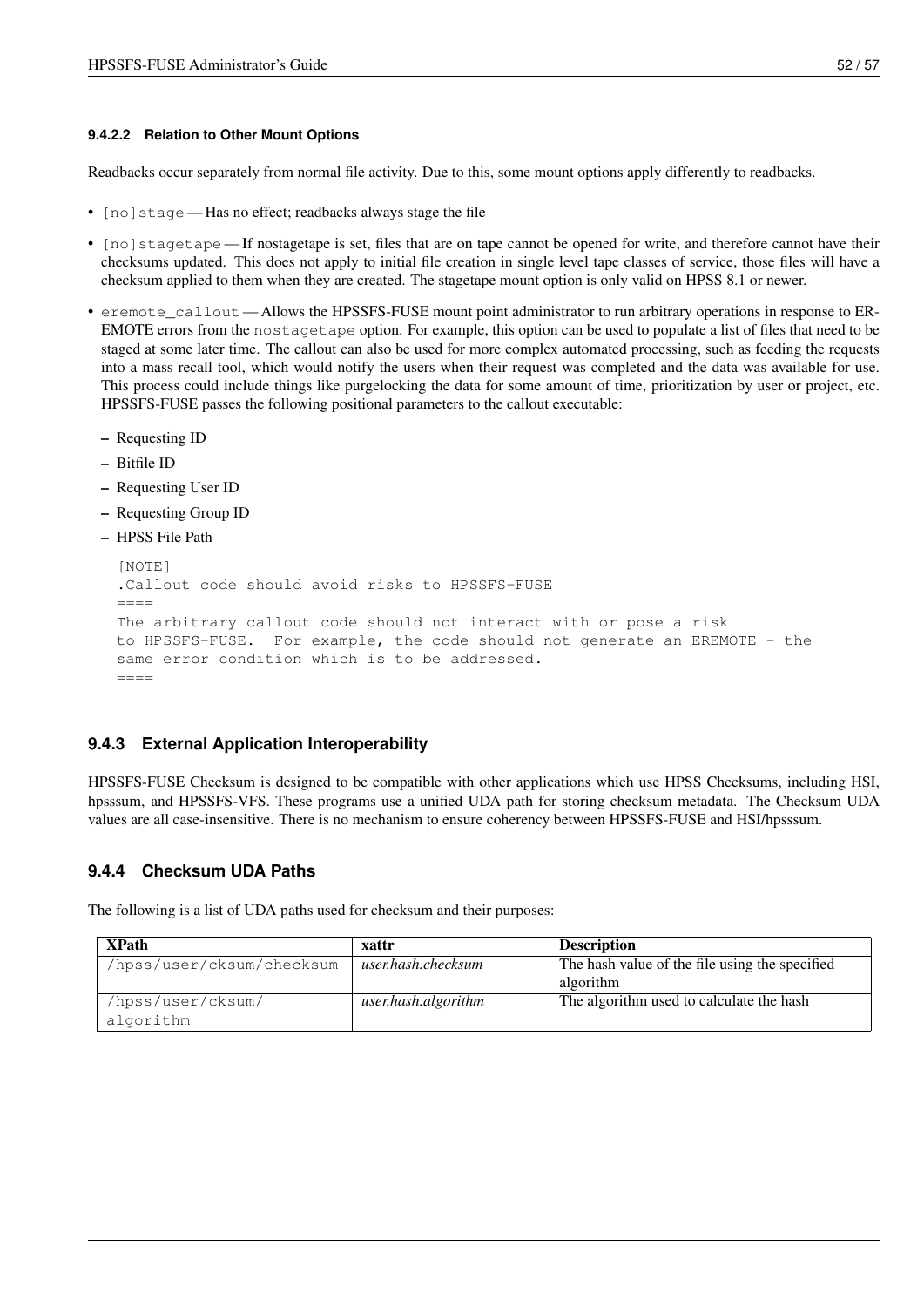#### <span id="page-59-0"></span>**9.4.2.2 Relation to Other Mount Options**

Readbacks occur separately from normal file activity. Due to this, some mount options apply differently to readbacks.

- [no] stage Has no effect; readbacks always stage the file
- [no] stagetape If nostagetape is set, files that are on tape cannot be opened for write, and therefore cannot have their checksums updated. This does not apply to initial file creation in single level tape classes of service, those files will have a checksum applied to them when they are created. The stagetape mount option is only valid on HPSS 8.1 or newer.
- eremote\_callout Allows the HPSSFS-FUSE mount point administrator to run arbitrary operations in response to ER-EMOTE errors from the nostagetape option. For example, this option can be used to populate a list of files that need to be staged at some later time. The callout can also be used for more complex automated processing, such as feeding the requests into a mass recall tool, which would notify the users when their request was completed and the data was available for use. This process could include things like purgelocking the data for some amount of time, prioritization by user or project, etc. HPSSFS-FUSE passes the following positional parameters to the callout executable:
	- Requesting ID
	- Bitfile ID
	- Requesting User ID
	- Requesting Group ID
	- HPSS File Path

```
[NOTE]
.Callout code should avoid risks to HPSSFS-FUSE
=The arbitrary callout code should not interact with or pose a risk
to HPSSFS-FUSE. For example, the code should not generate an EREMOTE - the
same error condition which is to be addressed.
----
```
### <span id="page-59-1"></span>**9.4.3 External Application Interoperability**

HPSSFS-FUSE Checksum is designed to be compatible with other applications which use HPSS Checksums, including HSI, hpsssum, and HPSSFS-VFS. These programs use a unified UDA path for storing checksum metadata. The Checksum UDA values are all case-insensitive. There is no mechanism to ensure coherency between HPSSFS-FUSE and HSI/hpsssum.

### <span id="page-59-2"></span>**9.4.4 Checksum UDA Paths**

<span id="page-59-3"></span>The following is a list of UDA paths used for checksum and their purposes:

| <b>XPath</b>              | xattr               | <b>Description</b>                             |
|---------------------------|---------------------|------------------------------------------------|
| /hpss/user/cksum/checksum | user.hash.checksum  | The hash value of the file using the specified |
|                           |                     | algorithm                                      |
| /hpss/user/cksum/         | user.hash.algorithm | The algorithm used to calculate the hash       |
| algorithm                 |                     |                                                |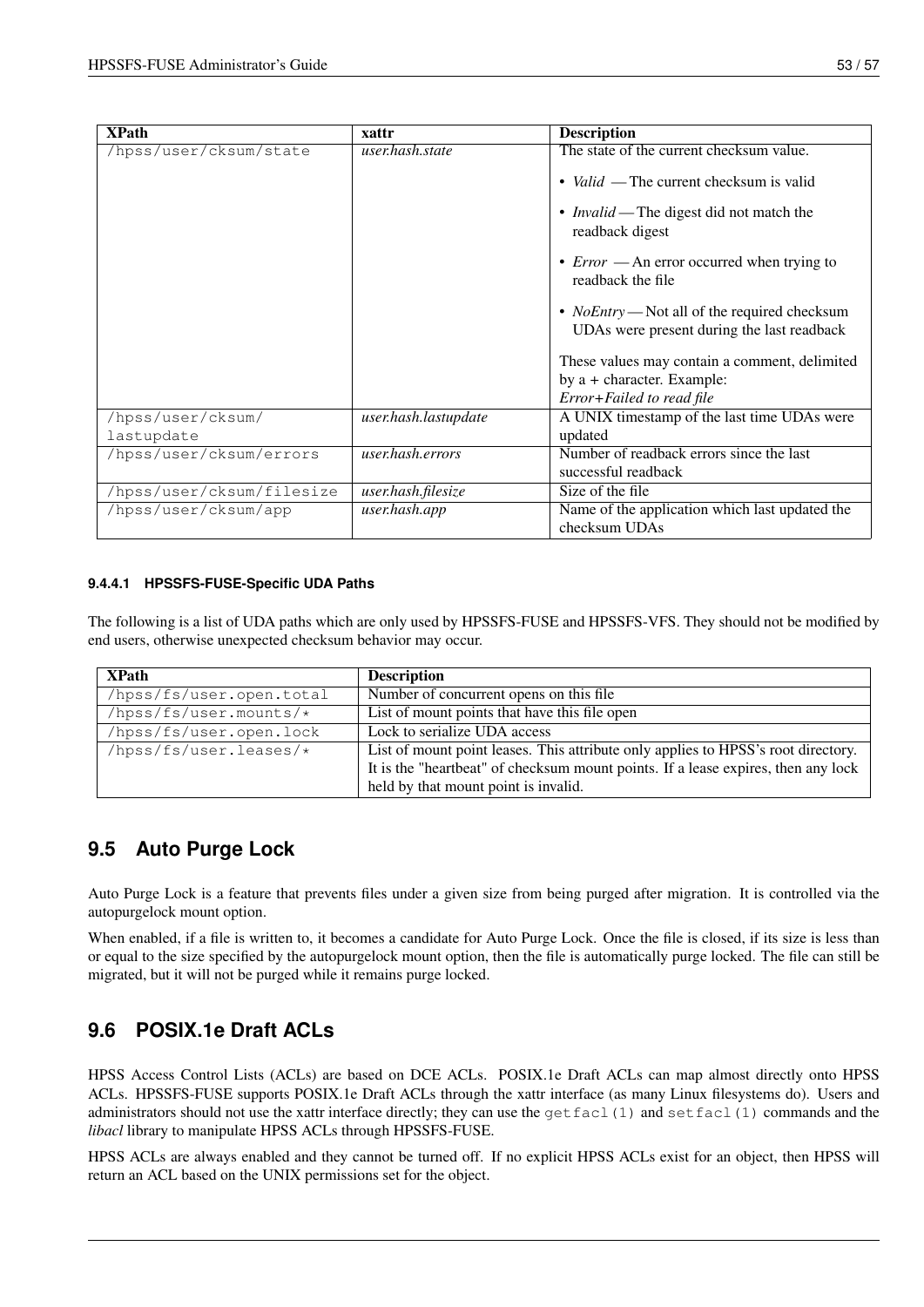| <b>XPath</b>              | xattr                | <b>Description</b>                                                                                |
|---------------------------|----------------------|---------------------------------------------------------------------------------------------------|
| /hpss/user/cksum/state    | user.hash.state      | The state of the current checksum value.                                                          |
|                           |                      | • <i>Valid</i> — The current checksum is valid                                                    |
|                           |                      | • <i>Invalid</i> — The digest did not match the<br>readback digest                                |
|                           |                      | • $Error$ — An error occurred when trying to<br>readback the file                                 |
|                           |                      | • <i>NoEntry</i> — Not all of the required checksum<br>UDAs were present during the last readback |
|                           |                      | These values may contain a comment, delimited                                                     |
|                           |                      | by a + character. Example:                                                                        |
|                           |                      | Error+Failed to read file                                                                         |
| /hpss/user/cksum/         | user.hash.lastupdate | A UNIX timestamp of the last time UDAs were                                                       |
| lastupdate                |                      | updated                                                                                           |
| /hpss/user/cksum/errors   | user.hash.errors     | Number of readback errors since the last                                                          |
|                           |                      | successful readback                                                                               |
| /hpss/user/cksum/filesize | user.hash.filesize   | Size of the file                                                                                  |
| /hpss/user/cksum/app      | user.hash.app        | Name of the application which last updated the                                                    |
|                           |                      | checksum UDAs                                                                                     |

### <span id="page-60-0"></span>**9.4.4.1 HPSSFS-FUSE-Specific UDA Paths**

The following is a list of UDA paths which are only used by HPSSFS-FUSE and HPSSFS-VFS. They should not be modified by end users, otherwise unexpected checksum behavior may occur.

| <b>XPath</b>             | <b>Description</b>                                                                |  |
|--------------------------|-----------------------------------------------------------------------------------|--|
| /hpss/fs/user.open.total | Number of concurrent opens on this file                                           |  |
| $/hpss/fs/user.mounts/*$ | List of mount points that have this file open                                     |  |
| /hpss/fs/user.open.lock  | Lock to serialize UDA access                                                      |  |
| /hpss/fs/user.leases/*   | List of mount point leases. This attribute only applies to HPSS's root directory. |  |
|                          | It is the "heartbeat" of checksum mount points. If a lease expires, then any lock |  |
|                          | held by that mount point is invalid.                                              |  |

# <span id="page-60-1"></span>**9.5 Auto Purge Lock**

<span id="page-60-3"></span>Auto Purge Lock is a feature that prevents files under a given size from being purged after migration. It is controlled via the autopurgelock mount option.

When enabled, if a file is written to, it becomes a candidate for Auto Purge Lock. Once the file is closed, if its size is less than or equal to the size specified by the autopurgelock mount option, then the file is automatically purge locked. The file can still be migrated, but it will not be purged while it remains purge locked.

# <span id="page-60-2"></span>**9.6 POSIX.1e Draft ACLs**

HPSS Access Control Lists (ACLs) are based on DCE ACLs. POSIX.1e Draft ACLs can map almost directly onto HPSS ACLs. HPSSFS-FUSE supports POSIX.1e Draft ACLs through the xattr interface (as many Linux filesystems do). Users and administrators should not use the xattr interface directly; they can use the  $\text{qetfacl}(1)$  and  $\text{setfacl}(1)$  commands and the *libacl* library to manipulate HPSS ACLs through HPSSFS-FUSE.

HPSS ACLs are always enabled and they cannot be turned off. If no explicit HPSS ACLs exist for an object, then HPSS will return an ACL based on the UNIX permissions set for the object.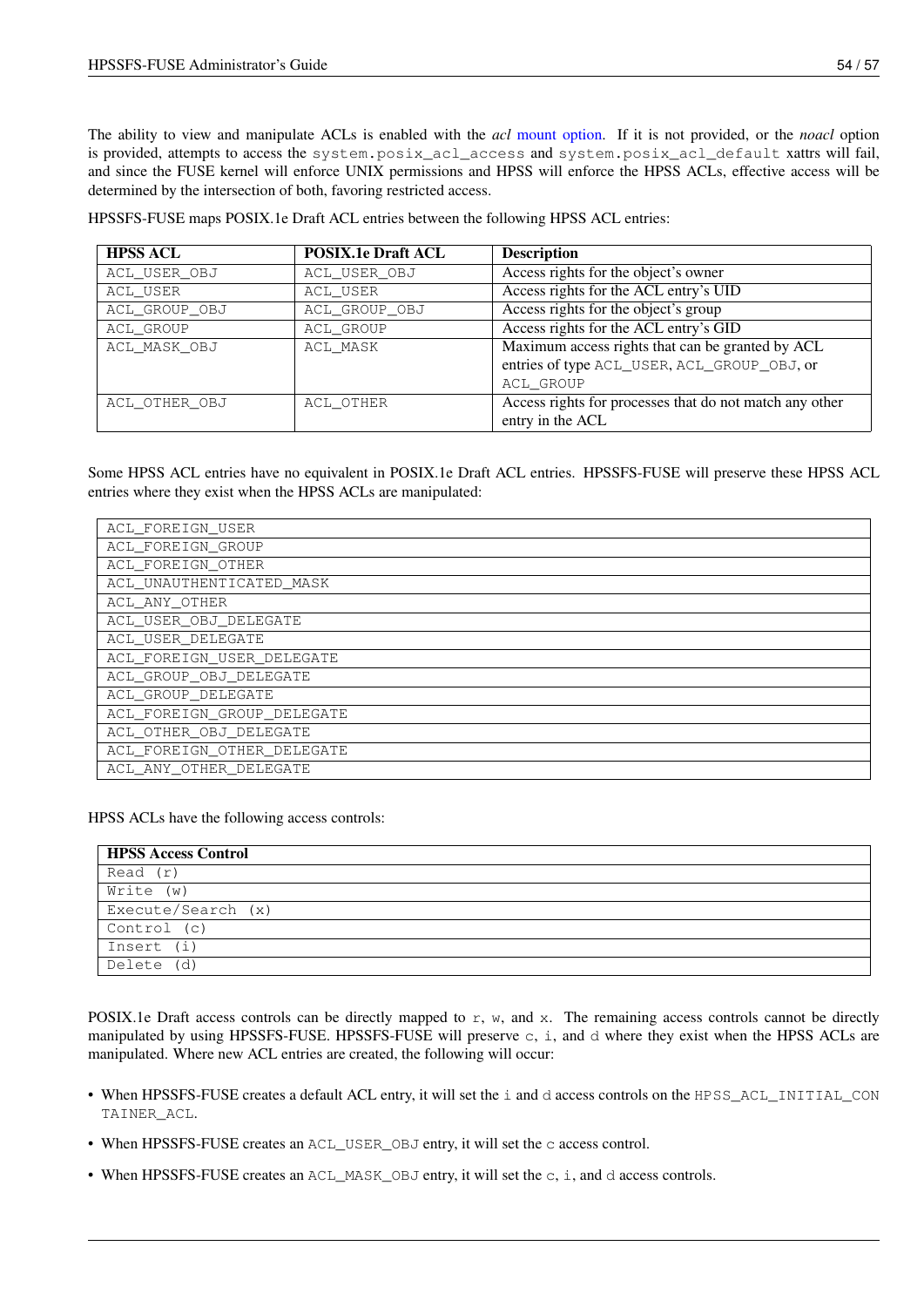The ability to view and manipulate ACLs is enabled with the *acl* [mount option.](#page-30-3) If it is not provided, or the *noacl* option is provided, attempts to access the system.posix\_acl\_access and system.posix\_acl\_default xattrs will fail, and since the FUSE kernel will enforce UNIX permissions and HPSS will enforce the HPSS ACLs, effective access will be determined by the intersection of both, favoring restricted access.

HPSSFS-FUSE maps POSIX.1e Draft ACL entries between the following HPSS ACL entries:

| <b>HPSS ACL</b> | <b>POSIX.1e Draft ACL</b> | <b>Description</b>                                      |  |
|-----------------|---------------------------|---------------------------------------------------------|--|
| ACL_USER_OBJ    | ACL USER OBJ              | Access rights for the object's owner                    |  |
| ACL USER        | ACL USER                  | Access rights for the ACL entry's UID                   |  |
| ACL_GROUP_OBJ   | ACL_GROUP_OBJ             | Access rights for the object's group                    |  |
| ACL GROUP       | <b>ACL GROUP</b>          | Access rights for the ACL entry's GID                   |  |
| ACL MASK OBJ    | ACL MASK                  | Maximum access rights that can be granted by ACL        |  |
|                 |                           | entries of type ACL_USER, ACL_GROUP_OBJ, or             |  |
|                 |                           | ACL GROUP                                               |  |
| ACL OTHER OBJ   | ACL OTHER                 | Access rights for processes that do not match any other |  |
|                 |                           | entry in the ACL                                        |  |

Some HPSS ACL entries have no equivalent in POSIX.1e Draft ACL entries. HPSSFS-FUSE will preserve these HPSS ACL entries where they exist when the HPSS ACLs are manipulated:

| ACL FOREIGN USER           |
|----------------------------|
| ACL FOREIGN GROUP          |
| ACL FOREIGN OTHER          |
| ACL UNAUTHENTICATED MASK   |
| ACL ANY OTHER              |
| ACL USER OBJ DELEGATE      |
| ACL USER DELEGATE          |
| ACL_FOREIGN_USER_DELEGATE  |
| ACL GROUP OBJ DELEGATE     |
| ACL GROUP DELEGATE         |
| ACL FOREIGN GROUP DELEGATE |
| ACL OTHER OBJ DELEGATE     |
| ACL FOREIGN OTHER DELEGATE |
| ACL ANY OTHER DELEGATE     |

HPSS ACLs have the following access controls:

| <b>HPSS Access Control</b> |
|----------------------------|
| Read (r)                   |
| Write (w)                  |
| Execute/Search (x)         |
| Control (c)                |
| Insert (i)                 |
| Delete (d)                 |

POSIX.1e Draft access controls can be directly mapped to  $r$ ,  $w$ , and  $x$ . The remaining access controls cannot be directly manipulated by using HPSSFS-FUSE. HPSSFS-FUSE will preserve c, i, and d where they exist when the HPSS ACLs are manipulated. Where new ACL entries are created, the following will occur:

- When HPSSFS-FUSE creates a default ACL entry, it will set the i and d access controls on the HPSS\_ACL\_INITIAL\_CON TAINER\_ACL.
- When HPSSFS-FUSE creates an ACL\_USER\_OBJ entry, it will set the c access control.
- When HPSSFS-FUSE creates an ACL\_MASK\_OBJ entry, it will set the c, i, and d access controls.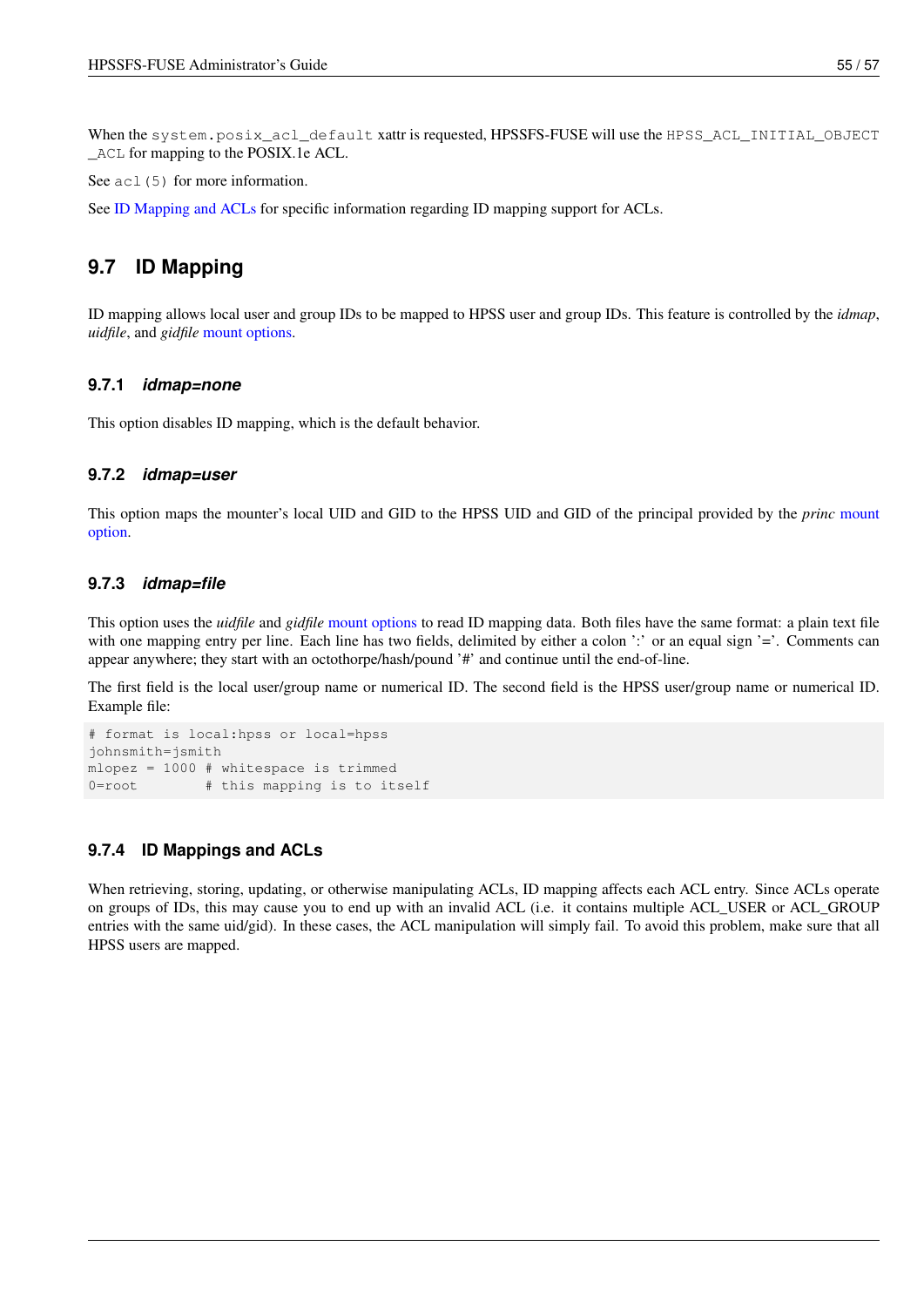When the system.posix\_acl\_default xattr is requested, HPSSFS-FUSE will use the HPSS\_ACL\_INITIAL\_OBJECT \_ACL for mapping to the POSIX.1e ACL.

See ac1 (5) for more information.

See [ID Mapping and ACLs](#page-62-6) for specific information regarding ID mapping support for ACLs.

## <span id="page-62-0"></span>**9.7 ID Mapping**

<span id="page-62-5"></span>ID mapping allows local user and group IDs to be mapped to HPSS user and group IDs. This feature is controlled by the *idmap*, *uidfile*, and *gidfile* [mount options.](#page-30-3)

### <span id="page-62-1"></span>**9.7.1** *idmap=none*

This option disables ID mapping, which is the default behavior.

#### <span id="page-62-2"></span>**9.7.2** *idmap=user*

This option maps the mounter's local UID and GID to the HPSS UID and GID of the principal provided by the *princ* [mount](#page-30-3) [option.](#page-30-3)

### <span id="page-62-3"></span>**9.7.3** *idmap=file*

This option uses the *uidfile* and *gidfile* [mount options](#page-30-3) to read ID mapping data. Both files have the same format: a plain text file with one mapping entry per line. Each line has two fields, delimited by either a colon ':' or an equal sign '='. Comments can appear anywhere; they start with an octothorpe/hash/pound '#' and continue until the end-of-line.

The first field is the local user/group name or numerical ID. The second field is the HPSS user/group name or numerical ID. Example file:

```
# format is local:hpss or local=hpss
johnsmith=jsmith
mlopez = 1000 # whitespace is trimmed
0=root # this mapping is to itself
```
### <span id="page-62-4"></span>**9.7.4 ID Mappings and ACLs**

<span id="page-62-6"></span>When retrieving, storing, updating, or otherwise manipulating ACLs, ID mapping affects each ACL entry. Since ACLs operate on groups of IDs, this may cause you to end up with an invalid ACL (i.e. it contains multiple ACL\_USER or ACL\_GROUP entries with the same uid/gid). In these cases, the ACL manipulation will simply fail. To avoid this problem, make sure that all HPSS users are mapped.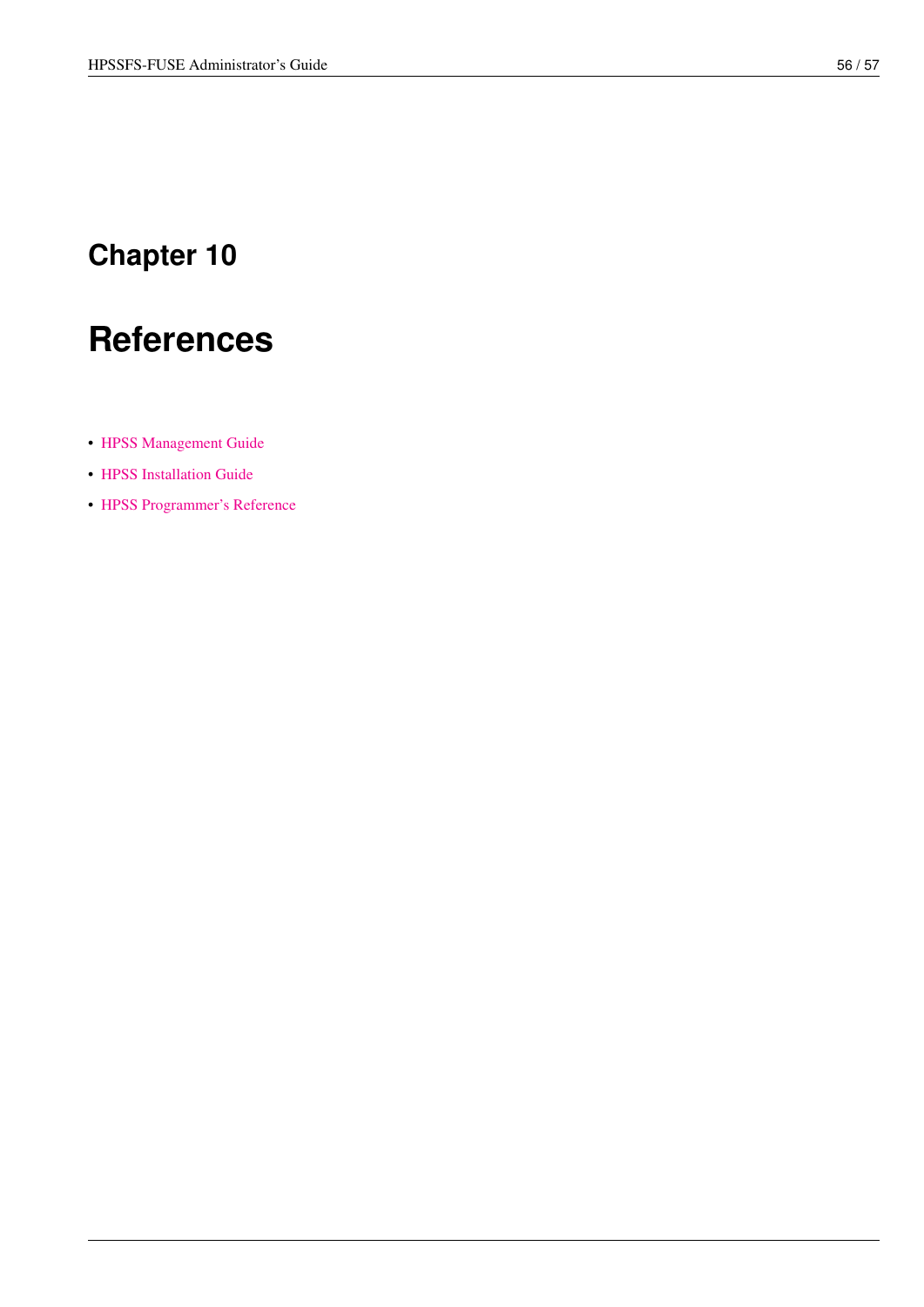# <span id="page-63-0"></span>**References**

- [HPSS Management Guide](http://www.hpss-collaboration.org/online_doc.shtml)
- [HPSS Installation Guide](http://www.hpss-collaboration.org/online_doc.shtml)
- [HPSS Programmer's Reference](http://www.hpss-collaboration.org/user_doc.shtml)